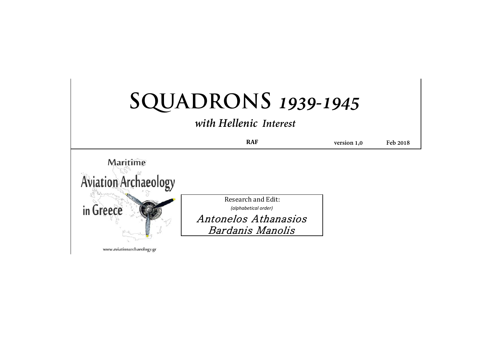|                             | with Hellenic Interest                       |             |          |
|-----------------------------|----------------------------------------------|-------------|----------|
|                             | <b>RAF</b>                                   | version 1,0 | Feb 2018 |
| Maritime                    |                                              |             |          |
|                             |                                              |             |          |
|                             |                                              |             |          |
| <b>Aviation Archaeology</b> |                                              |             |          |
|                             | Research and Edit:                           |             |          |
| in Greece                   | (alphabetical order)<br>Antonelos Athanasios |             |          |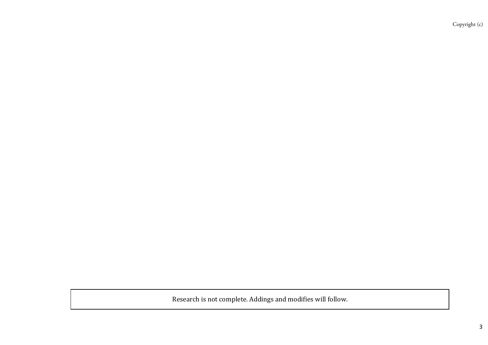Research is not complete. Addings and modifies will follow.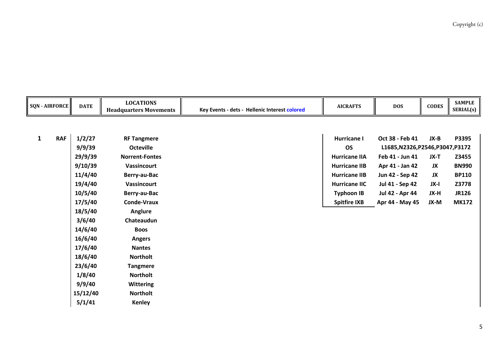|              | <b>SQN - AIRFORCE</b> | <b>DATE</b> | <b>LOCATIONS</b><br><b>Headquarters Movements</b> | Key Events - dets - Hellenic Interest colored | <b>AICRAFTS</b>      | <b>DOS</b>                    | <b>CODES</b> | <b>SAMPLE</b><br>SERIAL(s) |
|--------------|-----------------------|-------------|---------------------------------------------------|-----------------------------------------------|----------------------|-------------------------------|--------------|----------------------------|
|              |                       |             |                                                   |                                               |                      |                               |              |                            |
| $\mathbf{1}$ | <b>RAF</b>            | 1/2/27      | <b>RF Tangmere</b>                                |                                               | <b>Hurricane I</b>   | Oct 38 - Feb 41               | JX-B         | P3395                      |
|              |                       | 9/9/39      | <b>Octeville</b>                                  |                                               | <b>OS</b>            | L1685,N2326,P2546,P3047,P3172 |              |                            |
|              |                       | 29/9/39     | <b>Norrent-Fontes</b>                             |                                               | <b>Hurricane IIA</b> | Feb 41 - Jun 41               | JX-T         | Z3455                      |
|              |                       | 9/10/39     | <b>Vassincourt</b>                                |                                               | <b>Hurricane IIB</b> | Apr 41 - Jan 42               | JX           | <b>BN990</b>               |
|              |                       | 11/4/40     | Berry-au-Bac                                      |                                               | <b>Hurricane IIB</b> | Jun 42 - Sep 42               | JX           | <b>BP110</b>               |
|              |                       | 19/4/40     | <b>Vassincourt</b>                                |                                               | <b>Hurricane IIC</b> | Jul 41 - Sep 42               | JX-I         | Z3778                      |
|              |                       | 10/5/40     | Berry-au-Bac                                      |                                               | <b>Typhoon IB</b>    | Jul 42 - Apr 44               | JX-H         | <b>JR126</b>               |
|              |                       | 17/5/40     | <b>Conde-Vraux</b>                                |                                               | <b>Spitfire IXB</b>  | Apr 44 - May 45               | JX-M         | <b>MK172</b>               |
|              |                       | 18/5/40     | Anglure                                           |                                               |                      |                               |              |                            |
|              |                       | 3/6/40      | Chateaudun                                        |                                               |                      |                               |              |                            |
|              |                       | 14/6/40     | <b>Boos</b>                                       |                                               |                      |                               |              |                            |
|              |                       | 16/6/40     | <b>Angers</b>                                     |                                               |                      |                               |              |                            |
|              |                       | 17/6/40     | <b>Nantes</b>                                     |                                               |                      |                               |              |                            |
|              |                       | 18/6/40     | <b>Northolt</b>                                   |                                               |                      |                               |              |                            |
|              |                       | 23/6/40     | <b>Tangmere</b>                                   |                                               |                      |                               |              |                            |
|              |                       | 1/8/40      | <b>Northolt</b>                                   |                                               |                      |                               |              |                            |
|              |                       | 9/9/40      | <b>Wittering</b>                                  |                                               |                      |                               |              |                            |
|              |                       | 15/12/40    | <b>Northolt</b>                                   |                                               |                      |                               |              |                            |
|              |                       | 5/1/41      | <b>Kenley</b>                                     |                                               |                      |                               |              |                            |
|              |                       |             |                                                   |                                               |                      |                               |              |                            |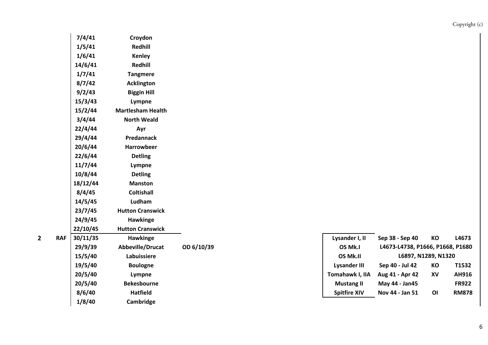| 7/4/41   | Croydon                  |            |                    |
|----------|--------------------------|------------|--------------------|
| 1/5/41   | <b>Redhill</b>           |            |                    |
| 1/6/41   | <b>Kenley</b>            |            |                    |
| 14/6/41  | Redhill                  |            |                    |
| 1/7/41   | <b>Tangmere</b>          |            |                    |
| 8/7/42   | <b>Acklington</b>        |            |                    |
| 9/2/43   | <b>Biggin Hill</b>       |            |                    |
| 15/3/43  | Lympne                   |            |                    |
| 15/2/44  | <b>Martlesham Health</b> |            |                    |
| 3/4/44   | <b>North Weald</b>       |            |                    |
| 22/4/44  | Ayr                      |            |                    |
| 29/4/44  | Predannack               |            |                    |
| 20/6/44  | <b>Harrowbeer</b>        |            |                    |
| 22/6/44  | <b>Detling</b>           |            |                    |
| 11/7/44  | Lympne                   |            |                    |
| 10/8/44  | <b>Detling</b>           |            |                    |
| 18/12/44 | <b>Manston</b>           |            |                    |
| 8/4/45   | <b>Coltishall</b>        |            |                    |
| 14/5/45  | Ludham                   |            |                    |
| 23/7/45  | <b>Hutton Cranswick</b>  |            |                    |
| 24/9/45  | Hawkinge                 |            |                    |
| 22/10/45 | <b>Hutton Cranswick</b>  |            |                    |
| 30/11/35 | Hawkinge                 |            | Lysander I,        |
| 29/9/39  | Abbeville/Drucat         | OD 6/10/39 | OS Mk.I            |
| 15/5/40  | Labuissiere              |            | OS Mk.II           |
| 19/5/40  | <b>Boulogne</b>          |            | <b>Lysander I</b>  |
| 20/5/40  | Lympne                   |            | Tomahawk I         |
| 20/5/40  | <b>Bekesbourne</b>       |            | <b>Mustang</b>     |
| 8/6/40   | <b>Hatfield</b>          |            | <b>Spitfire XI</b> |

**1/8/40 Cambridge**

| 29/9/39<br>OD 6/10/39<br>L4673-L4738, P1666, P1668, P1680<br>Abbeville/Drucat<br>OS Mk.I<br>15/5/40<br>L6897, N1289, N1320<br>Labuissiere<br>OS Mk.II<br>19/5/40<br><b>Boulogne</b><br>КO<br>Sep 40 - Jul 42<br>Lysander III<br>20/5/40<br>Tomahawk I, IIA<br>Aug 41 - Apr 42<br>XV<br>Lympne<br>20/5/40<br><b>Bekesbourne</b><br>May 44 - Jan45<br><b>Mustang II</b><br>8/6/40<br><b>Hatfield</b><br><b>Spitfire XIV</b><br>ΟI<br>Nov 44 - Jan 51 | RAF | 30/11/35 | Hawkinge |  | Lysander I, II | Sep 38 - Sep 40 | КO | L4673        |
|----------------------------------------------------------------------------------------------------------------------------------------------------------------------------------------------------------------------------------------------------------------------------------------------------------------------------------------------------------------------------------------------------------------------------------------------------|-----|----------|----------|--|----------------|-----------------|----|--------------|
|                                                                                                                                                                                                                                                                                                                                                                                                                                                    |     |          |          |  |                |                 |    |              |
|                                                                                                                                                                                                                                                                                                                                                                                                                                                    |     |          |          |  |                |                 |    |              |
|                                                                                                                                                                                                                                                                                                                                                                                                                                                    |     |          |          |  |                |                 |    | T1532        |
|                                                                                                                                                                                                                                                                                                                                                                                                                                                    |     |          |          |  |                |                 |    | AH916        |
|                                                                                                                                                                                                                                                                                                                                                                                                                                                    |     |          |          |  |                |                 |    | <b>FR922</b> |
|                                                                                                                                                                                                                                                                                                                                                                                                                                                    |     |          |          |  |                |                 |    | <b>RM878</b> |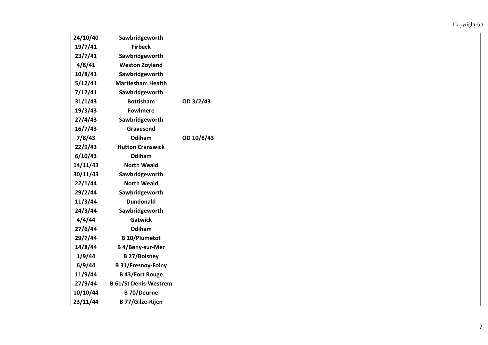| 24/10/40 | Sawbridgeworth               |            |
|----------|------------------------------|------------|
| 19/7/41  | <b>Firbeck</b>               |            |
| 23/7/41  | Sawbridgeworth               |            |
| 4/8/41   | <b>Weston Zoyland</b>        |            |
| 10/8/41  | Sawbridgeworth               |            |
| 5/12/41  | <b>Martlesham Health</b>     |            |
| 7/12/41  | Sawbridgeworth               |            |
| 31/1/43  | <b>Bottisham</b>             | OD 3/2/43  |
| 19/3/43  | <b>Fowlmere</b>              |            |
| 27/4/43  | Sawbridgeworth               |            |
| 16/7/43  | Gravesend                    |            |
| 7/8/43   | Odiham                       | OD 10/8/43 |
| 22/9/43  | <b>Hutton Cranswick</b>      |            |
| 6/10/43  | Odiham                       |            |
| 14/11/43 | <b>North Weald</b>           |            |
| 30/11/43 | Sawbridgeworth               |            |
| 22/1/44  | <b>North Weald</b>           |            |
| 29/2/44  | Sawbridgeworth               |            |
| 11/3/44  | <b>Dundonald</b>             |            |
| 24/3/44  | Sawbridgeworth               |            |
| 4/4/44   | <b>Gatwick</b>               |            |
| 27/6/44  | Odiham                       |            |
| 29/7/44  | <b>B</b> 10/Plumetot         |            |
| 14/8/44  | <b>B</b> 4/Beny-sur-Mer      |            |
| 1/9/44   | <b>B27/Boisney</b>           |            |
| 6/9/44   | <b>B 31/Fresnoy-Folny</b>    |            |
| 11/9/44  | <b>B</b> 43/Fort Rouge       |            |
| 27/9/44  | <b>B 61/St Denis-Westrem</b> |            |
| 10/10/44 | <b>B</b> 70/Deurne           |            |
| 23/11/44 | <b>B 77/Gilze-Rijen</b>      |            |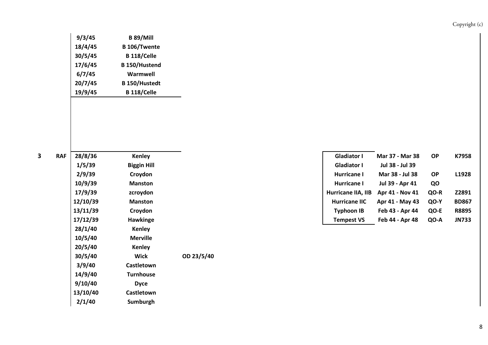| 9/3/45  | <b>B 89/Mill</b>     |
|---------|----------------------|
| 18/4/45 | <b>B</b> 106/Twente  |
| 30/5/45 | <b>B</b> 118/Celle   |
| 17/6/45 | <b>B</b> 150/Hustend |
| 6/7/45  | Warmwell             |
| 20/7/45 | <b>B</b> 150/Hustedt |
| 19/9/45 | <b>B</b> 118/Celle   |

**3**

| 28/8/36  | <b>Kenley</b>      |            | <b>Gladiator I</b>   | Mar 37 - Mar 3  |
|----------|--------------------|------------|----------------------|-----------------|
| 1/5/39   | <b>Biggin Hill</b> |            | <b>Gladiator I</b>   | Jul 38 - Jul 39 |
| 2/9/39   | Croydon            |            | <b>Hurricane I</b>   | Mar 38 - Jul 3  |
| 10/9/39  | <b>Manston</b>     |            | Hurricane I          | Jul 39 - Apr 41 |
| 17/9/39  | zcroydon           |            | Hurricane IIA, IIB   | Apr 41 - Nov 4  |
| 12/10/39 | <b>Manston</b>     |            | <b>Hurricane IIC</b> | Apr 41 - May 4  |
| 13/11/39 | Croydon            |            | <b>Typhoon IB</b>    | Feb 43 - Apr 4  |
| 17/12/39 | <b>Hawkinge</b>    |            | <b>Tempest VS</b>    | Feb 44 - Apr 4  |
| 28/1/40  | <b>Kenley</b>      |            |                      |                 |
| 10/5/40  | <b>Merville</b>    |            |                      |                 |
| 20/5/40  | <b>Kenley</b>      |            |                      |                 |
| 30/5/40  | <b>Wick</b>        | OD 23/5/40 |                      |                 |
| 3/9/40   | Castletown         |            |                      |                 |
| 14/9/40  | <b>Turnhouse</b>   |            |                      |                 |
| 9/10/40  | <b>Dyce</b>        |            |                      |                 |
| 13/10/40 | Castletown         |            |                      |                 |
| 2/1/40   | Sumburgh           |            |                      |                 |
|          |                    |            |                      |                 |

| <b>RAF</b> | 28/8/36  | Kenley             | <b>Gladiator I</b>   | Mar 37 - Mar 38 | <b>OP</b> | K7958        |
|------------|----------|--------------------|----------------------|-----------------|-----------|--------------|
|            | 1/5/39   | <b>Biggin Hill</b> | <b>Gladiator I</b>   | Jul 38 - Jul 39 |           |              |
|            | 2/9/39   | <b>Crovdon</b>     | Hurricane I          | Mar 38 - Jul 38 | <b>OP</b> | L1928        |
|            | 10/9/39  | <b>Manston</b>     | Hurricane I          | Jul 39 - Apr 41 | QO        |              |
|            | 17/9/39  | zcroydon           | Hurricane IIA, IIB   | Apr 41 - Nov 41 | QO-R      | Z2891        |
|            | 12/10/39 | <b>Manston</b>     | <b>Hurricane IIC</b> | Apr 41 - May 43 | QO-Y      | <b>BD867</b> |
|            | 13/11/39 | Croydon            | <b>Typhoon IB</b>    | Feb 43 - Apr 44 | QO-E      | <b>R8895</b> |
|            | 17/12/39 | <b>Hawkinge</b>    | <b>Tempest VS</b>    | Feb 44 - Apr 48 | QO-A      | <b>JN733</b> |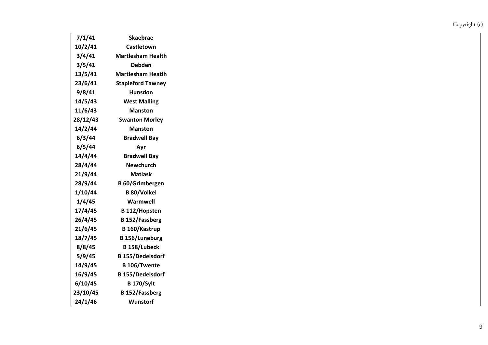| 7/1/41   | Skaebrae                 |
|----------|--------------------------|
| 10/2/41  | Castletown               |
| 3/4/41   | <b>Martlesham Health</b> |
| 3/5/41   | Debden                   |
| 13/5/41  | <b>Martlesham Heatlh</b> |
| 23/6/41  | <b>Stapleford Tawney</b> |
| 9/8/41   | <b>Hunsdon</b>           |
| 14/5/43  | <b>West Malling</b>      |
| 11/6/43  | <b>Manston</b>           |
| 28/12/43 | <b>Swanton Morley</b>    |
| 14/2/44  | <b>Manston</b>           |
| 6/3/44   | <b>Bradwell Bay</b>      |
| 6/5/44   | Ayr                      |
| 14/4/44  | <b>Bradwell Bay</b>      |
| 28/4/44  | Newchurch                |
| 21/9/44  | <b>Matlask</b>           |
| 28/9/44  | <b>B</b> 60/Grimbergen   |
| 1/10/44  | <b>B 80/Volkel</b>       |
| 1/4/45   | Warmwell                 |
| 17/4/45  | <b>B</b> 112/Hopsten     |
| 26/4/45  | <b>B</b> 152/Fassberg    |
| 21/6/45  | B 160/Kastrup            |
| 18/7/45  | <b>B</b> 156/Luneburg    |
| 8/8/45   | <b>B</b> 158/Lubeck      |
| 5/9/45   | <b>B</b> 155/Dedelsdorf  |
| 14/9/45  | <b>B</b> 106/Twente      |
| 16/9/45  | <b>B</b> 155/Dedelsdorf  |
| 6/10/45  | <b>B</b> 170/Sylt        |
| 23/10/45 | <b>B</b> 152/Fassberg    |
| 24/1/46  | Wunstorf                 |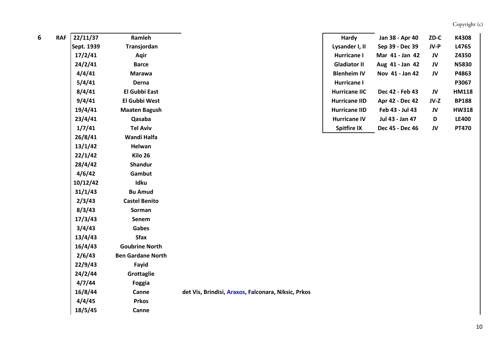| 6 | <b>RAF</b> | 22/11/37   | Ramleh                   |                                                     | Hardy                | Jan 38 - Apr 40 | $ZD-C$ | K4308        |
|---|------------|------------|--------------------------|-----------------------------------------------------|----------------------|-----------------|--------|--------------|
|   |            | Sept. 1939 | Transjordan              |                                                     | Lysander I, II       | Sep 39 - Dec 39 | JV-P   | L4765        |
|   |            | 17/2/41    | Aqir                     |                                                     | Hurricane I          | Mar 41 - Jan 42 | JV     | Z4350        |
|   |            | 24/2/41    | <b>Barce</b>             |                                                     | <b>Gladiator II</b>  | Aug 41 - Jan 42 | JV     | <b>N5830</b> |
|   |            | 4/4/41     | <b>Marawa</b>            |                                                     | <b>Blenheim IV</b>   | Nov 41 - Jan 42 | JV     | P4863        |
|   |            | 5/4/41     | Derna                    |                                                     | Hurricane I          |                 |        | P3067        |
|   |            | 8/4/41     | <b>El Gubbi East</b>     |                                                     | <b>Hurricane IIC</b> | Dec 42 - Feb 43 | JV     | <b>HM118</b> |
|   |            | 9/4/41     | El Gubbi West            |                                                     | <b>Hurricane IID</b> | Apr 42 - Dec 42 | $JV-Z$ | <b>BP188</b> |
|   |            | 19/4/41    | <b>Maaten Bagush</b>     |                                                     | <b>Hurricane IID</b> | Feb 43 - Jul 43 | JV     | <b>HW318</b> |
|   |            | 23/4/41    | Qasaba                   |                                                     | <b>Hurricane IV</b>  | Jul 43 - Jan 47 | D      | <b>LE400</b> |
|   |            | 1/7/41     | <b>Tel Aviv</b>          |                                                     | <b>Spitfire IX</b>   | Dec 45 - Dec 46 | JV     | <b>PT470</b> |
|   |            | 26/8/41    | Wandi Halfa              |                                                     |                      |                 |        |              |
|   |            | 13/1/42    | Helwan                   |                                                     |                      |                 |        |              |
|   |            | 22/1/42    | Kilo 26                  |                                                     |                      |                 |        |              |
|   |            | 28/4/42    | Shandur                  |                                                     |                      |                 |        |              |
|   |            | 4/6/42     | Gambut                   |                                                     |                      |                 |        |              |
|   |            | 10/12/42   | Idku                     |                                                     |                      |                 |        |              |
|   |            | 31/1/43    | <b>Bu Amud</b>           |                                                     |                      |                 |        |              |
|   |            | 2/3/43     | <b>Castel Benito</b>     |                                                     |                      |                 |        |              |
|   |            | 8/3/43     | Sorman                   |                                                     |                      |                 |        |              |
|   |            | 17/3/43    | Senem                    |                                                     |                      |                 |        |              |
|   |            | 3/4/43     | <b>Gabes</b>             |                                                     |                      |                 |        |              |
|   |            | 13/4/43    | <b>Sfax</b>              |                                                     |                      |                 |        |              |
|   |            | 16/4/43    | <b>Goubrine North</b>    |                                                     |                      |                 |        |              |
|   |            | 2/6/43     | <b>Ben Gardane North</b> |                                                     |                      |                 |        |              |
|   |            | 22/9/43    | Fayid                    |                                                     |                      |                 |        |              |
|   |            | 24/2/44    | Grottaglie               |                                                     |                      |                 |        |              |
|   |            | 4/7/44     | Foggia                   |                                                     |                      |                 |        |              |
|   |            | 16/8/44    | Canne                    | det Vis, Brindisi, Araxos, Falconara, Niksic, Prkos |                      |                 |        |              |
|   |            | 4/4/45     | <b>Prkos</b>             |                                                     |                      |                 |        |              |
|   |            | 18/5/45    | Canne                    |                                                     |                      |                 |        |              |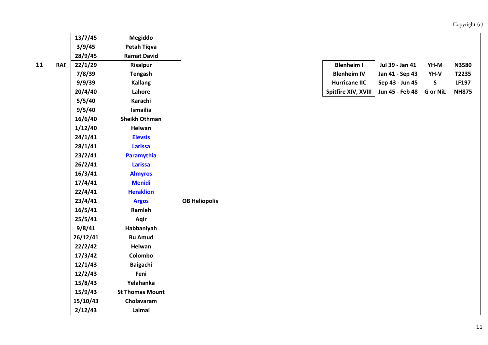|             |            | 13/7/45  | Megiddo                |                      |                      |                 |                 |
|-------------|------------|----------|------------------------|----------------------|----------------------|-----------------|-----------------|
|             |            | 3/9/45   | Petah Tiqva            |                      |                      |                 |                 |
|             |            | 28/9/45  | <b>Ramat David</b>     |                      |                      |                 |                 |
| $\mathbf 1$ | <b>RAF</b> | 22/1/29  | <b>Risalpur</b>        |                      | <b>Blenheim I</b>    | Jul 39 - Jan 41 | YH-M            |
|             |            | 7/8/39   | <b>Tengash</b>         |                      | <b>Blenheim IV</b>   | Jan 41 - Sep 43 | YH-V            |
|             |            | 9/9/39   | <b>Kallang</b>         |                      | <b>Hurricane IIC</b> | Sep 43 - Jun 45 | $\mathsf{S}$    |
|             |            | 20/4/40  | Lahore                 |                      | Spitfire XIV, XVIII  | Jun 45 - Feb 48 | <b>G</b> or NiL |
|             |            | 5/5/40   | Karachi                |                      |                      |                 |                 |
|             |            | 9/5/40   | Ismailia               |                      |                      |                 |                 |
|             |            | 16/6/40  | <b>Sheikh Othman</b>   |                      |                      |                 |                 |
|             |            | 1/12/40  | Helwan                 |                      |                      |                 |                 |
|             |            | 24/1/41  | <b>Elevsis</b>         |                      |                      |                 |                 |
|             |            | 28/1/41  | <b>Larissa</b>         |                      |                      |                 |                 |
|             |            | 23/2/41  | Paramythia             |                      |                      |                 |                 |
|             |            | 26/2/41  | <b>Larissa</b>         |                      |                      |                 |                 |
|             |            | 16/3/41  | <b>Almyros</b>         |                      |                      |                 |                 |
|             |            | 17/4/41  | <b>Menidi</b>          |                      |                      |                 |                 |
|             |            | 22/4/41  | <b>Heraklion</b>       |                      |                      |                 |                 |
|             |            | 23/4/41  | <b>Argos</b>           | <b>OB Heliopolis</b> |                      |                 |                 |
|             |            | 16/5/41  | Ramleh                 |                      |                      |                 |                 |
|             |            | 25/5/41  | Aqir                   |                      |                      |                 |                 |
|             |            | 9/8/41   | Habbaniyah             |                      |                      |                 |                 |
|             |            | 26/12/41 | <b>Bu Amud</b>         |                      |                      |                 |                 |
|             |            | 22/2/42  | Helwan                 |                      |                      |                 |                 |
|             |            | 17/3/42  | Colombo                |                      |                      |                 |                 |
|             |            | 12/1/43  | <b>Baigachi</b>        |                      |                      |                 |                 |
|             |            | 12/2/43  | Feni                   |                      |                      |                 |                 |
|             |            | 15/8/43  | Yelahanka              |                      |                      |                 |                 |
|             |            | 15/9/43  | <b>St Thomas Mount</b> |                      |                      |                 |                 |
|             |            | 15/10/43 | Cholavaram             |                      |                      |                 |                 |
|             |            | 2/12/43  | Lalmai                 |                      |                      |                 |                 |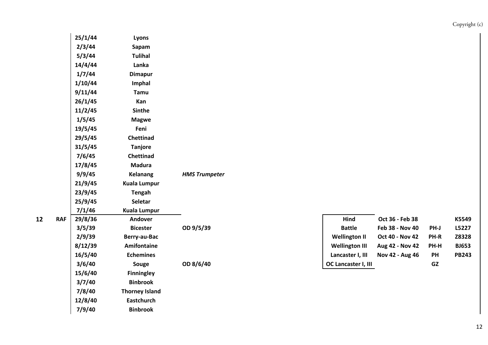|                         |            | 25/1/44 | Lyons                 |                      |                       |                 |      |              |
|-------------------------|------------|---------|-----------------------|----------------------|-----------------------|-----------------|------|--------------|
|                         |            | 2/3/44  | Sapam                 |                      |                       |                 |      |              |
|                         |            | 5/3/44  | <b>Tulihal</b>        |                      |                       |                 |      |              |
|                         |            | 14/4/44 | Lanka                 |                      |                       |                 |      |              |
|                         |            | 1/7/44  | <b>Dimapur</b>        |                      |                       |                 |      |              |
|                         |            | 1/10/44 | Imphal                |                      |                       |                 |      |              |
|                         |            | 9/11/44 | Tamu                  |                      |                       |                 |      |              |
|                         |            | 26/1/45 | Kan                   |                      |                       |                 |      |              |
|                         |            | 11/2/45 | <b>Sinthe</b>         |                      |                       |                 |      |              |
|                         |            | 1/5/45  | <b>Magwe</b>          |                      |                       |                 |      |              |
|                         |            | 19/5/45 | Feni                  |                      |                       |                 |      |              |
|                         |            | 29/5/45 | Chettinad             |                      |                       |                 |      |              |
|                         |            | 31/5/45 | <b>Tanjore</b>        |                      |                       |                 |      |              |
|                         |            | 7/6/45  | Chettinad             |                      |                       |                 |      |              |
|                         |            | 17/8/45 | <b>Madura</b>         |                      |                       |                 |      |              |
|                         |            | 9/9/45  | <b>Kelanang</b>       | <b>HMS Trumpeter</b> |                       |                 |      |              |
|                         |            | 21/9/45 | <b>Kuala Lumpur</b>   |                      |                       |                 |      |              |
|                         |            | 23/9/45 | <b>Tengah</b>         |                      |                       |                 |      |              |
|                         |            | 25/9/45 | <b>Seletar</b>        |                      |                       |                 |      |              |
|                         |            | 7/1/46  | <b>Kuala Lumpur</b>   |                      |                       |                 |      |              |
| $\overline{\mathbf{2}}$ | <b>RAF</b> | 29/8/36 | Andover               |                      | Hind                  | Oct 36 - Feb 38 |      | K5549        |
|                         |            | 3/5/39  | <b>Bicester</b>       | OD 9/5/39            | <b>Battle</b>         | Feb 38 - Nov 40 | PH-J | L5227        |
|                         |            | 2/9/39  | Berry-au-Bac          |                      | <b>Wellington II</b>  | Oct 40 - Nov 42 | PH-R | Z8328        |
|                         |            | 8/12/39 | Amifontaine           |                      | <b>Wellington III</b> | Aug 42 - Nov 42 | PH-H | <b>BJ653</b> |
|                         |            | 16/5/40 | <b>Echemines</b>      |                      | Lancaster I, III      | Nov 42 - Aug 46 | PH   | <b>PB243</b> |
|                         |            | 3/6/40  | Souge                 | OD 8/6/40            | OC Lancaster I, III   |                 | GZ   |              |
|                         |            | 15/6/40 | <b>Finningley</b>     |                      |                       |                 |      |              |
|                         |            | 3/7/40  | <b>Binbrook</b>       |                      |                       |                 |      |              |
|                         |            | 7/8/40  | <b>Thorney Island</b> |                      |                       |                 |      |              |
|                         |            | 12/8/40 | <b>Eastchurch</b>     |                      |                       |                 |      |              |

**7/9/40 Binbrook**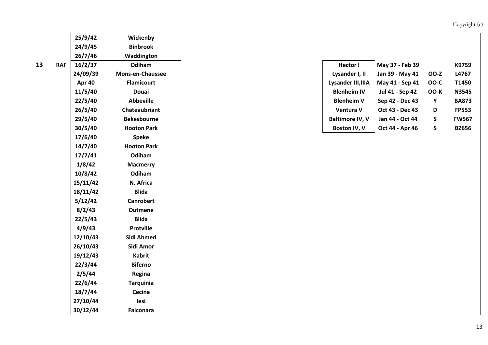|   | 24/9/45  | <b>Binbrook</b>         |
|---|----------|-------------------------|
|   | 26/7/46  | Waddington              |
| F | 16/2/37  | Odiham                  |
|   | 24/09/39 | <b>Mons-en-Chaussee</b> |
|   | Apr 40   | <b>Flamicourt</b>       |
|   | 11/5/40  | Douai                   |
|   | 22/5/40  | <b>Abbeville</b>        |
|   | 26/5/40  | Chateaubriant           |
|   | 29/5/40  | Bekesbourne             |
|   | 30/5/40  | <b>Hooton Park</b>      |
|   | 17/6/40  | <b>Speke</b>            |
|   | 14/7/40  | <b>Hooton Park</b>      |
|   | 17/7/41  | Odiham                  |
|   | 1/8/42   | <b>Macmerry</b>         |
|   | 10/8/42  | Odiham                  |
|   | 15/11/42 | N. Africa               |
|   | 18/11/42 | <b>Blida</b>            |
|   | 5/12/42  | Canrobert               |
|   | 8/2/43   | Outmene                 |
|   | 22/5/43  | <b>Blida</b>            |
|   | 4/9/43   | Protville               |
|   | 12/10/43 | Sidi Ahmed              |
|   | 26/10/43 | Sidi Amor               |
|   | 19/12/43 | Kabrit                  |
|   | 22/3/44  | <b>Biferno</b>          |
|   | 2/5/44   | Regina                  |
|   | 22/6/44  | <b>Tarquinia</b>        |
|   | 18/7/44  | Cecina                  |
|   | 27/10/44 | lesi                    |
|   | 30/12/44 | <b>Falconara</b>        |

**25/9/42 Wickenby**

| 3 | <b>RAF</b> | 16/2/37       | Odiham                  | <b>Hector I</b>        | May 37 - Feb 39 |      | K9759        |
|---|------------|---------------|-------------------------|------------------------|-----------------|------|--------------|
|   |            | 24/09/39      | <b>Mons-en-Chaussee</b> | Lysander I, II         | Jan 39 - May 41 | OO-Z | L4767        |
|   |            | <b>Apr 40</b> | <b>Flamicourt</b>       | Lysander III.IIIA      | May 41 - Sep 41 | OO-C | T1450        |
|   |            | 11/5/40       | <b>Douai</b>            | <b>Blenheim IV</b>     | Jul 41 - Sep 42 | OO-K | N3545        |
|   |            | 22/5/40       | <b>Abbeville</b>        | <b>Blenheim V</b>      | Sep 42 - Dec 43 | Υ    | <b>BA873</b> |
|   |            | 26/5/40       | Chateaubriant           | Ventura V              | Oct 43 - Dec 43 | D    | <b>FP553</b> |
|   |            | 29/5/40       | <b>Bekesbourne</b>      | <b>Baltimore IV, V</b> | Jan 44 - Oct 44 | S.   | <b>FW567</b> |
|   |            | 30/5/40       | <b>Hooton Park</b>      | <b>Boston IV. V</b>    | Oct 44 - Apr 46 | S    | <b>BZ656</b> |
|   |            |               |                         |                        |                 |      |              |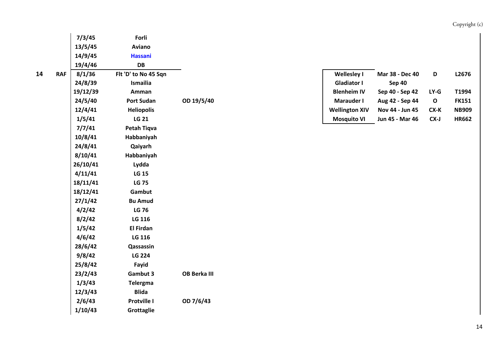|   |            | 7/3/45   | Forli                |              |                       |                 |             |              |
|---|------------|----------|----------------------|--------------|-----------------------|-----------------|-------------|--------------|
|   |            | 13/5/45  | Aviano               |              |                       |                 |             |              |
|   |            | 14/9/45  | <b>Hassani</b>       |              |                       |                 |             |              |
|   |            | 19/4/46  | DB                   |              |                       |                 |             |              |
| 4 | <b>RAF</b> | 8/1/36   | Flt 'D' to No 45 Sqn |              | <b>Wellesley I</b>    | Mar 38 - Dec 40 | D           | L2676        |
|   |            | 24/8/39  | Ismailia             |              | <b>Gladiator I</b>    | <b>Sep 40</b>   |             |              |
|   |            | 19/12/39 | Amman                |              | <b>Blenheim IV</b>    | Sep 40 - Sep 42 | $LY-G$      | T1994        |
|   |            | 24/5/40  | <b>Port Sudan</b>    | OD 19/5/40   | Marauder I            | Aug 42 - Sep 44 | $\mathbf O$ | <b>FK151</b> |
|   |            | 12/4/41  | <b>Heliopolis</b>    |              | <b>Wellington XIV</b> | Nov 44 - Jun 45 | $CX-K$      | <b>NB909</b> |
|   |            | 1/5/41   | <b>LG 21</b>         |              | <b>Mosquito VI</b>    | Jun 45 - Mar 46 | $CX-J$      | <b>HR662</b> |
|   |            | 7/7/41   | Petah Tiqva          |              |                       |                 |             |              |
|   |            | 10/8/41  | Habbaniyah           |              |                       |                 |             |              |
|   |            | 24/8/41  | Qaiyarh              |              |                       |                 |             |              |
|   |            | 8/10/41  | Habbaniyah           |              |                       |                 |             |              |
|   |            | 26/10/41 | Lydda                |              |                       |                 |             |              |
|   |            | 4/11/41  | <b>LG 15</b>         |              |                       |                 |             |              |
|   |            | 18/11/41 | <b>LG 75</b>         |              |                       |                 |             |              |
|   |            | 18/12/41 | Gambut               |              |                       |                 |             |              |
|   |            | 27/1/42  | <b>Bu Amud</b>       |              |                       |                 |             |              |
|   |            | 4/2/42   | <b>LG 76</b>         |              |                       |                 |             |              |
|   |            | 8/2/42   | LG 116               |              |                       |                 |             |              |
|   |            | 1/5/42   | <b>El Firdan</b>     |              |                       |                 |             |              |
|   |            | 4/6/42   | LG 116               |              |                       |                 |             |              |
|   |            | 28/6/42  | Qassassin            |              |                       |                 |             |              |
|   |            | 9/8/42   | <b>LG 224</b>        |              |                       |                 |             |              |
|   |            | 25/8/42  | Fayid                |              |                       |                 |             |              |
|   |            | 23/2/43  | <b>Gambut 3</b>      | OB Berka III |                       |                 |             |              |
|   |            | 1/3/43   | <b>Telergma</b>      |              |                       |                 |             |              |
|   |            | 12/3/43  | <b>Blida</b>         |              |                       |                 |             |              |
|   |            | 2/6/43   | Protville I          | OD 7/6/43    |                       |                 |             |              |
|   |            | 1/10/43  | Grottaglie           |              |                       |                 |             |              |
|   |            |          |                      |              |                       |                 |             |              |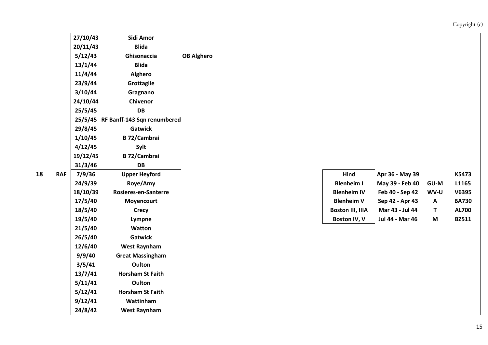| 27/10/43 | Sidi Amor                           |                   |
|----------|-------------------------------------|-------------------|
| 20/11/43 | Blida                               |                   |
| 5/12/43  | Ghisonaccia                         | <b>OB Alghero</b> |
| 13/1/44  | <b>Blida</b>                        |                   |
| 11/4/44  | <b>Alghero</b>                      |                   |
| 23/9/44  | Grottaglie                          |                   |
| 3/10/44  | Gragnano                            |                   |
| 24/10/44 | Chivenor                            |                   |
| 25/5/45  | DB                                  |                   |
|          | 25/5/45 RF Banff-143 Sqn renumbered |                   |
| 29/8/45  | <b>Gatwick</b>                      |                   |
| 1/10/45  | <b>B 72/Cambrai</b>                 |                   |
| 4/12/45  | Sylt                                |                   |
| 19/12/45 | <b>B</b> 72/Cambrai                 |                   |
| 31/3/46  | DB                                  |                   |
| 7/9/36   | <b>Upper Heyford</b>                |                   |
| 24/9/39  | Roye/Amy                            |                   |
| 18/10/39 | <b>Rosieres-en-Santerre</b>         |                   |
| 17/5/40  | Moyencourt                          |                   |
| 18/5/40  | <b>Crecy</b>                        |                   |
| 19/5/40  | Lympne                              |                   |
| 21/5/40  | Watton                              |                   |
| 26/5/40  | <b>Gatwick</b>                      |                   |
| 12/6/40  | <b>West Raynham</b>                 |                   |
| 9/9/40   | <b>Great Massingham</b>             |                   |
| 3/5/41   | Oulton                              |                   |
| 13/7/41  | <b>Horsham St Faith</b>             |                   |
| 5/11/41  | <b>Oulton</b>                       |                   |
| 5/12/41  | <b>Horsham St Faith</b>             |                   |
| 9/12/41  | Wattinham                           |                   |
| 24/8/42  | <b>West Raynham</b>                 |                   |

**18**

| 8 | <b>RAF</b> | 7/9/36   | <b>Upper Heyford</b> | Hind                    | Apr 36 - May 39 |             | K5473        |
|---|------------|----------|----------------------|-------------------------|-----------------|-------------|--------------|
|   |            | 24/9/39  | Rove/Amy             | <b>Blenheim I</b>       | May 39 - Feb 40 | <b>GU-M</b> | L1165        |
|   |            | 18/10/39 | Rosieres-en-Santerre | <b>Blenheim IV</b>      | Feb 40 - Sep 42 | WV-U        | V6395        |
|   |            | 17/5/40  | <b>Movencourt</b>    | <b>Blenheim V</b>       | Sep 42 - Apr 43 | A           | <b>BA730</b> |
|   |            | 18/5/40  | Crecy                | <b>Boston III, IIIA</b> | Mar 43 - Jul 44 |             | <b>AL700</b> |
|   |            | 19/5/40  | Lympne               | Boston IV, V            | Jul 44 - Mar 46 | M           | <b>BZ511</b> |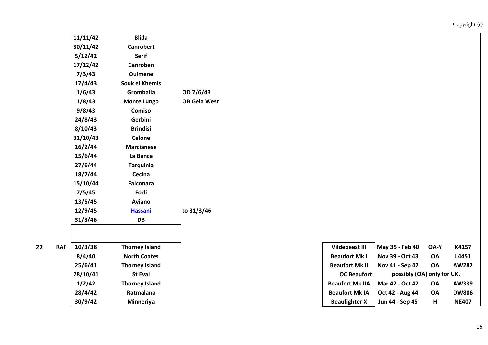| 11/11/42 | <b>Blida</b>          |                     |
|----------|-----------------------|---------------------|
| 30/11/42 | <b>Canrobert</b>      |                     |
| 5/12/42  | Serif                 |                     |
| 17/12/42 | Canroben              |                     |
| 7/3/43   | <b>Oulmene</b>        |                     |
| 17/4/43  | <b>Souk el Khemis</b> |                     |
| 1/6/43   | Grombalia             | OD 7/6/43           |
| 1/8/43   | <b>Monte Lungo</b>    | <b>OB Gela Wesr</b> |
| 9/8/43   | Comiso                |                     |
| 24/8/43  | Gerbini               |                     |
| 8/10/43  | <b>Brindisi</b>       |                     |
| 31/10/43 | <b>Celone</b>         |                     |
| 16/2/44  | <b>Marcianese</b>     |                     |
| 15/6/44  | La Banca              |                     |
| 27/6/44  | <b>Tarquinia</b>      |                     |
| 18/7/44  | Cecina                |                     |
| 15/10/44 | <b>Falconara</b>      |                     |
| 7/5/45   | Forli                 |                     |
| 13/5/45  | <b>Aviano</b>         |                     |
| 12/9/45  | <b>Hassani</b>        | to 31/3/46          |
| 31/3/46  | DB                    |                     |

| 10/3/38  | <b>Thorney Island</b> |  |
|----------|-----------------------|--|
| 8/4/40   | <b>North Coates</b>   |  |
| 25/6/41  | <b>Thorney Island</b> |  |
| 28/10/41 | <b>St Eval</b>        |  |
| 1/2/42   | <b>Thorney Island</b> |  |
| 28/4/42  | Ratmalana             |  |
| 30/9/42  | Minneriya             |  |

| Vildebeest III         | May 35 - Feb 40            | OA-Y      | K4157        |
|------------------------|----------------------------|-----------|--------------|
| <b>Beaufort Mk I</b>   | Nov 39 - Oct 43            | OA        | L4451        |
| <b>Beaufort Mk II</b>  | Nov 41 - Sep 42            | <b>OA</b> | AW282        |
| <b>OC Beaufort:</b>    | possibly (OA) only for UK. |           |              |
| <b>Beaufort Mk IIA</b> | Mar 42 - Oct 42            | <b>OA</b> | AW339        |
| <b>Beaufort Mk IA</b>  | Oct 42 - Aug 44            | OA        | <b>DW806</b> |
| <b>Beaufighter X</b>   | Jun 44 - Sep 45            | н         | <b>NE407</b> |
|                        |                            |           |              |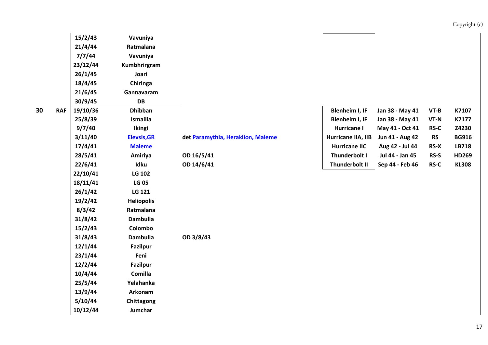| Copyright (c) |  |
|---------------|--|
|               |  |

|   |            | 15/2/43  | Vavuniya           |                                   |                      |                 |             |              |
|---|------------|----------|--------------------|-----------------------------------|----------------------|-----------------|-------------|--------------|
|   |            | 21/4/44  | Ratmalana          |                                   |                      |                 |             |              |
|   |            | 7/7/44   | Vavuniya           |                                   |                      |                 |             |              |
|   |            | 23/12/44 | Kumbhrirgram       |                                   |                      |                 |             |              |
|   |            | 26/1/45  | Joari              |                                   |                      |                 |             |              |
|   |            | 18/4/45  | Chiringa           |                                   |                      |                 |             |              |
|   |            | 21/6/45  | Gannavaram         |                                   |                      |                 |             |              |
|   |            | 30/9/45  | DB                 |                                   |                      |                 |             |              |
| 0 | <b>RAF</b> | 19/10/36 | <b>Dhibban</b>     |                                   | Blenheim I, IF       | Jan 38 - May 41 | $VT-B$      | K7107        |
|   |            | 25/8/39  | Ismailia           |                                   | Blenheim I, IF       | Jan 38 - May 41 | $VT-N$      | K7177        |
|   |            | 9/7/40   | <b>Ikingi</b>      |                                   | Hurricane I          | May 41 - Oct 41 | $RS-C$      | Z4230        |
|   |            | 3/11/40  | <b>Elevsis, GR</b> | det Paramythia, Heraklion, Maleme | Hurricane IIA, IIB   | Jun 41 - Aug 42 | <b>RS</b>   | <b>BG916</b> |
|   |            | 17/4/41  | <b>Maleme</b>      |                                   | <b>Hurricane IIC</b> | Aug 42 - Jul 44 | $RS-X$      | LB718        |
|   |            | 28/5/41  | Amiriya            | OD 16/5/41                        | Thunderbolt I        | Jul 44 - Jan 45 | RS-S        | HD269        |
|   |            | 22/6/41  | Idku               | OD 14/6/41                        | Thunderbolt II       | Sep 44 - Feb 46 | <b>RS-C</b> | <b>KL308</b> |
|   |            | 22/10/41 | LG 102             |                                   |                      |                 |             |              |
|   |            | 18/11/41 | <b>LG 05</b>       |                                   |                      |                 |             |              |
|   |            | 26/1/42  | LG 121             |                                   |                      |                 |             |              |
|   |            | 19/2/42  | <b>Heliopolis</b>  |                                   |                      |                 |             |              |
|   |            | 8/3/42   | Ratmalana          |                                   |                      |                 |             |              |
|   |            | 31/8/42  | <b>Dambulla</b>    |                                   |                      |                 |             |              |
|   |            | 15/2/43  | Colombo            |                                   |                      |                 |             |              |
|   |            | 31/8/43  | <b>Dambulla</b>    | OD 3/8/43                         |                      |                 |             |              |
|   |            | 12/1/44  | <b>Fazilpur</b>    |                                   |                      |                 |             |              |
|   |            | 23/1/44  | Feni               |                                   |                      |                 |             |              |
|   |            | 12/2/44  | <b>Fazilpur</b>    |                                   |                      |                 |             |              |
|   |            | 10/4/44  | <b>Comilla</b>     |                                   |                      |                 |             |              |
|   |            | 25/5/44  | Yelahanka          |                                   |                      |                 |             |              |
|   |            | 13/9/44  | Arkonam            |                                   |                      |                 |             |              |
|   |            | 5/10/44  | Chittagong         |                                   |                      |                 |             |              |
|   |            | 10/12/44 | Jumchar            |                                   |                      |                 |             |              |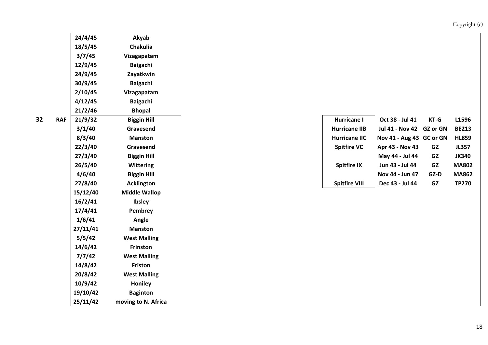|   | 24/4/45  | Akyab                |
|---|----------|----------------------|
|   | 18/5/45  | <b>Chakulia</b>      |
|   | 3/7/45   | Vizagapatam          |
|   | 12/9/45  | <b>Baigachi</b>      |
|   | 24/9/45  | Zayatkwin            |
|   | 30/9/45  | <b>Baigachi</b>      |
|   | 2/10/45  | Vizagapatam          |
|   | 4/12/45  | <b>Baigachi</b>      |
|   | 21/2/46  | <b>Bhopal</b>        |
| F | 21/9/32  | <b>Biggin Hill</b>   |
|   | 3/1/40   | Gravesend            |
|   | 8/3/40   | Manston              |
|   | 22/3/40  | Gravesend            |
|   | 27/3/40  | <b>Biggin Hill</b>   |
|   | 26/5/40  | <b>Wittering</b>     |
|   | 4/6/40   | <b>Biggin Hill</b>   |
|   | 27/8/40  | <b>Acklington</b>    |
|   | 15/12/40 | <b>Middle Wallop</b> |
|   | 16/2/41  | <b>Ibsley</b>        |
|   | 17/4/41  | Pembrey              |
|   | 1/6/41   | Angle                |
|   | 27/11/41 | <b>Manston</b>       |
|   | 5/5/42   | <b>West Malling</b>  |
|   | 14/6/42  | <b>Frinston</b>      |
|   | 7/7/42   | <b>West Malling</b>  |
|   | 14/8/42  | Friston              |
|   | 20/8/42  | <b>West Malling</b>  |
|   | 10/9/42  | <b>Honiley</b>       |
|   | 19/10/42 | <b>Baginton</b>      |
|   | 25/11/42 | moving to N. Africa  |

| 2 | <b>RAF</b> | 21/9/32 | <b>Biggin Hill</b> | Hurricane I          | Oct 38 - Jul 41          | $KT-G$    | L1596        |
|---|------------|---------|--------------------|----------------------|--------------------------|-----------|--------------|
|   |            | 3/1/40  | Gravesend          | <b>Hurricane IIB</b> | Jul 41 - Nov 42 GZ or GN |           | <b>BE213</b> |
|   |            | 8/3/40  | <b>Manston</b>     | <b>Hurricane IIC</b> | Nov 41 - Aug 43 GC or GN |           | <b>HL859</b> |
|   |            | 22/3/40 | Gravesend          | <b>Spitfire VC</b>   | Apr 43 - Nov 43          | GZ        | <b>JL357</b> |
|   |            | 27/3/40 | <b>Biggin Hill</b> |                      | May 44 - Jul 44          | <b>GZ</b> | <b>JK340</b> |
|   |            | 26/5/40 | <b>Wittering</b>   | <b>Spitfire IX</b>   | Jun 43 - Jul 44          | <b>GZ</b> | <b>MA802</b> |
|   |            | 4/6/40  | <b>Biggin Hill</b> |                      | Nov 44 - Jun 47          | GZ-D      | <b>MA862</b> |
|   |            | 27/8/40 | <b>Acklington</b>  | <b>Spitfire VIII</b> | Dec 43 - Jul 44          | GZ        | <b>TP270</b> |
|   |            |         |                    |                      |                          |           |              |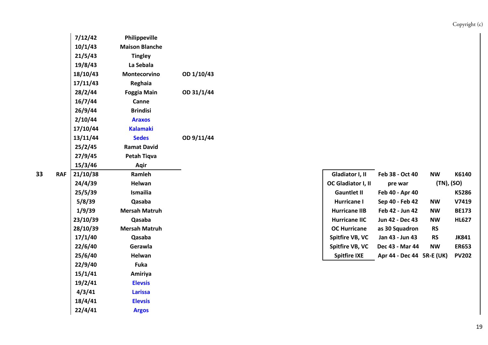| 7/12/42  | Philippeville         |            |  |                      |                        |           |
|----------|-----------------------|------------|--|----------------------|------------------------|-----------|
| 10/1/43  | <b>Maison Blanche</b> |            |  |                      |                        |           |
| 21/5/43  | <b>Tingley</b>        |            |  |                      |                        |           |
| 19/8/43  | La Sebala             |            |  |                      |                        |           |
| 18/10/43 | Montecorvino          | OD 1/10/43 |  |                      |                        |           |
| 17/11/43 | Reghaia               |            |  |                      |                        |           |
| 28/2/44  | <b>Foggia Main</b>    | OD 31/1/44 |  |                      |                        |           |
| 16/7/44  | Canne                 |            |  |                      |                        |           |
| 26/9/44  | <b>Brindisi</b>       |            |  |                      |                        |           |
| 2/10/44  | <b>Araxos</b>         |            |  |                      |                        |           |
| 17/10/44 | <b>Kalamaki</b>       |            |  |                      |                        |           |
| 13/11/44 | <b>Sedes</b>          | OD 9/11/44 |  |                      |                        |           |
| 25/2/45  | <b>Ramat David</b>    |            |  |                      |                        |           |
| 27/9/45  | <b>Petah Tiqva</b>    |            |  |                      |                        |           |
| 15/3/46  | Aqir                  |            |  |                      |                        |           |
| 21/10/38 | Ramleh                |            |  | Gladiator I, II      | Feb 38 - Oct 40        | <b>NV</b> |
| 24/4/39  | Helwan                |            |  | OC Gladiator I, II   | pre war                | 1         |
| 25/5/39  | Ismailia              |            |  | <b>Gauntlet II</b>   | Feb 40 - Apr 40        |           |
| 5/8/39   | Qasaba                |            |  | <b>Hurricane I</b>   | Sep 40 - Feb 42        | <b>NV</b> |
| 1/9/39   | <b>Mersah Matruh</b>  |            |  | <b>Hurricane IIB</b> | Feb 42 - Jun 42        | <b>NV</b> |
| 23/10/39 | Qasaba                |            |  | <b>Hurricane IIC</b> | Jun 42 - Dec 43        | <b>NV</b> |
| 28/10/39 | <b>Mersah Matruh</b>  |            |  | <b>OC Hurricane</b>  | as 30 Squadron         | <b>RS</b> |
| 17/1/40  | Qasaba                |            |  | Spitfire VB, VC      | Jan 43 - Jun 43        | <b>RS</b> |
| 22/6/40  | Gerawla               |            |  | Spitfire VB, VC      | Dec 43 - Mar 44        | NW        |
| 25/6/40  | Helwan                |            |  | <b>Spitfire IXE</b>  | Apr 44 - Dec 44 5R-E ( |           |
| 22/9/40  | Fuka                  |            |  |                      |                        |           |
| 15/1/41  | Amiriya               |            |  |                      |                        |           |
| 19/2/41  | <b>Elevsis</b>        |            |  |                      |                        |           |
| 4/3/41   | <b>Larissa</b>        |            |  |                      |                        |           |
| 18/4/41  | <b>Elevsis</b>        |            |  |                      |                        |           |
| 22/4/41  | <b>Argos</b>          |            |  |                      |                        |           |
|          |                       |            |  |                      |                        |           |

| 3 | <b>RAF</b> | 21/10/38 | Ramleh               | Gladiator I, II           | Feb 38 - Oct 40           | <b>NW</b>  | K6140        |
|---|------------|----------|----------------------|---------------------------|---------------------------|------------|--------------|
|   |            | 24/4/39  | Helwan               | <b>OC Gladiator I, II</b> | pre war                   | (TN), (SO) |              |
|   |            | 25/5/39  | Ismailia             | <b>Gauntlet II</b>        | Feb 40 - Apr 40           |            | K5286        |
|   |            | 5/8/39   | Qasaba               | <b>Hurricane I</b>        | Sep 40 - Feb 42           | <b>NW</b>  | V7419        |
|   |            | 1/9/39   | <b>Mersah Matruh</b> | <b>Hurricane IIB</b>      | Feb 42 - Jun 42           | <b>NW</b>  | <b>BE173</b> |
|   |            | 23/10/39 | Qasaba               | <b>Hurricane IIC</b>      | Jun 42 - Dec 43           | <b>NW</b>  | <b>HL627</b> |
|   |            | 28/10/39 | <b>Mersah Matruh</b> | <b>OC Hurricane</b>       | as 30 Squadron            | <b>RS</b>  |              |
|   |            | 17/1/40  | Qasaba               | Spitfire VB, VC           | Jan 43 - Jun 43           | <b>RS</b>  | JK841        |
|   |            | 22/6/40  | Gerawla              | Spitfire VB, VC           | Dec 43 - Mar 44           | <b>NW</b>  | <b>ER653</b> |
|   |            | 25/6/40  | Helwan               | <b>Spitfire IXE</b>       | Apr 44 - Dec 44 5R-E (UK) |            | <b>PV202</b> |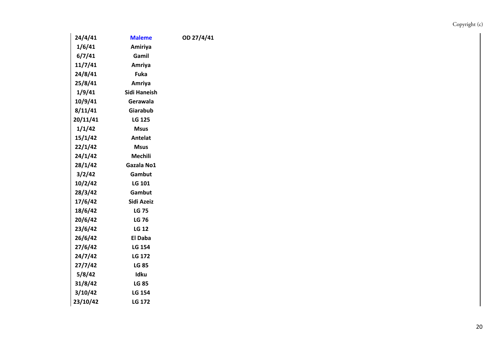| 24/4/41  | <b>Maleme</b>  | OD 27/4/41 |
|----------|----------------|------------|
| 1/6/41   | Amiriya        |            |
| 6/7/41   | Gamil          |            |
| 11/7/41  | Amriya         |            |
| 24/8/41  | <b>Fuka</b>    |            |
| 25/8/41  | Amriya         |            |
| 1/9/41   | Sidi Haneish   |            |
| 10/9/41  | Gerawala       |            |
| 8/11/41  | Giarabub       |            |
| 20/11/41 | <b>LG 125</b>  |            |
| 1/1/42   | <b>Msus</b>    |            |
| 15/1/42  | <b>Antelat</b> |            |
| 22/1/42  | Msus           |            |
| 24/1/42  | Mechili        |            |
| 28/1/42  | Gazala No1     |            |
| 3/2/42   | Gambut         |            |
| 10/2/42  | <b>LG 101</b>  |            |
| 28/3/42  | Gambut         |            |
| 17/6/42  | Sidi Azeiz     |            |
| 18/6/42  | <b>LG 75</b>   |            |
| 20/6/42  | <b>LG 76</b>   |            |
| 23/6/42  | <b>LG 12</b>   |            |
| 26/6/42  | <b>El Daba</b> |            |
| 27/6/42  | LG 154         |            |
| 24/7/42  | <b>LG 172</b>  |            |
| 27/7/42  | <b>LG 85</b>   |            |
| 5/8/42   | <b>Idku</b>    |            |
| 31/8/42  | <b>LG 85</b>   |            |
| 3/10/42  | LG 154         |            |
| 23/10/42 | LG 172         |            |
|          |                |            |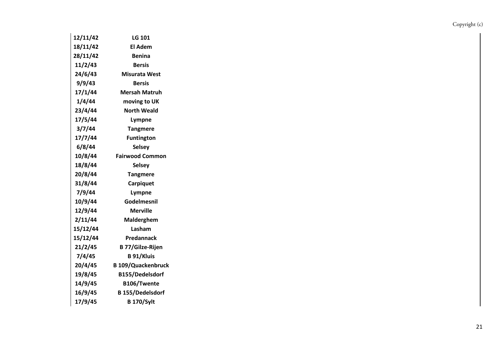| 12/11/42 | LG 101                    |
|----------|---------------------------|
| 18/11/42 | <b>El Adem</b>            |
| 28/11/42 | Benina                    |
| 11/2/43  | <b>Bersis</b>             |
| 24/6/43  | <b>Misurata West</b>      |
| 9/9/43   | <b>Bersis</b>             |
| 17/1/44  | <b>Mersah Matruh</b>      |
| 1/4/44   | moving to UK              |
| 23/4/44  | <b>North Weald</b>        |
| 17/5/44  | Lympne                    |
| 3/7/44   | <b>Tangmere</b>           |
| 17/7/44  | <b>Funtington</b>         |
| 6/8/44   | <b>Selsey</b>             |
| 10/8/44  | <b>Fairwood Common</b>    |
| 18/8/44  | <b>Selsey</b>             |
| 20/8/44  | <b>Tangmere</b>           |
| 31/8/44  | Carpiquet                 |
| 7/9/44   | Lympne                    |
| 10/9/44  | Godelmesnil               |
| 12/9/44  | <b>Merville</b>           |
| 2/11/44  | Malderghem                |
| 15/12/44 | Lasham                    |
| 15/12/44 | Predannack                |
| 21/2/45  | <b>B 77/Gilze-Rijen</b>   |
| 7/4/45   | <b>B</b> 91/Kluis         |
| 20/4/45  | <b>B 109/Quackenbruck</b> |
| 19/8/45  | B155/Dedelsdorf           |
| 14/9/45  | B106/Twente               |
| 16/9/45  | <b>B</b> 155/Dedelsdorf   |
| 17/9/45  | <b>B</b> 170/Sylt         |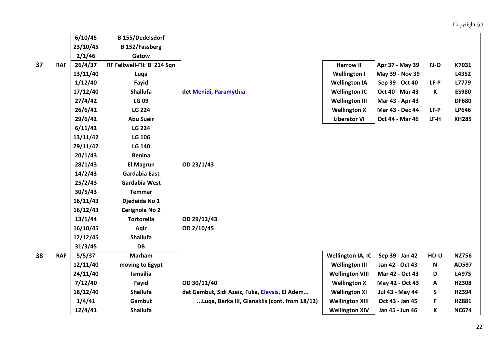|   |            | 6/10/45  | <b>B</b> 155/Dedelsdorf     |                                                |                          |                 |        |              |
|---|------------|----------|-----------------------------|------------------------------------------------|--------------------------|-----------------|--------|--------------|
|   |            | 23/10/45 | <b>B</b> 152/Fassberg       |                                                |                          |                 |        |              |
|   |            | 2/1/46   | Gatow                       |                                                |                          |                 |        |              |
| 7 | <b>RAF</b> | 26/4/37  | RF Feltwell-Flt 'B' 214 Sqn |                                                | <b>Harrow II</b>         | Apr 37 - May 39 | FJ-O   | K7031        |
|   |            | 13/11/40 | Luqa                        |                                                | <b>Wellington I</b>      | May 39 - Nov 39 |        | L4352        |
|   |            | 1/12/40  | Fayid                       |                                                | <b>Wellington IA</b>     | Sep 39 - Oct 40 | LF-P   | L7779        |
|   |            | 17/12/40 | <b>Shallufa</b>             | det Menidi, Paramythia                         | <b>Wellington IC</b>     | Oct 40 - Mar 43 | К      | <b>ES980</b> |
|   |            | 27/4/42  | <b>LG 09</b>                |                                                | <b>Wellington III</b>    | Mar 43 - Apr 43 |        | <b>DF680</b> |
|   |            | 26/6/42  | <b>LG 224</b>               |                                                | <b>Wellington X</b>      | Mar 43 - Dec 44 | $LF-P$ | LP646        |
|   |            | 29/6/42  | <b>Abu Sueir</b>            |                                                | <b>Liberator VI</b>      | Oct 44 - Mar 46 | LF-H   | <b>KH285</b> |
|   |            | 6/11/42  | <b>LG 224</b>               |                                                |                          |                 |        |              |
|   |            | 13/11/42 | LG 106                      |                                                |                          |                 |        |              |
|   |            | 29/11/42 | <b>LG 140</b>               |                                                |                          |                 |        |              |
|   |            | 20/1/43  | <b>Benina</b>               |                                                |                          |                 |        |              |
|   |            | 28/1/43  | <b>El Magrun</b>            | OD 23/1/43                                     |                          |                 |        |              |
|   |            | 14/2/43  | Gardabia East               |                                                |                          |                 |        |              |
|   |            | 25/2/43  | Gardabia West               |                                                |                          |                 |        |              |
|   |            | 30/5/43  | <b>Temmar</b>               |                                                |                          |                 |        |              |
|   |            | 16/11/43 | Djedeida No 1               |                                                |                          |                 |        |              |
|   |            | 16/12/43 | Cerignola No 2              |                                                |                          |                 |        |              |
|   |            | 13/1/44  | <b>Tortorella</b>           | OD 29/12/43                                    |                          |                 |        |              |
|   |            | 16/10/45 | Aqir                        | OD 2/10/45                                     |                          |                 |        |              |
|   |            | 12/12/45 | <b>Shallufa</b>             |                                                |                          |                 |        |              |
|   |            | 31/3/45  | <b>DB</b>                   |                                                |                          |                 |        |              |
| 8 | <b>RAF</b> | 5/5/37   | <b>Marham</b>               |                                                | <b>Wellington IA, IC</b> | Sep 39 - Jan 42 | HD-U   | N2756        |
|   |            | 12/11/40 | moving to Egypt             |                                                | <b>Wellington III</b>    | Jan 42 - Oct 43 | N      | AD597        |
|   |            | 24/11/40 | Ismailia                    |                                                | <b>Wellington VIII</b>   | Mar 42 - Oct 43 | D      | <b>LA975</b> |
|   |            | 7/12/40  | Fayid                       | OD 30/11/40                                    | <b>Wellington X</b>      | May 42 - Oct 43 | Α      | HZ308        |
|   |            | 18/12/40 | <b>Shallufa</b>             | det Gambut, Sidi Azeiz, Fuka, Elevsis, El Adem | <b>Wellington XI</b>     | Jul 43 - May 44 | S      | HZ394        |
|   |            | 1/4/41   | Gambut                      | Luqa, Berka III, Gianaklis (cont. from 18/12)  | <b>Wellington XIII</b>   | Oct 43 - Jan 45 | F      | HZ881        |
|   |            | 12/4/41  | <b>Shallufa</b>             |                                                | <b>Wellington XIV</b>    | Jan 45 - Jun 46 | K      | <b>NC674</b> |
|   |            |          |                             |                                                |                          |                 |        |              |

**38**

22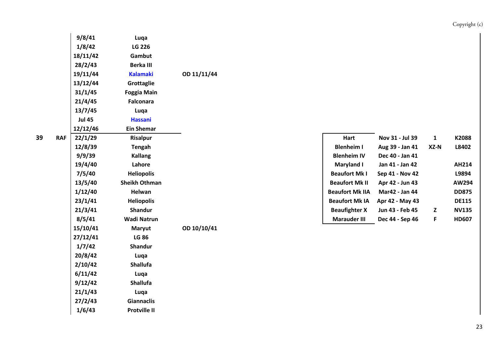|   |            | 9/8/41        | Luqa                 |             |                        |                 |             |              |
|---|------------|---------------|----------------------|-------------|------------------------|-----------------|-------------|--------------|
|   |            | 1/8/42        | LG 226               |             |                        |                 |             |              |
|   |            | 18/11/42      | Gambut               |             |                        |                 |             |              |
|   |            | 28/2/43       | Berka III            |             |                        |                 |             |              |
|   |            | 19/11/44      | <b>Kalamaki</b>      | OD 11/11/44 |                        |                 |             |              |
|   |            | 13/12/44      | Grottaglie           |             |                        |                 |             |              |
|   |            | 31/1/45       | <b>Foggia Main</b>   |             |                        |                 |             |              |
|   |            | 21/4/45       | <b>Falconara</b>     |             |                        |                 |             |              |
|   |            | 13/7/45       | Luqa                 |             |                        |                 |             |              |
|   |            | <b>Jul 45</b> | <b>Hassani</b>       |             |                        |                 |             |              |
|   |            | 12/12/46      | <b>Ein Shemar</b>    |             |                        |                 |             |              |
| 9 | <b>RAF</b> | 22/1/29       | <b>Risalpur</b>      |             | Hart                   | Nov 31 - Jul 39 | $\mathbf 1$ | K2088        |
|   |            | 12/8/39       | <b>Tengah</b>        |             | <b>Blenheim I</b>      | Aug 39 - Jan 41 | XZ-N        | L8402        |
|   |            | 9/9/39        | <b>Kallang</b>       |             | <b>Blenheim IV</b>     | Dec 40 - Jan 41 |             |              |
|   |            | 19/4/40       | Lahore               |             | <b>Maryland I</b>      | Jan 41 - Jan 42 |             | AH214        |
|   |            | 7/5/40        | <b>Heliopolis</b>    |             | <b>Beaufort Mk I</b>   | Sep 41 - Nov 42 |             | L9894        |
|   |            | 13/5/40       | <b>Sheikh Othman</b> |             | <b>Beaufort Mk II</b>  | Apr 42 - Jun 43 |             | AW294        |
|   |            | 1/12/40       | Helwan               |             | <b>Beaufort Mk IIA</b> | Mar42 - Jan 44  |             | <b>DD875</b> |
|   |            | 23/1/41       | <b>Heliopolis</b>    |             | <b>Beaufort Mk IA</b>  | Apr 42 - May 43 |             | <b>DE115</b> |
|   |            | 21/3/41       | Shandur              |             | <b>Beaufighter X</b>   | Jun 43 - Feb 45 | Z           | <b>NV135</b> |
|   |            | 8/5/41        | <b>Wadi Natrun</b>   |             | <b>Marauder III</b>    | Dec 44 - Sep 46 | F           | <b>HD607</b> |
|   |            | 15/10/41      | <b>Maryut</b>        | OD 10/10/41 |                        |                 |             |              |
|   |            | 27/12/41      | <b>LG 86</b>         |             |                        |                 |             |              |
|   |            | 1/7/42        | Shandur              |             |                        |                 |             |              |
|   |            | 20/8/42       | Luqa                 |             |                        |                 |             |              |
|   |            | 2/10/42       | Shallufa             |             |                        |                 |             |              |
|   |            | 6/11/42       | Luqa                 |             |                        |                 |             |              |
|   |            | 9/12/42       | Shallufa             |             |                        |                 |             |              |
|   |            | 21/1/43       | Luqa                 |             |                        |                 |             |              |
|   |            | 27/2/43       | <b>Giannaclis</b>    |             |                        |                 |             |              |
|   |            | 1/6/43        | <b>Protville II</b>  |             |                        |                 |             |              |
|   |            |               |                      |             |                        |                 |             |              |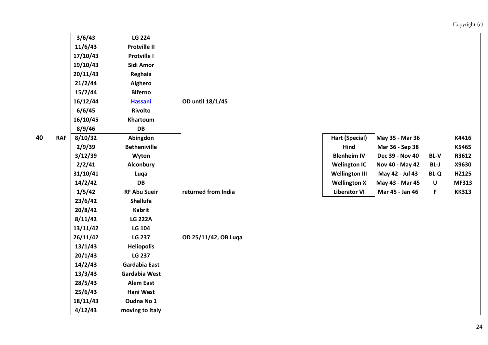|                 | 3/6/43   | <b>LG 224</b>       |                      |                       |                 |             |              |
|-----------------|----------|---------------------|----------------------|-----------------------|-----------------|-------------|--------------|
|                 | 11/6/43  | <b>Protville II</b> |                      |                       |                 |             |              |
|                 | 17/10/43 | Protville I         |                      |                       |                 |             |              |
|                 | 19/10/43 | Sidi Amor           |                      |                       |                 |             |              |
|                 | 20/11/43 | Reghaia             |                      |                       |                 |             |              |
|                 | 21/2/44  | Alghero             |                      |                       |                 |             |              |
|                 | 15/7/44  | <b>Biferno</b>      |                      |                       |                 |             |              |
|                 | 16/12/44 | <b>Hassani</b>      | OD until 18/1/45     |                       |                 |             |              |
|                 | 6/6/45   | <b>Rivolto</b>      |                      |                       |                 |             |              |
|                 | 16/10/45 | Khartoum            |                      |                       |                 |             |              |
|                 | 8/9/46   | DB                  |                      |                       |                 |             |              |
| 0<br><b>RAF</b> | 8/10/32  | Abingdon            |                      | <b>Hart (Special)</b> | May 35 - Mar 36 |             | K4416        |
|                 | 2/9/39   | <b>Betheniville</b> |                      | Hind                  | Mar 36 - Sep 38 |             | K5465        |
|                 | 3/12/39  | Wyton               |                      | <b>Blenheim IV</b>    | Dec 39 - Nov 40 | <b>BL-V</b> | R3612        |
|                 | 2/2/41   | Alconbury           |                      | <b>Welington IC</b>   | Nov 40 - May 42 | BL-J        | X9630        |
|                 | 31/10/41 | Luqa                |                      | <b>Wellington III</b> | May 42 - Jul 43 | <b>BL-Q</b> | HZ125        |
|                 | 14/2/42  | DB                  |                      | <b>Wellington X</b>   | May 43 - Mar 45 | $\sf U$     | <b>MF313</b> |
|                 | 1/5/42   | <b>RF Abu Sueir</b> | returned from India  | <b>Liberator VI</b>   | Mar 45 - Jan 46 | $\mathsf F$ | <b>KK313</b> |
|                 | 23/6/42  | Shallufa            |                      |                       |                 |             |              |
|                 | 20/8/42  | <b>Kabrit</b>       |                      |                       |                 |             |              |
|                 | 8/11/42  | <b>LG 222A</b>      |                      |                       |                 |             |              |
|                 | 13/11/42 | LG 104              |                      |                       |                 |             |              |
|                 | 26/11/42 | <b>LG 237</b>       | OD 25/11/42, OB Luqa |                       |                 |             |              |
|                 | 13/1/43  | <b>Heliopolis</b>   |                      |                       |                 |             |              |
|                 | 20/1/43  | <b>LG 237</b>       |                      |                       |                 |             |              |
|                 | 14/2/43  | Gardabia East       |                      |                       |                 |             |              |
|                 | 13/3/43  | Gardabia West       |                      |                       |                 |             |              |
|                 | 28/5/43  | <b>Alem East</b>    |                      |                       |                 |             |              |
|                 | 25/6/43  | Hani West           |                      |                       |                 |             |              |
|                 | 18/11/43 | Oudna No 1          |                      |                       |                 |             |              |
|                 | 4/12/43  | moving to Italy     |                      |                       |                 |             |              |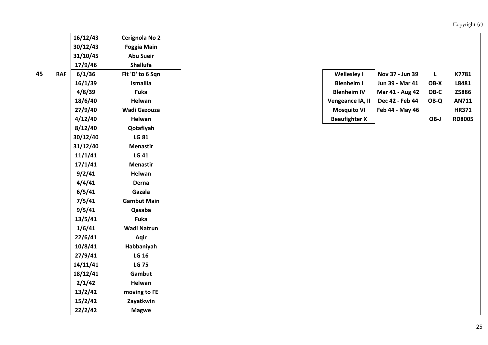| 16/12/43             | Cerignola No 2     |
|----------------------|--------------------|
| 30/12/43             | <b>Foggia Main</b> |
| 31/10/45             | <b>Abu Sueir</b>   |
| 17/9/46              | <b>Shallufa</b>    |
| 6/1/36<br><b>RAF</b> | Flt 'D' to 6 Sqn   |
| 16/1/39              | Ismailia           |
| 4/8/39               | <b>Fuka</b>        |
| 18/6/40              | Helwan             |
| 27/9/40              | Wadi Gazouza       |
| 4/12/40              | Helwan             |
| 8/12/40              | Qotafiyah          |
| 30/12/40             | <b>LG 81</b>       |
| 31/12/40             | <b>Menastir</b>    |
| 11/1/41              | <b>LG 41</b>       |
| 17/1/41              | <b>Menastir</b>    |
| 9/2/41               | Helwan             |
| 4/4/41               | Derna              |
| 6/5/41               | Gazala             |
| 7/5/41               | <b>Gambut Main</b> |
| 9/5/41               | Qasaba             |
| 13/5/41              | Fuka               |
| 1/6/41               | <b>Wadi Natrun</b> |
| 22/6/41              | Aqir               |
| 10/8/41              | Habbaniyah         |
| 27/9/41              | <b>LG 16</b>       |
| 14/11/41             | <b>LG 75</b>       |
| 18/12/41             | Gambut             |
| 2/1/42               | Helwan             |
| 13/2/42              | moving to FE       |
| 15/2/42              | Zayatkwin          |
| 22/2/42              | <b>Magwe</b>       |

| <b>Wellesley I</b>   | Nov 37 - Jun 39 |      | K7781         |
|----------------------|-----------------|------|---------------|
| <b>Blenheim I</b>    | Jun 39 - Mar 41 | OB-X | L8481         |
| <b>Blenheim IV</b>   | Mar 41 - Aug 42 | OB-C | Z5886         |
| Vengeance IA, II     | Dec 42 - Feb 44 | OB-Q | AN711         |
| <b>Mosquito VI</b>   | Feb 44 - May 46 |      | <b>HR371</b>  |
| <b>Beaufighter X</b> |                 | OB-I | <b>RD8005</b> |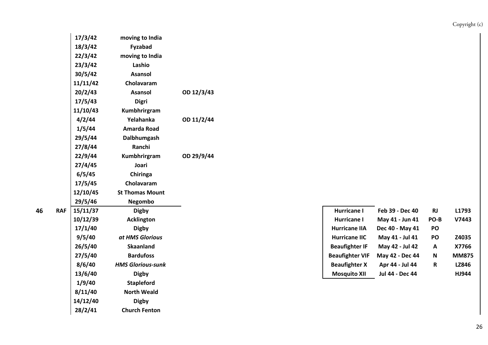|   |            | 17/3/42  | moving to India          |            |  |                        |                 |              |              |
|---|------------|----------|--------------------------|------------|--|------------------------|-----------------|--------------|--------------|
|   |            | 18/3/42  | Fyzabad                  |            |  |                        |                 |              |              |
|   |            | 22/3/42  | moving to India          |            |  |                        |                 |              |              |
|   |            | 23/3/42  | Lashio                   |            |  |                        |                 |              |              |
|   |            | 30/5/42  | <b>Asansol</b>           |            |  |                        |                 |              |              |
|   |            | 11/11/42 | Cholavaram               |            |  |                        |                 |              |              |
|   |            | 20/2/43  | <b>Asansol</b>           | OD 12/3/43 |  |                        |                 |              |              |
|   |            | 17/5/43  | <b>Digri</b>             |            |  |                        |                 |              |              |
|   |            | 11/10/43 | Kumbhrirgram             |            |  |                        |                 |              |              |
|   |            | 4/2/44   | Yelahanka                | OD 11/2/44 |  |                        |                 |              |              |
|   |            | 1/5/44   | Amarda Road              |            |  |                        |                 |              |              |
|   |            | 29/5/44  | Dalbhumgash              |            |  |                        |                 |              |              |
|   |            | 27/8/44  | Ranchi                   |            |  |                        |                 |              |              |
|   |            | 22/9/44  | Kumbhrirgram             | OD 29/9/44 |  |                        |                 |              |              |
|   |            | 27/4/45  | Joari                    |            |  |                        |                 |              |              |
|   |            | 6/5/45   | Chiringa                 |            |  |                        |                 |              |              |
|   |            | 17/5/45  | Cholavaram               |            |  |                        |                 |              |              |
|   |            | 12/10/45 | <b>St Thomas Mount</b>   |            |  |                        |                 |              |              |
|   |            | 29/5/46  | Negombo                  |            |  |                        |                 |              |              |
| 6 | <b>RAF</b> | 15/11/37 | <b>Digby</b>             |            |  | <b>Hurricane I</b>     | Feb 39 - Dec 40 | RJ           | L1793        |
|   |            | 10/12/39 | <b>Acklington</b>        |            |  | <b>Hurricane I</b>     | May 41 - Jun 41 | PO-B         | V7443        |
|   |            | 17/1/40  | <b>Digby</b>             |            |  | <b>Hurricane IIA</b>   | Dec 40 - May 41 | PO           |              |
|   |            | 9/5/40   | at HMS Glorious          |            |  | <b>Hurricane IIC</b>   | May 41 - Jul 41 | PO           | Z4035        |
|   |            | 26/5/40  | <b>Skaanland</b>         |            |  | <b>Beaufighter IF</b>  | May 42 - Jul 42 | A            | X7766        |
|   |            | 27/5/40  | <b>Bardufoss</b>         |            |  | <b>Beaufighter VIF</b> | May 42 - Dec 44 | $\mathsf{N}$ | <b>MM875</b> |
|   |            | 8/6/40   | <b>HMS Glorious-sunk</b> |            |  | <b>Beaufighter X</b>   | Apr 44 - Jul 44 | $\mathbf R$  | LZ846        |
|   |            | 13/6/40  | <b>Digby</b>             |            |  | <b>Mosquito XII</b>    | Jul 44 - Dec 44 |              | HJ944        |
|   |            | 1/9/40   | <b>Stapleford</b>        |            |  |                        |                 |              |              |
|   |            | 8/11/40  | <b>North Weald</b>       |            |  |                        |                 |              |              |
|   |            | 14/12/40 | <b>Digby</b>             |            |  |                        |                 |              |              |
|   |            | 28/2/41  | <b>Church Fenton</b>     |            |  |                        |                 |              |              |

| Hurricane I            | Feb 39 - Dec 40        | <b>RJ</b> | L1793        |
|------------------------|------------------------|-----------|--------------|
| <b>Hurricane I</b>     | May 41 - Jun 41        | PO-B      | V7443        |
| <b>Hurricane IIA</b>   | Dec 40 - May 41        | PO        |              |
| <b>Hurricane IIC</b>   | May 41 - Jul 41        | PO        | Z4035        |
| <b>Beaufighter IF</b>  | May 42 - Jul 42        | A         | X7766        |
| <b>Beaufighter VIF</b> | May 42 - Dec 44        | N         | <b>MM875</b> |
| <b>Beaufighter X</b>   | Apr 44 - Jul 44        | R         | LZ846        |
| <b>Mosquito XII</b>    | <b>Jul 44 - Dec 44</b> |           | HJ944        |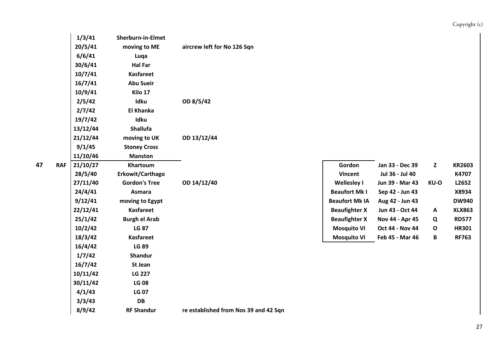| Copyright (c) |  |
|---------------|--|
|               |  |

|   |            | 1/3/41   | <b>Sherburn-in-Elmet</b> |                                       |                       |                        |              |               |
|---|------------|----------|--------------------------|---------------------------------------|-----------------------|------------------------|--------------|---------------|
|   |            | 20/5/41  | moving to ME             | aircrew left for No 126 Sqn           |                       |                        |              |               |
|   |            | 6/6/41   | Luqa                     |                                       |                       |                        |              |               |
|   |            | 30/6/41  | <b>Hal Far</b>           |                                       |                       |                        |              |               |
|   |            | 10/7/41  | <b>Kasfareet</b>         |                                       |                       |                        |              |               |
|   |            | 16/7/41  | <b>Abu Sueir</b>         |                                       |                       |                        |              |               |
|   |            | 10/9/41  | Kilo 17                  |                                       |                       |                        |              |               |
|   |            | 2/5/42   | Idku                     | OD 8/5/42                             |                       |                        |              |               |
|   |            | 2/7/42   | <b>El Khanka</b>         |                                       |                       |                        |              |               |
|   |            | 19/7/42  | Idku                     |                                       |                       |                        |              |               |
|   |            | 13/12/44 | <b>Shallufa</b>          |                                       |                       |                        |              |               |
|   |            | 21/12/44 | moving to UK             | OD 13/12/44                           |                       |                        |              |               |
|   |            | 9/1/45   | <b>Stoney Cross</b>      |                                       |                       |                        |              |               |
|   |            | 11/10/46 | <b>Manston</b>           |                                       |                       |                        |              |               |
| 7 | <b>RAF</b> | 21/10/27 | Khartoum                 |                                       | Gordon                | Jan 33 - Dec 39        | $\mathbf{Z}$ | <b>KR2603</b> |
|   |            | 28/5/40  | Erkowit/Carthago         |                                       | Vincent               | Jul 36 - Jul 40        |              | K4707         |
|   |            | 27/11/40 | <b>Gordon's Tree</b>     | OD 14/12/40                           | Wellesley I           | Jun 39 - Mar 43        | KU-O         | L2652         |
|   |            | 24/4/41  | Asmara                   |                                       | <b>Beaufort Mk I</b>  | Sep 42 - Jun 43        |              | X8934         |
|   |            | 9/12/41  | moving to Egypt          |                                       | <b>Beaufort Mk IA</b> | Aug 42 - Jun 43        |              | <b>DW940</b>  |
|   |            | 22/12/41 | <b>Kasfareet</b>         |                                       | <b>Beaufighter X</b>  | Jun 43 - Oct 44        | A            | <b>XLX863</b> |
|   |            | 25/1/42  | <b>Burgh el Arab</b>     |                                       | <b>Beaufighter X</b>  | Nov 44 - Apr 45        | Q            | <b>RD577</b>  |
|   |            | 10/2/42  | <b>LG 87</b>             |                                       | <b>Mosquito VI</b>    | <b>Oct 44 - Nov 44</b> | $\mathbf{o}$ | <b>HR301</b>  |
|   |            | 18/3/42  | <b>Kasfareet</b>         |                                       | <b>Mosquito VI</b>    | Feb 45 - Mar 46        | B            | <b>RF763</b>  |
|   |            | 16/4/42  | <b>LG 89</b>             |                                       |                       |                        |              |               |
|   |            | 1/7/42   | <b>Shandur</b>           |                                       |                       |                        |              |               |
|   |            | 16/7/42  | St Jean                  |                                       |                       |                        |              |               |
|   |            | 10/11/42 | <b>LG 227</b>            |                                       |                       |                        |              |               |
|   |            | 30/11/42 | <b>LG 08</b>             |                                       |                       |                        |              |               |
|   |            | 4/1/43   | <b>LG 07</b>             |                                       |                       |                        |              |               |
|   |            | 3/3/43   | DB                       |                                       |                       |                        |              |               |
|   |            | 8/9/42   | <b>RF Shandur</b>        | re established from Nos 39 and 42 Sqn |                       |                        |              |               |
|   |            |          |                          |                                       |                       |                        |              |               |

| Gordon                | Jan 33 - Dec 39 | Z    | <b>KR2603</b> |
|-----------------------|-----------------|------|---------------|
| <b>Vincent</b>        | Jul 36 - Jul 40 |      | K4707         |
| <b>Wellesley I</b>    | Jun 39 - Mar 43 | KU-O | L2652         |
| <b>Beaufort Mk I</b>  | Sep 42 - Jun 43 |      | X8934         |
| <b>Beaufort Mk IA</b> | Aug 42 - Jun 43 |      | <b>DW940</b>  |
| <b>Beaufighter X</b>  | Jun 43 - Oct 44 | A    | <b>XLX863</b> |
| <b>Beaufighter X</b>  | Nov 44 - Apr 45 | Q    | <b>RD577</b>  |
| <b>Mosquito VI</b>    | Oct 44 - Nov 44 | O    | <b>HR301</b>  |
| <b>Mosquito VI</b>    | Feb 45 - Mar 46 | в    | <b>RF763</b>  |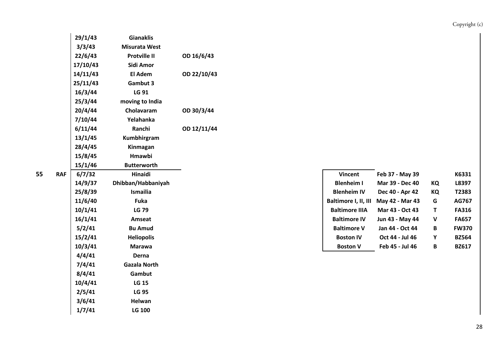|   |            | 29/1/43  | <b>Gianaklis</b>     |             |  |                       |                                      |             |              |
|---|------------|----------|----------------------|-------------|--|-----------------------|--------------------------------------|-------------|--------------|
|   |            | 3/3/43   | <b>Misurata West</b> |             |  |                       |                                      |             |              |
|   |            | 22/6/43  | <b>Protville II</b>  | OD 16/6/43  |  |                       |                                      |             |              |
|   |            | 17/10/43 | Sidi Amor            |             |  |                       |                                      |             |              |
|   |            | 14/11/43 | El Adem              | OD 22/10/43 |  |                       |                                      |             |              |
|   |            | 25/11/43 | Gambut 3             |             |  |                       |                                      |             |              |
|   |            | 16/3/44  | LG 91                |             |  |                       |                                      |             |              |
|   |            | 25/3/44  | moving to India      |             |  |                       |                                      |             |              |
|   |            | 20/4/44  | Cholavaram           | OD 30/3/44  |  |                       |                                      |             |              |
|   |            | 7/10/44  | Yelahanka            |             |  |                       |                                      |             |              |
|   |            | 6/11/44  | Ranchi               | OD 12/11/44 |  |                       |                                      |             |              |
|   |            | 13/1/45  | Kumbhirgram          |             |  |                       |                                      |             |              |
|   |            | 28/4/45  | Kinmagan             |             |  |                       |                                      |             |              |
|   |            | 15/8/45  | Hmawbi               |             |  |                       |                                      |             |              |
|   |            | 15/1/46  | <b>Butterworth</b>   |             |  |                       |                                      |             |              |
| 5 | <b>RAF</b> | 6/7/32   | Hinaidi              |             |  | <b>Vincent</b>        | Feb 37 - May 39                      |             | K6331        |
|   |            | 14/9/37  | Dhibban/Habbaniyah   |             |  | <b>Blenheim I</b>     | Mar 39 - Dec 40                      | KQ          | L8397        |
|   |            | 25/8/39  | Ismailia             |             |  | <b>Blenheim IV</b>    | Dec 40 - Apr 42                      | KQ          | T2383        |
|   |            | 11/6/40  | Fuka                 |             |  |                       | Baltimore I, II, III May 42 - Mar 43 | $\mathsf G$ | AG767        |
|   |            | 10/1/41  | <b>LG 79</b>         |             |  | <b>Baltimore IIIA</b> | Mar 43 - Oct 43                      | T           | <b>FA316</b> |
|   |            | 16/1/41  | Amseat               |             |  | <b>Baltimore IV</b>   | Jun 43 - May 44                      | $\mathbf v$ | <b>FA657</b> |
|   |            | 5/2/41   | <b>Bu Amud</b>       |             |  | <b>Baltimore V</b>    | Jan 44 - Oct 44                      | B           | <b>FW370</b> |
|   |            | 15/2/41  | <b>Heliopolis</b>    |             |  | <b>Boston IV</b>      | Oct 44 - Jul 46                      | Y           | <b>BZ564</b> |
|   |            | 10/3/41  | <b>Marawa</b>        |             |  | <b>Boston V</b>       | Feb 45 - Jul 46                      | B           | <b>BZ617</b> |
|   |            | 4/4/41   | Derna                |             |  |                       |                                      |             |              |
|   |            | 7/4/41   | <b>Gazala North</b>  |             |  |                       |                                      |             |              |
|   |            | 8/4/41   | Gambut               |             |  |                       |                                      |             |              |
|   |            | 10/4/41  | <b>LG 15</b>         |             |  |                       |                                      |             |              |
|   |            | 2/5/41   | <b>LG 95</b>         |             |  |                       |                                      |             |              |
|   |            | 3/6/41   | Helwan               |             |  |                       |                                      |             |              |
|   |            | 1/7/41   | <b>LG 100</b>        |             |  |                       |                                      |             |              |

| 6/7/32  | Hinaidi            | <b>Vincent</b>        | Feb 37 - May 39        |    | K6331        |
|---------|--------------------|-----------------------|------------------------|----|--------------|
| 14/9/37 | Dhibban/Habbaniyah | <b>Blenheim I</b>     | <b>Mar 39 - Dec 40</b> | KQ | L8397        |
| 25/8/39 | <b>Ismailia</b>    | <b>Blenheim IV</b>    | Dec 40 - Apr 42        | КQ | T2383        |
| 11/6/40 | <b>Fuka</b>        | Baltimore I, II, III  | May 42 - Mar 43        | G  | AG767        |
| 10/1/41 | <b>LG 79</b>       | <b>Baltimore IIIA</b> | Mar 43 - Oct 43        | Τ  | <b>FA316</b> |
| 16/1/41 | Amseat             | <b>Baltimore IV</b>   | <b>Jun 43 - May 44</b> | v  | <b>FA657</b> |
| 5/2/41  | <b>Bu Amud</b>     | <b>Baltimore V</b>    | Jan 44 - Oct 44        | B  | <b>FW370</b> |
| 15/2/41 | <b>Heliopolis</b>  | <b>Boston IV</b>      | Oct 44 - Jul 46        | Υ  | <b>BZ564</b> |
| 10/3/41 | <b>Marawa</b>      | <b>Boston V</b>       | Feb 45 - Jul 46        | B  | <b>BZ617</b> |
|         |                    |                       |                        |    |              |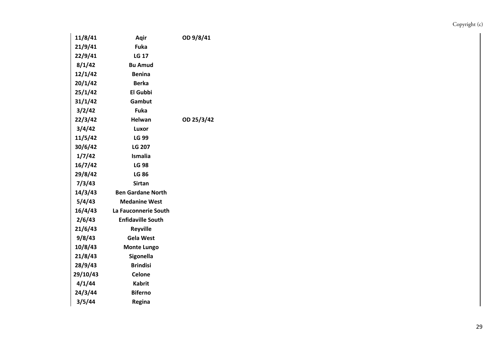| 11/8/41  | Aqir                     | OD 9/8/41  |
|----------|--------------------------|------------|
| 21/9/41  | <b>Fuka</b>              |            |
| 22/9/41  | <b>LG 17</b>             |            |
| 8/1/42   | <b>Bu Amud</b>           |            |
| 12/1/42  | <b>Benina</b>            |            |
| 20/1/42  | <b>Berka</b>             |            |
| 25/1/42  | <b>El Gubbi</b>          |            |
| 31/1/42  | Gambut                   |            |
| 3/2/42   | Fuka                     |            |
| 22/3/42  | Helwan                   | OD 25/3/42 |
| 3/4/42   | Luxor                    |            |
| 11/5/42  | <b>LG 99</b>             |            |
| 30/6/42  | <b>LG 207</b>            |            |
| 1/7/42   | Ismalia                  |            |
| 16/7/42  | <b>LG 98</b>             |            |
| 29/8/42  | <b>LG 86</b>             |            |
| 7/3/43   | Sirtan                   |            |
| 14/3/43  | <b>Ben Gardane North</b> |            |
| 5/4/43   | <b>Medanine West</b>     |            |
| 16/4/43  | La Fauconnerie South     |            |
| 2/6/43   | <b>Enfidaville South</b> |            |
| 21/6/43  | <b>Reyville</b>          |            |
| 9/8/43   | <b>Gela West</b>         |            |
| 10/8/43  | <b>Monte Lungo</b>       |            |
| 21/8/43  | Sigonella                |            |
| 28/9/43  | <b>Brindisi</b>          |            |
| 29/10/43 | <b>Celone</b>            |            |
| 4/1/44   | <b>Kabrit</b>            |            |
| 24/3/44  | <b>Biferno</b>           |            |
| 3/5/44   | Regina                   |            |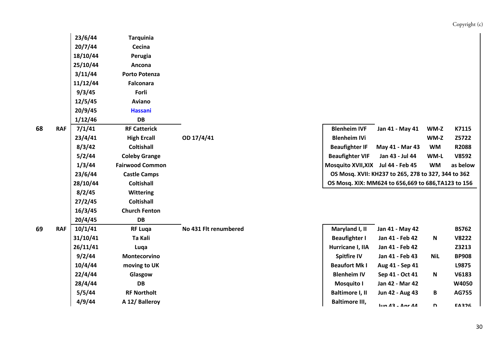|    |            | 23/6/44  | <b>Tarquinia</b>       |                       |                           |                                                     |            |              |
|----|------------|----------|------------------------|-----------------------|---------------------------|-----------------------------------------------------|------------|--------------|
|    |            | 20/7/44  | Cecina                 |                       |                           |                                                     |            |              |
|    |            | 18/10/44 | Perugia                |                       |                           |                                                     |            |              |
|    |            | 25/10/44 | Ancona                 |                       |                           |                                                     |            |              |
|    |            | 3/11/44  | <b>Porto Potenza</b>   |                       |                           |                                                     |            |              |
|    |            | 11/12/44 | <b>Falconara</b>       |                       |                           |                                                     |            |              |
|    |            | 9/3/45   | Forli                  |                       |                           |                                                     |            |              |
|    |            | 12/5/45  | Aviano                 |                       |                           |                                                     |            |              |
|    |            | 20/9/45  | <b>Hassani</b>         |                       |                           |                                                     |            |              |
|    |            | 1/12/46  | <b>DB</b>              |                       |                           |                                                     |            |              |
| 68 | <b>RAF</b> | 7/1/41   | <b>RF Catterick</b>    |                       | <b>Blenheim IVF</b>       | Jan 41 - May 41                                     | WM-Z       | K7115        |
|    |            | 23/4/41  | <b>High Ercall</b>     | OD 17/4/41            | <b>Blenheim IVi</b>       |                                                     | WM-Z       | Z5722        |
|    |            | 8/3/42   | <b>Coltishall</b>      |                       | <b>Beaufighter IF</b>     | May 41 - Mar 43                                     | <b>WM</b>  | R2088        |
|    |            | 5/2/44   | <b>Coleby Grange</b>   |                       | <b>Beaufighter VIF</b>    | Jan 43 - Jul 44                                     | WM-L       | V8592        |
|    |            | 1/3/44   | <b>Fairwood Common</b> |                       | <b>Mosquito XVII, XIX</b> | Jul 44 - Feb 45                                     | <b>WM</b>  | as below     |
|    |            | 23/6/44  | <b>Castle Camps</b>    |                       |                           | OS Mosq. XVII: KH237 to 265, 278 to 327, 344 to 362 |            |              |
|    |            | 28/10/44 | <b>Coltishall</b>      |                       |                           | OS Mosq. XIX: MM624 to 656,669 to 686, TA123 to 156 |            |              |
|    |            | 8/2/45   | <b>Wittering</b>       |                       |                           |                                                     |            |              |
|    |            | 27/2/45  | <b>Coltishall</b>      |                       |                           |                                                     |            |              |
|    |            | 16/3/45  | <b>Church Fenton</b>   |                       |                           |                                                     |            |              |
|    |            | 20/4/45  | <b>DB</b>              |                       |                           |                                                     |            |              |
| 69 | <b>RAF</b> | 10/1/41  | <b>RF Luqa</b>         | No 431 Flt renumbered | Maryland I, II            | Jan 41 - May 42                                     |            | <b>BS762</b> |
|    |            | 31/10/41 | Ta Kali                |                       | <b>Beaufighter I</b>      | Jan 41 - Feb 42                                     | Ν          | <b>V8222</b> |
|    |            | 26/11/41 | Luqa                   |                       | Hurricane I, IIA          | Jan 41 - Feb 42                                     |            | Z3213        |
|    |            | 9/2/44   | Montecorvino           |                       | <b>Spitfire IV</b>        | Jan 41 - Feb 43                                     | <b>NiL</b> | <b>BP908</b> |
|    |            | 10/4/44  | moving to UK           |                       | <b>Beaufort Mk I</b>      | Aug 41 - Sep 41                                     |            | L9875        |
|    |            | 22/4/44  | Glasgow                |                       | <b>Blenheim IV</b>        | Sep 41 - Oct 41                                     | N          | V6183        |
|    |            | 28/4/44  | <b>DB</b>              |                       | Mosquito I                | Jan 42 - Mar 42                                     |            | W4050        |
|    |            | 5/5/44   | <b>RF Northolt</b>     |                       | <b>Baltimore I, II</b>    | Jun 42 - Aug 43                                     | B          | <b>AG755</b> |
|    |            | 4/9/44   | A 12/ Balleroy         |                       | <b>Baltimore III,</b>     | $\ln n 12 - \ln n 11$                               | n          | <b>EA276</b> |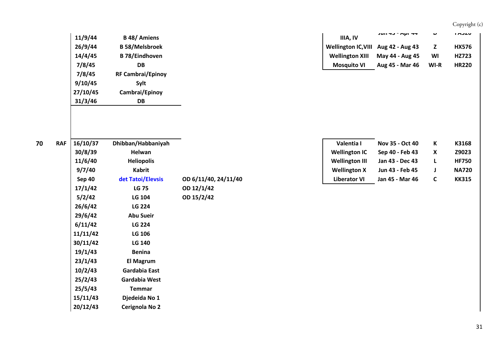|            | 11/9/44  | <b>B</b> 48/ Amiens      | IIIA, IV                   | $JUII HJ - HVI H$ |      |
|------------|----------|--------------------------|----------------------------|-------------------|------|
|            | 26/9/44  | <b>B58/Melsbroek</b>     | <b>Wellington IC, VIII</b> | Aug 42 - Aug 43   |      |
|            | 14/4/45  | <b>B 78/Eindhoven</b>    | <b>Wellington XIII</b>     | May 44 - Aug 45   |      |
|            | 7/8/45   | <b>DB</b>                | <b>Mosquito VI</b>         | Aug 45 - Mar 46   | WI-R |
|            | 7/8/45   | <b>RF Cambrai/Epinoy</b> |                            |                   |      |
|            | 9/10/45  | Sylt                     |                            |                   |      |
|            | 27/10/45 | Cambrai/Epinoy           |                            |                   |      |
|            | 31/3/46  | <b>DB</b>                |                            |                   |      |
|            |          |                          |                            |                   |      |
|            |          |                          |                            |                   |      |
|            |          |                          |                            |                   |      |
| <b>RAF</b> | 16/10/37 | Dhibban/Habbaniyah       | Valentia I                 | Nov 35 - Oct 40   |      |
|            | 30/8/39  | <b>Helwan</b>            | <b>Wellington IC</b>       | Sep 40 - Feb 43   |      |

| 16/10/37      | Dhibban/Habbaniyah |            |
|---------------|--------------------|------------|
| 30/8/39       | <b>Helwan</b>      |            |
| 11/6/40       | <b>Heliopolis</b>  |            |
| 9/7/40        | Kabrit             |            |
| <b>Sep 40</b> | det Tatoi/Elevsis  | OD 6/11/40 |
| 17/1/42       | <b>LG 75</b>       | OD 12/1/42 |
| 5/2/42        | <b>LG 104</b>      | OD 15/2/42 |
| 26/6/42       | <b>LG 224</b>      |            |
| 29/6/42       | <b>Abu Sueir</b>   |            |
| 6/11/42       | <b>LG 224</b>      |            |
| 11/11/42      | <b>LG 106</b>      |            |
| 30/11/42      | <b>LG 140</b>      |            |
| 19/1/43       | <b>Benina</b>      |            |
| 23/1/43       | El Magrum          |            |
| 10/2/43       | Gardabia East      |            |
| 25/2/43       | Gardabia West      |            |
| 25/5/43       | Temmar             |            |
| 15/11/43      | Djedeida No 1      |            |
| 20/12/43      | Cerignola No 2     |            |
|               |                    |            |

| 6/10/37 | Dhibban/Habbaniyah |                      | Valentia I            | Nov 35 - Oct 40 | К | K3168        |
|---------|--------------------|----------------------|-----------------------|-----------------|---|--------------|
| 30/8/39 | <b>Helwan</b>      |                      | <b>Wellington IC</b>  | Sep 40 - Feb 43 |   | Z9023        |
| 1/6/40  | <b>Heliopolis</b>  |                      | <b>Wellington III</b> | Jan 43 - Dec 43 |   | <b>HF750</b> |
| 9/7/40  | <b>Kabrit</b>      |                      | <b>Wellington X</b>   | Jun 43 - Feb 45 |   | <b>NA720</b> |
| Sep 40  | det Tatoi/Elevsis  | OD 6/11/40, 24/11/40 | <b>Liberator VI</b>   | Jan 45 - Mar 46 |   | <b>KK315</b> |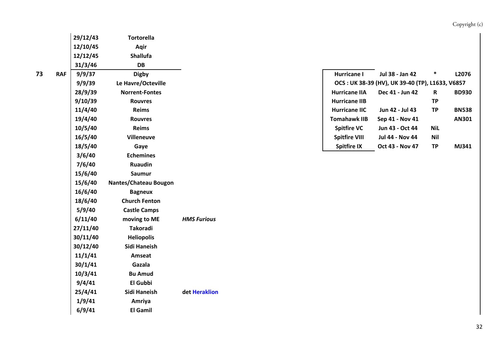|   |            | 29/12/43 | <b>Tortorella</b>     |                    |  |                      |                                                 |             |
|---|------------|----------|-----------------------|--------------------|--|----------------------|-------------------------------------------------|-------------|
|   |            | 12/10/45 | Aqir                  |                    |  |                      |                                                 |             |
|   |            | 12/12/45 | <b>Shallufa</b>       |                    |  |                      |                                                 |             |
|   |            | 31/3/46  | DB                    |                    |  |                      |                                                 |             |
| 3 | <b>RAF</b> | 9/9/37   | <b>Digby</b>          |                    |  | <b>Hurricane I</b>   | Jul 38 - Jan 42                                 | $\ast$      |
|   |            | 9/9/39   | Le Havre/Octeville    |                    |  |                      | OCS: UK 38-39 (HV), UK 39-40 (TP), L1633, V6857 |             |
|   |            | 28/9/39  | <b>Norrent-Fontes</b> |                    |  | <b>Hurricane IIA</b> | Dec 41 - Jun 42                                 | $\mathbf R$ |
|   |            | 9/10/39  | <b>Rouvres</b>        |                    |  | <b>Hurricane IIB</b> |                                                 | <b>TP</b>   |
|   |            | 11/4/40  | Reims                 |                    |  | <b>Hurricane IIC</b> | Jun 42 - Jul 43                                 | <b>TP</b>   |
|   |            | 19/4/40  | <b>Rouvres</b>        |                    |  | <b>Tomahawk IIB</b>  | Sep 41 - Nov 41                                 |             |
|   |            | 10/5/40  | <b>Reims</b>          |                    |  | <b>Spitfire VC</b>   | Jun 43 - Oct 44                                 | <b>NiL</b>  |
|   |            | 16/5/40  | <b>Villeneuve</b>     |                    |  | <b>Spitfire VIII</b> | Jul 44 - Nov 44                                 | <b>Nil</b>  |
|   |            | 18/5/40  | Gaye                  |                    |  | <b>Spitfire IX</b>   | Oct 43 - Nov 47                                 | <b>TP</b>   |
|   |            | 3/6/40   | <b>Echemines</b>      |                    |  |                      |                                                 |             |
|   |            | 7/6/40   | <b>Ruaudin</b>        |                    |  |                      |                                                 |             |
|   |            | 15/6/40  | <b>Saumur</b>         |                    |  |                      |                                                 |             |
|   |            | 15/6/40  | Nantes/Chateau Bougon |                    |  |                      |                                                 |             |
|   |            | 16/6/40  | <b>Bagneux</b>        |                    |  |                      |                                                 |             |
|   |            | 18/6/40  | <b>Church Fenton</b>  |                    |  |                      |                                                 |             |
|   |            | 5/9/40   | <b>Castle Camps</b>   |                    |  |                      |                                                 |             |
|   |            | 6/11/40  | moving to ME          | <b>HMS Furious</b> |  |                      |                                                 |             |
|   |            | 27/11/40 | Takoradi              |                    |  |                      |                                                 |             |
|   |            | 30/11/40 | <b>Heliopolis</b>     |                    |  |                      |                                                 |             |
|   |            | 30/12/40 | Sidi Haneish          |                    |  |                      |                                                 |             |
|   |            | 11/1/41  | Amseat                |                    |  |                      |                                                 |             |
|   |            | 30/1/41  | Gazala                |                    |  |                      |                                                 |             |
|   |            | 10/3/41  | <b>Bu Amud</b>        |                    |  |                      |                                                 |             |
|   |            | 9/4/41   | El Gubbi              |                    |  |                      |                                                 |             |
|   |            | 25/4/41  | Sidi Haneish          | det Heraklion      |  |                      |                                                 |             |
|   |            | 1/9/41   | Amriya                |                    |  |                      |                                                 |             |
|   |            | 6/9/41   | <b>El Gamil</b>       |                    |  |                      |                                                 |             |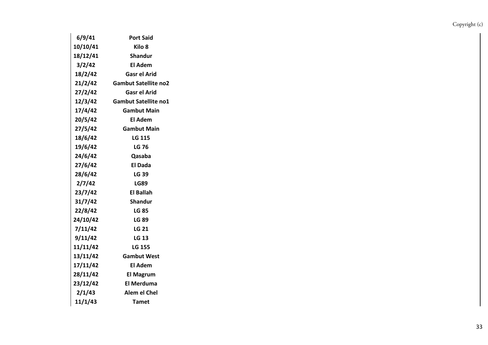| 6/9/41   | <b>Port Said</b>            |
|----------|-----------------------------|
| 10/10/41 | Kilo 8                      |
| 18/12/41 | Shandur                     |
| 3/2/42   | El Adem                     |
| 18/2/42  | Gasr el Arid                |
| 21/2/42  | <b>Gambut Satellite no2</b> |
| 27/2/42  | <b>Gasr el Arid</b>         |
| 12/3/42  | <b>Gambut Satellite no1</b> |
| 17/4/42  | <b>Gambut Main</b>          |
| 20/5/42  | El Adem                     |
| 27/5/42  | <b>Gambut Main</b>          |
| 18/6/42  | <b>LG 115</b>               |
| 19/6/42  | LG 76                       |
| 24/6/42  | Qasaba                      |
| 27/6/42  | El Dada                     |
| 28/6/42  | LG 39                       |
| 2/7/42   | <b>LG89</b>                 |
| 23/7/42  | El Ballah                   |
| 31/7/42  | Shandur                     |
| 22/8/42  | LG 85                       |
| 24/10/42 | <b>LG 89</b>                |
| 7/11/42  | <b>LG 21</b>                |
| 9/11/42  | <b>LG 13</b>                |
| 11/11/42 | LG 155                      |
| 13/11/42 | <b>Gambut West</b>          |
| 17/11/42 | El Adem                     |
| 28/11/42 | <b>El Magrum</b>            |
| 23/12/42 | <b>El Merduma</b>           |
| 2/1/43   | Alem el Chel                |
| 11/1/43  | <b>Tamet</b>                |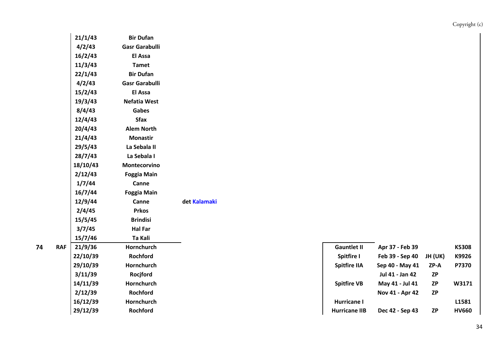| 21/1/43  | <b>Bir Dufan</b>      |              |                     |                 |
|----------|-----------------------|--------------|---------------------|-----------------|
| 4/2/43   | <b>Gasr Garabulli</b> |              |                     |                 |
| 16/2/43  | El Assa               |              |                     |                 |
| 11/3/43  | <b>Tamet</b>          |              |                     |                 |
| 22/1/43  | <b>Bir Dufan</b>      |              |                     |                 |
| 4/2/43   | <b>Gasr Garabulli</b> |              |                     |                 |
| 15/2/43  | El Assa               |              |                     |                 |
| 19/3/43  | <b>Nefatia West</b>   |              |                     |                 |
| 8/4/43   | Gabes                 |              |                     |                 |
| 12/4/43  | <b>Sfax</b>           |              |                     |                 |
| 20/4/43  | <b>Alem North</b>     |              |                     |                 |
| 21/4/43  | <b>Monastir</b>       |              |                     |                 |
| 29/5/43  | La Sebala II          |              |                     |                 |
| 28/7/43  | La Sebala I           |              |                     |                 |
| 18/10/43 | Montecorvino          |              |                     |                 |
| 2/12/43  | <b>Foggia Main</b>    |              |                     |                 |
| 1/7/44   | Canne                 |              |                     |                 |
| 16/7/44  | <b>Foggia Main</b>    |              |                     |                 |
| 12/9/44  | Canne                 | det Kalamaki |                     |                 |
| 2/4/45   | <b>Prkos</b>          |              |                     |                 |
| 15/5/45  | <b>Brindisi</b>       |              |                     |                 |
| 3/7/45   | <b>Hal Far</b>        |              |                     |                 |
| 15/7/46  | Ta Kali               |              |                     |                 |
| 21/9/36  | Hornchurch            |              | <b>Gauntlet II</b>  | Apr 37 - Feb 39 |
| 22/10/39 | Rochford              |              | <b>Spitfire I</b>   | Feb 39 - Sep 40 |
| 29/10/39 | Hornchurch            |              | <b>Spitfire IIA</b> | Sep 40 - May 41 |
| 3/11/39  | Rocjford              |              |                     | Jul 41 - Jan 42 |
| 14/11/39 | Hornchurch            |              | <b>Spitfire VB</b>  | May 41 - Jul 41 |
| 2/12/39  | Rochford              |              |                     | Nov 41 - Apr 42 |
| 16/12/39 | Hornchurch            |              | Hurricane I         |                 |
| 20/12/20 | <b>Dochford</b>       |              | Hurricano IIR       | Doc 12 Son 12   |

| 4 | <b>RAF</b> | 21/9/36  | Hornchurch        | <b>Gauntlet II</b>   | Apr 37 - Feb 39 |           | K5308        |
|---|------------|----------|-------------------|----------------------|-----------------|-----------|--------------|
|   |            | 22/10/39 | Rochford          | Spitfire I           | Feb 39 - Sep 40 | JH (UK)   | K9926        |
|   |            | 29/10/39 | Hornchurch        | <b>Spitfire IIA</b>  | Sep 40 - May 41 | ZP-A      | P7370        |
|   |            | 3/11/39  | Rocjford          |                      | Jul 41 - Jan 42 | ZP        |              |
|   |            | 14/11/39 | Hornchurch        | <b>Spitfire VB</b>   | May 41 - Jul 41 | <b>ZP</b> | W3171        |
|   |            | 2/12/39  | Rochford          |                      | Nov 41 - Apr 42 | <b>ZP</b> |              |
|   |            | 16/12/39 | <b>Hornchurch</b> | Hurricane I          |                 |           | L1581        |
|   |            | 29/12/39 | <b>Rochford</b>   | <b>Hurricane IIB</b> | Dec 42 - Sep 43 | <b>ZP</b> | <b>HV660</b> |
|   |            |          |                   |                      |                 |           |              |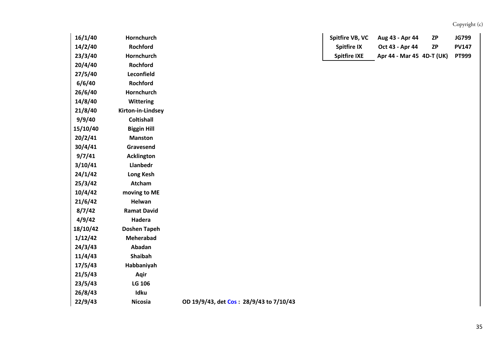| 16/1/40  | Hornchurch          | Spitfire VB, VC<br>Aug 43 - Apr 44<br><b>JG799</b><br><b>ZP</b>    |
|----------|---------------------|--------------------------------------------------------------------|
| 14/2/40  | Rochford            | <b>Spitfire IX</b><br>Oct 43 - Apr 44<br><b>ZP</b><br><b>PV147</b> |
| 23/3/40  | Hornchurch          | Apr 44 - Mar 45 4D-T (UK)<br><b>Spitfire IXE</b><br><b>PT999</b>   |
| 20/4/40  | Rochford            |                                                                    |
| 27/5/40  | Leconfield          |                                                                    |
| 6/6/40   | Rochford            |                                                                    |
| 26/6/40  | Hornchurch          |                                                                    |
| 14/8/40  | <b>Wittering</b>    |                                                                    |
| 21/8/40  | Kirton-in-Lindsey   |                                                                    |
| 9/9/40   | <b>Coltishall</b>   |                                                                    |
| 15/10/40 | <b>Biggin Hill</b>  |                                                                    |
| 20/2/41  | <b>Manston</b>      |                                                                    |
| 30/4/41  | Gravesend           |                                                                    |
| 9/7/41   | <b>Acklington</b>   |                                                                    |
| 3/10/41  | Llanbedr            |                                                                    |
| 24/1/42  | Long Kesh           |                                                                    |
| 25/3/42  | Atcham              |                                                                    |
| 10/4/42  | moving to ME        |                                                                    |
| 21/6/42  | Helwan              |                                                                    |
| 8/7/42   | <b>Ramat David</b>  |                                                                    |
| 4/9/42   | Hadera              |                                                                    |
| 18/10/42 | <b>Doshen Tapeh</b> |                                                                    |
| 1/12/42  | Meherabad           |                                                                    |
| 24/3/43  | Abadan              |                                                                    |
| 11/4/43  | Shaibah             |                                                                    |
| 17/5/43  | Habbaniyah          |                                                                    |
| 21/5/43  | Aqir                |                                                                    |
| 23/5/43  | LG 106              |                                                                    |
| 26/8/43  | Idku                |                                                                    |
| 22/9/43  | <b>Nicosia</b>      | OD 19/9/43, det Cos: 28/9/43 to 7/10/43                            |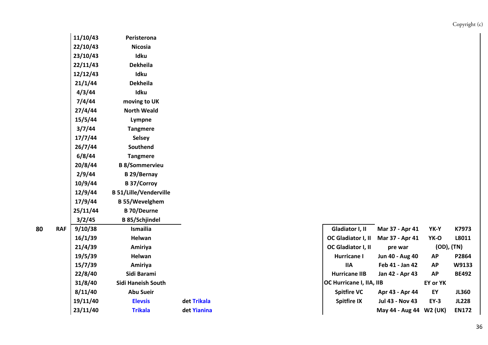| 11/10/43 | Peristerona                   |             |                          |                     |
|----------|-------------------------------|-------------|--------------------------|---------------------|
| 22/10/43 | <b>Nicosia</b>                |             |                          |                     |
| 23/10/43 | Idku                          |             |                          |                     |
| 22/11/43 | Dekheila                      |             |                          |                     |
| 12/12/43 | Idku                          |             |                          |                     |
| 21/1/44  | <b>Dekheila</b>               |             |                          |                     |
| 4/3/44   | Idku                          |             |                          |                     |
| 7/4/44   | moving to UK                  |             |                          |                     |
| 27/4/44  | <b>North Weald</b>            |             |                          |                     |
| 15/5/44  | Lympne                        |             |                          |                     |
| 3/7/44   | <b>Tangmere</b>               |             |                          |                     |
| 17/7/44  | <b>Selsey</b>                 |             |                          |                     |
| 26/7/44  | Southend                      |             |                          |                     |
| 6/8/44   | <b>Tangmere</b>               |             |                          |                     |
| 20/8/44  | <b>B 8/Sommervieu</b>         |             |                          |                     |
| 2/9/44   | <b>B29/Bernay</b>             |             |                          |                     |
| 10/9/44  | <b>B</b> 37/Corroy            |             |                          |                     |
| 12/9/44  | <b>B 51/Lille/Venderville</b> |             |                          |                     |
| 17/9/44  | <b>B55/Wevelghem</b>          |             |                          |                     |
| 25/11/44 | <b>B</b> 70/Deurne            |             |                          |                     |
| 3/2/45   | <b>B</b> 85/Schjindel         |             |                          |                     |
| 9/10/38  | Ismailia                      |             | Gladiator I, II          | <b>Mar 37 - Ap</b>  |
| 16/1/39  | Helwan                        |             | OC Gladiator I, II       | <b>Mar 37 - Ap</b>  |
| 21/4/39  | Amiriya                       |             | OC Gladiator I, II       | pre war             |
| 19/5/39  | Helwan                        |             | <b>Hurricane I</b>       | Jun 40 - Aug        |
| 15/7/39  | Amiriya                       |             | <b>IIA</b>               | Feb 41 - Jar        |
| 22/8/40  | Sidi Barami                   |             | <b>Hurricane IIB</b>     | <b>Jan 42 - Apr</b> |
| 31/8/40  | Sidi Haneish South            |             | OC Hurricane I, IIA, IIB |                     |
| 8/11/40  | <b>Abu Sueir</b>              |             | <b>Spitfire VC</b>       | Apr 43 - Ap         |
| 19/11/40 | <b>Elevsis</b>                | det Trikala | <b>Spitfire IX</b>       | <b>Jul 43 - Nov</b> |

|  |  |          |                    |             | Gladiator I, II           | Mar 37 - Apr 41          | YK-Y        | K7973        |  |
|--|--|----------|--------------------|-------------|---------------------------|--------------------------|-------------|--------------|--|
|  |  | 16/1/39  | Helwan             |             | <b>OC Gladiator I, II</b> | Mar 37 - Apr 41          | YK-O        | L8011        |  |
|  |  | 21/4/39  | Amiriya            |             | <b>OC Gladiator I, II</b> | pre war                  |             | (OD), (TN)   |  |
|  |  | 19/5/39  | Helwan             |             | Hurricane I               | Jun 40 - Aug 40          | <b>AP</b>   | P2864        |  |
|  |  | 15/7/39  | Amiriya            |             | IIA                       | Feb 41 - Jan 42          | <b>AP</b>   | W9133        |  |
|  |  | 22/8/40  | Sidi Barami        |             | <b>Hurricane IIB</b>      | Jan 42 - Apr 43          | <b>AP</b>   | <b>BE492</b> |  |
|  |  | 31/8/40  | Sidi Haneish South |             |                           | OC Hurricane I, IIA, IIB |             | EY or YK     |  |
|  |  | 8/11/40  | <b>Abu Sueir</b>   |             | <b>Spitfire VC</b>        | Apr 43 - Apr 44          | ΕY          | <b>JL360</b> |  |
|  |  | 19/11/40 | <b>Elevsis</b>     | det Trikala | <b>Spitfire IX</b>        | Jul 43 - Nov 43          | <b>EY-3</b> | <b>JL228</b> |  |
|  |  | 23/11/40 | <b>Trikala</b>     | det Yianina |                           | May 44 - Aug 44 W2 (UK)  |             | <b>EN172</b> |  |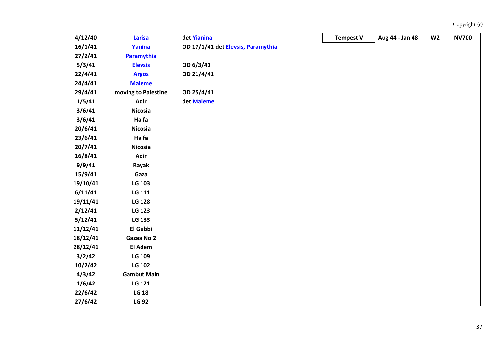| 4/12/40  | <b>Larisa</b>       | det Yianina                        | <b>Tempest V</b> | Aug 44 - Jan 48 | W <sub>2</sub> | <b>NV700</b> |
|----------|---------------------|------------------------------------|------------------|-----------------|----------------|--------------|
| 16/1/41  | Yanina              | OD 17/1/41 det Elevsis, Paramythia |                  |                 |                |              |
| 27/2/41  | Paramythia          |                                    |                  |                 |                |              |
| 5/3/41   | <b>Elevsis</b>      | OD 6/3/41                          |                  |                 |                |              |
| 22/4/41  | <b>Argos</b>        | OD 21/4/41                         |                  |                 |                |              |
| 24/4/41  | <b>Maleme</b>       |                                    |                  |                 |                |              |
| 29/4/41  | moving to Palestine | OD 25/4/41                         |                  |                 |                |              |
| 1/5/41   | Aqir                | det Maleme                         |                  |                 |                |              |
| 3/6/41   | <b>Nicosia</b>      |                                    |                  |                 |                |              |
| 3/6/41   | Haifa               |                                    |                  |                 |                |              |
| 20/6/41  | <b>Nicosia</b>      |                                    |                  |                 |                |              |
| 23/6/41  | Haifa               |                                    |                  |                 |                |              |
| 20/7/41  | <b>Nicosia</b>      |                                    |                  |                 |                |              |
| 16/8/41  | Aqir                |                                    |                  |                 |                |              |
| 9/9/41   | Rayak               |                                    |                  |                 |                |              |
| 15/9/41  | Gaza                |                                    |                  |                 |                |              |
| 19/10/41 | LG 103              |                                    |                  |                 |                |              |
| 6/11/41  | LG 111              |                                    |                  |                 |                |              |
| 19/11/41 | <b>LG 128</b>       |                                    |                  |                 |                |              |
| 2/12/41  | <b>LG 123</b>       |                                    |                  |                 |                |              |
| 5/12/41  | LG 133              |                                    |                  |                 |                |              |
| 11/12/41 | El Gubbi            |                                    |                  |                 |                |              |
| 18/12/41 | Gazaa No 2          |                                    |                  |                 |                |              |
| 28/12/41 | El Adem             |                                    |                  |                 |                |              |
| 3/2/42   | LG 109              |                                    |                  |                 |                |              |
| 10/2/42  | LG 102              |                                    |                  |                 |                |              |
| 4/3/42   | <b>Gambut Main</b>  |                                    |                  |                 |                |              |
| 1/6/42   | LG 121              |                                    |                  |                 |                |              |
| 22/6/42  | <b>LG 18</b>        |                                    |                  |                 |                |              |
| 27/6/42  | <b>LG 92</b>        |                                    |                  |                 |                |              |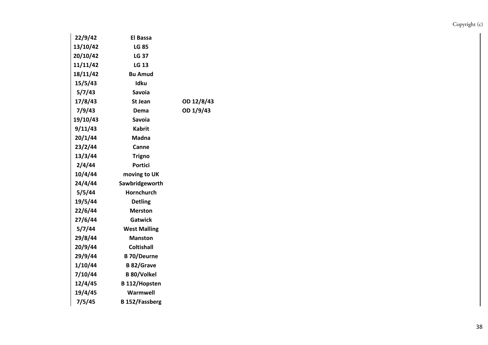| 22/9/42  | El Bassa              |            |
|----------|-----------------------|------------|
| 13/10/42 | <b>LG 85</b>          |            |
| 20/10/42 | <b>LG 37</b>          |            |
| 11/11/42 | LG 13                 |            |
| 18/11/42 | <b>Bu Amud</b>        |            |
| 15/5/43  | Idku                  |            |
| 5/7/43   | <b>Savoia</b>         |            |
| 17/8/43  | St Jean               | OD 12/8/43 |
| 7/9/43   | Dema                  | OD 1/9/43  |
| 19/10/43 | Savoia                |            |
| 9/11/43  | <b>Kabrit</b>         |            |
| 20/1/44  | Madna                 |            |
| 23/2/44  | Canne                 |            |
| 13/3/44  | <b>Trigno</b>         |            |
| 2/4/44   | Portici               |            |
| 10/4/44  | moving to UK          |            |
| 24/4/44  | Sawbridgeworth        |            |
| 5/5/44   | <b>Hornchurch</b>     |            |
| 19/5/44  | <b>Detling</b>        |            |
| 22/6/44  | <b>Merston</b>        |            |
| 27/6/44  | Gatwick               |            |
| 5/7/44   | <b>West Malling</b>   |            |
| 29/8/44  | <b>Manston</b>        |            |
| 20/9/44  | Coltishall            |            |
| 29/9/44  | <b>B</b> 70/Deurne    |            |
| 1/10/44  | <b>B</b> 82/Grave     |            |
| 7/10/44  | <b>B 80/Volkel</b>    |            |
| 12/4/45  | <b>B</b> 112/Hopsten  |            |
| 19/4/45  | Warmwell              |            |
| 7/5/45   | <b>B</b> 152/Fassberg |            |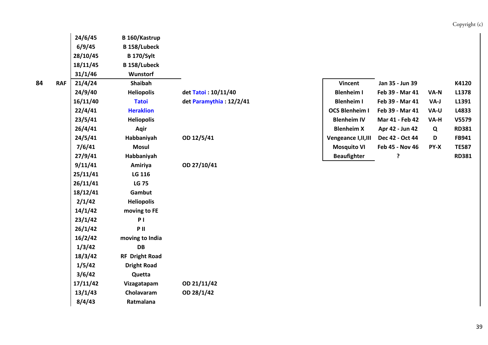|   |            | 24/6/45  | B 160/Kastrup       |                         |                       |                 |      |              |
|---|------------|----------|---------------------|-------------------------|-----------------------|-----------------|------|--------------|
|   |            | 6/9/45   | <b>B</b> 158/Lubeck |                         |                       |                 |      |              |
|   |            | 28/10/45 | <b>B</b> 170/Sylt   |                         |                       |                 |      |              |
|   |            | 18/11/45 | <b>B</b> 158/Lubeck |                         |                       |                 |      |              |
|   |            | 31/1/46  | <b>Wunstorf</b>     |                         |                       |                 |      |              |
| 4 | <b>RAF</b> | 21/4/24  | Shaibah             |                         | <b>Vincent</b>        | Jan 35 - Jun 39 |      | K4120        |
|   |            | 24/9/40  | <b>Heliopolis</b>   | det Tatoi: 10/11/40     | <b>Blenheim I</b>     | Feb 39 - Mar 41 | VA-N | L1378        |
|   |            | 16/11/40 | <b>Tatoi</b>        | det Paramythia: 12/2/41 | <b>Blenheim I</b>     | Feb 39 - Mar 41 | VA-J | L1391        |
|   |            | 22/4/41  | <b>Heraklion</b>    |                         | <b>OCS Blenheim I</b> | Feb 39 - Mar 41 | VA-U | L4833        |
|   |            | 23/5/41  | <b>Heliopolis</b>   |                         | <b>Blenheim IV</b>    | Mar 41 - Feb 42 | VA-H | V5579        |
|   |            | 26/4/41  | Aqir                |                         | <b>Blenheim X</b>     | Apr 42 - Jun 42 | Q    | <b>RD381</b> |
|   |            | 24/5/41  | Habbaniyah          | OD 12/5/41              | Vengeance I, II, III  | Dec 42 - Oct 44 | D    | FB941        |
|   |            | 7/6/41   | <b>Mosul</b>        |                         | <b>Mosquito VI</b>    | Feb 45 - Nov 46 | PY-X | <b>TE587</b> |
|   |            | 27/9/41  | Habbaniyah          |                         | <b>Beaufighter</b>    | ?               |      | <b>RD381</b> |
|   |            | 9/11/41  | Amiriya             | OD 27/10/41             |                       |                 |      |              |
|   |            | 25/11/41 | LG 116              |                         |                       |                 |      |              |
|   |            | 26/11/41 | <b>LG 75</b>        |                         |                       |                 |      |              |
|   |            | 18/12/41 | Gambut              |                         |                       |                 |      |              |
|   |            | 2/1/42   | <b>Heliopolis</b>   |                         |                       |                 |      |              |
|   |            | 14/1/42  | moving to FE        |                         |                       |                 |      |              |
|   |            | 23/1/42  | P <sub>1</sub>      |                         |                       |                 |      |              |
|   |            | 26/1/42  | PII                 |                         |                       |                 |      |              |
|   |            | 16/2/42  | moving to India     |                         |                       |                 |      |              |
|   |            | 1/3/42   | DB                  |                         |                       |                 |      |              |

**18/3/42 RF Dright Road 1/5/42 Dright Road 3/6/42 Quetta**

**8/4/43 Ratmalana**

**17/11/42 Vizagatapam OD 21/11/42 13/1/43 Cholavaram OD 28/1/42**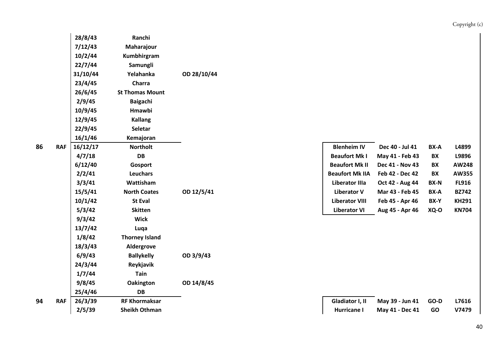|   |            | 28/8/43  | Ranchi                 |             |                        |                 |             |              |
|---|------------|----------|------------------------|-------------|------------------------|-----------------|-------------|--------------|
|   |            | 7/12/43  | Maharajour             |             |                        |                 |             |              |
|   |            | 10/2/44  | Kumbhirgram            |             |                        |                 |             |              |
|   |            | 22/7/44  | Samungli               |             |                        |                 |             |              |
|   |            | 31/10/44 | Yelahanka              | OD 28/10/44 |                        |                 |             |              |
|   |            | 23/4/45  | Charra                 |             |                        |                 |             |              |
|   |            | 26/6/45  | <b>St Thomas Mount</b> |             |                        |                 |             |              |
|   |            | 2/9/45   | <b>Baigachi</b>        |             |                        |                 |             |              |
|   |            | 10/9/45  | Hmawbi                 |             |                        |                 |             |              |
|   |            | 12/9/45  | <b>Kallang</b>         |             |                        |                 |             |              |
|   |            | 22/9/45  | Seletar                |             |                        |                 |             |              |
|   |            | 16/1/46  | Kemajoran              |             |                        |                 |             |              |
| 6 | <b>RAF</b> | 16/12/17 | <b>Northolt</b>        |             | <b>Blenheim IV</b>     | Dec 40 - Jul 41 | BX-A        | L4899        |
|   |            | 4/7/18   | <b>DB</b>              |             | <b>Beaufort Mk I</b>   | May 41 - Feb 43 | BX          | L9896        |
|   |            | 6/12/40  | Gosport                |             | <b>Beaufort Mk II</b>  | Dec 41 - Nov 43 | BX          | <b>AW248</b> |
|   |            | 2/2/41   | Leuchars               |             | <b>Beaufort Mk IIA</b> | Feb 42 - Dec 42 | BX          | AW355        |
|   |            | 3/3/41   | Wattisham              |             | <b>Liberator IIIa</b>  | Oct 42 - Aug 44 | <b>BX-N</b> | <b>FL916</b> |
|   |            | 15/5/41  | <b>North Coates</b>    | OD 12/5/41  | <b>Liberator V</b>     | Mar 43 - Feb 45 | BX-A        | <b>BZ742</b> |
|   |            | 10/1/42  | <b>St Eval</b>         |             | <b>Liberator VIII</b>  | Feb 45 - Apr 46 | BX-Y        | <b>KH291</b> |
|   |            | 5/3/42   | <b>Skitten</b>         |             | <b>Liberator VI</b>    | Aug 45 - Apr 46 | XQ-O        | <b>KN704</b> |
|   |            | 9/3/42   | <b>Wick</b>            |             |                        |                 |             |              |
|   |            | 13/7/42  | Luqa                   |             |                        |                 |             |              |
|   |            | 1/8/42   | <b>Thorney Island</b>  |             |                        |                 |             |              |
|   |            | 18/3/43  | Aldergrove             |             |                        |                 |             |              |
|   |            | 6/9/43   | <b>Ballykelly</b>      | OD 3/9/43   |                        |                 |             |              |
|   |            | 24/3/44  | Reykjavik              |             |                        |                 |             |              |
|   |            | 1/7/44   | <b>Tain</b>            |             |                        |                 |             |              |
|   |            | 9/8/45   | <b>Oakington</b>       | OD 14/8/45  |                        |                 |             |              |
|   |            | 25/4/46  | DB                     |             |                        |                 |             |              |
| 4 | <b>RAF</b> | 26/3/39  | <b>RF Khormaksar</b>   |             | Gladiator I, II        | May 39 - Jun 41 | GO-D        | L7616        |
|   |            | 2/5/39   | <b>Sheikh Othman</b>   |             | <b>Hurricane I</b>     | May 41 - Dec 41 | GO          | V7479        |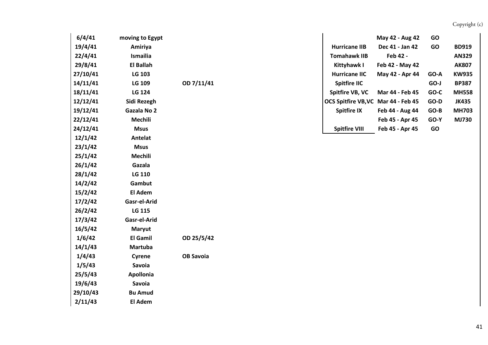| 6/4/41   | moving to Egypt  |                  |                                     | May 42 - Aug 42 | GO     |              |  |
|----------|------------------|------------------|-------------------------------------|-----------------|--------|--------------|--|
| 19/4/41  | Amiriya          |                  | <b>Hurricane IIB</b>                | Dec 41 - Jan 42 | GO     | <b>BD919</b> |  |
| 22/4/41  | Ismailia         |                  | <b>Tomahawk IIB</b>                 | Feb 42 -        |        | <b>AN329</b> |  |
| 29/8/41  | <b>El Ballah</b> |                  | Kittyhawk I                         | Feb 42 - May 42 |        | <b>AK807</b> |  |
| 27/10/41 | LG 103           |                  | <b>Hurricane IIC</b>                | May 42 - Apr 44 | GO-A   | <b>KW935</b> |  |
| 14/11/41 | LG 109           | OD 7/11/41       | <b>Spitfire IIC</b>                 |                 | GO-J   | <b>BP387</b> |  |
| 18/11/41 | LG 124           |                  | Spitfire VB, VC                     | Mar 44 - Feb 45 | GO-C   | <b>MH558</b> |  |
| 12/12/41 | Sidi Rezegh      |                  | OCS Spitfire VB, VC Mar 44 - Feb 45 |                 | GO-D   | <b>JK435</b> |  |
| 19/12/41 | Gazala No 2      |                  | <b>Spitfire IX</b>                  | Feb 44 - Aug 44 | $GO-B$ | <b>MH703</b> |  |
| 22/12/41 | Mechili          |                  |                                     | Feb 45 - Apr 45 | GO-Y   | MJ730        |  |
| 24/12/41 | <b>Msus</b>      |                  | <b>Spitfire VIII</b>                | Feb 45 - Apr 45 | GO     |              |  |
| 12/1/42  | Antelat          |                  |                                     |                 |        |              |  |
| 23/1/42  | <b>Msus</b>      |                  |                                     |                 |        |              |  |
| 25/1/42  | Mechili          |                  |                                     |                 |        |              |  |
| 26/1/42  | Gazala           |                  |                                     |                 |        |              |  |
| 28/1/42  | <b>LG 110</b>    |                  |                                     |                 |        |              |  |
| 14/2/42  | Gambut           |                  |                                     |                 |        |              |  |
| 15/2/42  | <b>El Adem</b>   |                  |                                     |                 |        |              |  |
| 17/2/42  | Gasr-el-Arid     |                  |                                     |                 |        |              |  |
| 26/2/42  | LG 115           |                  |                                     |                 |        |              |  |
| 17/3/42  | Gasr-el-Arid     |                  |                                     |                 |        |              |  |
| 16/5/42  | <b>Maryut</b>    |                  |                                     |                 |        |              |  |
| 1/6/42   | El Gamil         | OD 25/5/42       |                                     |                 |        |              |  |
| 14/1/43  | <b>Martuba</b>   |                  |                                     |                 |        |              |  |
| 1/4/43   | Cyrene           | <b>OB Savoia</b> |                                     |                 |        |              |  |
| 1/5/43   | Savoia           |                  |                                     |                 |        |              |  |
| 25/5/43  | Apollonia        |                  |                                     |                 |        |              |  |
| 19/6/43  | Savoia           |                  |                                     |                 |        |              |  |
| 29/10/43 | <b>Bu Amud</b>   |                  |                                     |                 |        |              |  |
| 2/11/43  | El Adem          |                  |                                     |                 |        |              |  |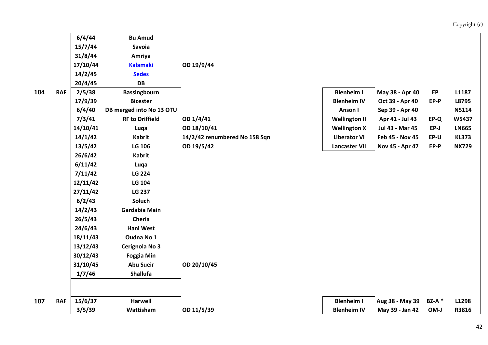|   |            | 6/4/44   | <b>Bu Amud</b>           |                               |                      |                 |               |              |
|---|------------|----------|--------------------------|-------------------------------|----------------------|-----------------|---------------|--------------|
|   |            | 15/7/44  | Savoia                   |                               |                      |                 |               |              |
|   |            | 31/8/44  | Amriya                   |                               |                      |                 |               |              |
|   |            | 17/10/44 | <b>Kalamaki</b>          | OD 19/9/44                    |                      |                 |               |              |
|   |            | 14/2/45  | <b>Sedes</b>             |                               |                      |                 |               |              |
|   |            | 20/4/45  | <b>DB</b>                |                               |                      |                 |               |              |
| 4 | <b>RAF</b> | 2/5/38   | <b>Bassingbourn</b>      |                               | <b>Blenheim I</b>    | May 38 - Apr 40 | EP            | L1187        |
|   |            | 17/9/39  | <b>Bicester</b>          |                               | <b>Blenheim IV</b>   | Oct 39 - Apr 40 | EP-P          | L8795        |
|   |            | 6/4/40   | DB merged into No 13 OTU |                               | <b>Anson I</b>       | Sep 39 - Apr 40 |               | N5114        |
|   |            | 7/3/41   | <b>RF to Driffield</b>   | OD 1/4/41                     | <b>Wellington II</b> | Apr 41 - Jul 43 | EP-Q          | W5437        |
|   |            | 14/10/41 | Luqa                     | OD 18/10/41                   | <b>Wellington X</b>  | Jul 43 - Mar 45 | $EP-J$        | <b>LN665</b> |
|   |            | 14/1/42  | <b>Kabrit</b>            | 14/2/42 renumbered No 158 Sqn | <b>Liberator VI</b>  | Feb 45 - Nov 45 | EP-U          | <b>KL373</b> |
|   |            | 13/5/42  | <b>LG 106</b>            | OD 19/5/42                    | <b>Lancaster VII</b> | Nov 45 - Apr 47 | $EP-P$        | <b>NX729</b> |
|   |            | 26/6/42  | <b>Kabrit</b>            |                               |                      |                 |               |              |
|   |            | 6/11/42  | Luqa                     |                               |                      |                 |               |              |
|   |            | 7/11/42  | <b>LG 224</b>            |                               |                      |                 |               |              |
|   |            | 12/11/42 | LG 104                   |                               |                      |                 |               |              |
|   |            | 27/11/42 | <b>LG 237</b>            |                               |                      |                 |               |              |
|   |            | 6/2/43   | Soluch                   |                               |                      |                 |               |              |
|   |            | 14/2/43  | Gardabia Main            |                               |                      |                 |               |              |
|   |            | 26/5/43  | <b>Cheria</b>            |                               |                      |                 |               |              |
|   |            | 24/6/43  | Hani West                |                               |                      |                 |               |              |
|   |            | 18/11/43 | Oudna No 1               |                               |                      |                 |               |              |
|   |            | 13/12/43 | Cerignola No 3           |                               |                      |                 |               |              |
|   |            | 30/12/43 | <b>Foggia Min</b>        |                               |                      |                 |               |              |
|   |            | 31/10/45 | <b>Abu Sueir</b>         | OD 20/10/45                   |                      |                 |               |              |
|   |            | 1/7/46   | <b>Shallufa</b>          |                               |                      |                 |               |              |
|   |            |          |                          |                               |                      |                 |               |              |
| 7 | <b>RAF</b> | 15/6/37  | <b>Harwell</b>           |                               | <b>Blenheim I</b>    | Aug 38 - May 39 | <b>BZ-A</b> * | L1298        |
|   |            | 3/5/39   | Wattisham                | OD 11/5/39                    | <b>Blenheim IV</b>   | May 39 - Jan 42 | OM-J          | R3816        |

**107**

42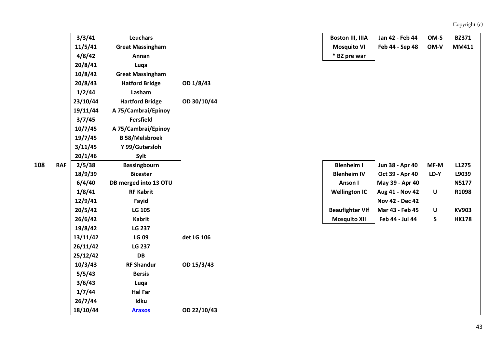|                 | 3/3/41   | <b>Leuchars</b>         |             | <b>Boston III, IIIA</b> | Jan 42 - Feb 44 | OM-S   | <b>BZ371</b> |
|-----------------|----------|-------------------------|-------------|-------------------------|-----------------|--------|--------------|
|                 | 11/5/41  | <b>Great Massingham</b> |             | <b>Mosquito VI</b>      | Feb 44 - Sep 48 | OM-V   | MM411        |
|                 | 4/8/42   | Annan                   |             | * BZ pre war            |                 |        |              |
|                 | 20/8/41  | Luqa                    |             |                         |                 |        |              |
|                 | 10/8/42  | <b>Great Massingham</b> |             |                         |                 |        |              |
|                 | 20/8/43  | <b>Hatford Bridge</b>   | OD 1/8/43   |                         |                 |        |              |
|                 | 1/2/44   | Lasham                  |             |                         |                 |        |              |
|                 | 23/10/44 | <b>Hartford Bridge</b>  | OD 30/10/44 |                         |                 |        |              |
|                 | 19/11/44 | A 75/Cambrai/Epinoy     |             |                         |                 |        |              |
|                 | 3/7/45   | <b>Fersfield</b>        |             |                         |                 |        |              |
|                 | 10/7/45  | A 75/Cambrai/Epinoy     |             |                         |                 |        |              |
|                 | 19/7/45  | <b>B 58/Melsbroek</b>   |             |                         |                 |        |              |
|                 | 3/11/45  | Y 99/Gutersloh          |             |                         |                 |        |              |
|                 | 20/1/46  | Sylt                    |             |                         |                 |        |              |
| 8<br><b>RAF</b> | 2/5/38   | <b>Bassingbourn</b>     |             | <b>Blenheim I</b>       | Jun 38 - Apr 40 | $MF-M$ | L1275        |
|                 | 18/9/39  | <b>Bicester</b>         |             | <b>Blenheim IV</b>      | Oct 39 - Apr 40 | LD-Y   | L9039        |
|                 | 6/4/40   | DB merged into 13 OTU   |             | Anson I                 | May 39 - Apr 40 |        | <b>N5177</b> |
|                 | 1/8/41   | <b>RF Kabrit</b>        |             | <b>Wellington IC</b>    | Aug 41 - Nov 42 | U      | R1098        |
|                 | 12/9/41  | Fayid                   |             |                         | Nov 42 - Dec 42 |        |              |
|                 | 20/5/42  | <b>LG 105</b>           |             | <b>Beaufighter VIf</b>  | Mar 43 - Feb 45 | U      | <b>KV903</b> |
|                 | 26/6/42  | <b>Kabrit</b>           |             | <b>Mosquito XII</b>     | Feb 44 - Jul 44 | S      | <b>HK178</b> |
|                 | 19/8/42  | <b>LG 237</b>           |             |                         |                 |        |              |
|                 | 13/11/42 | <b>LG 09</b>            | det LG 106  |                         |                 |        |              |
|                 | 26/11/42 | <b>LG 237</b>           |             |                         |                 |        |              |
|                 | 25/12/42 | DB                      |             |                         |                 |        |              |
|                 | 10/3/43  | <b>RF Shandur</b>       | OD 15/3/43  |                         |                 |        |              |
|                 | 5/5/43   | <b>Bersis</b>           |             |                         |                 |        |              |
|                 | 3/6/43   | Luqa                    |             |                         |                 |        |              |
|                 | 1/7/44   | <b>Hal Far</b>          |             |                         |                 |        |              |
|                 | 26/7/44  | Idku                    |             |                         |                 |        |              |
|                 | 18/10/44 | <b>Araxos</b>           | OD 22/10/43 |                         |                 |        |              |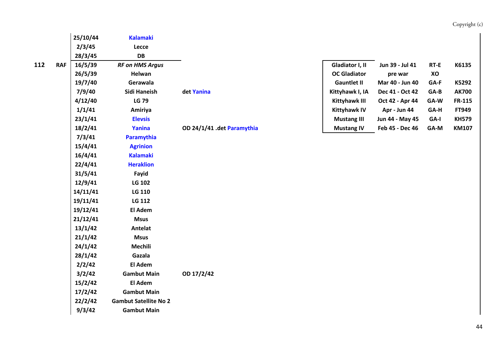|     |            | 25/10/44 | <b>Kalamaki</b>              |                            |                      |                 |        |              |
|-----|------------|----------|------------------------------|----------------------------|----------------------|-----------------|--------|--------------|
|     |            | 2/3/45   | Lecce                        |                            |                      |                 |        |              |
|     |            | 28/3/45  | DB                           |                            |                      |                 |        |              |
| 112 | <b>RAF</b> | 16/5/39  | <b>RF on HMS Argus</b>       |                            | Gladiator I, II      | Jun 39 - Jul 41 | RT-E   | K6135        |
|     |            | 26/5/39  | Helwan                       |                            | <b>OC Gladiator</b>  | pre war         | XO     |              |
|     |            | 19/7/40  | Gerawala                     |                            | <b>Gauntlet II</b>   | Mar 40 - Jun 40 | GA-F   | K5292        |
|     |            | 7/9/40   | Sidi Haneish                 | det Yanina                 | Kittyhawk I, IA      | Dec 41 - Oct 42 | $GA-B$ | <b>AK700</b> |
|     |            | 4/12/40  | <b>LG 79</b>                 |                            | <b>Kittyhawk III</b> | Oct 42 - Apr 44 | GA-W   | FR-115       |
|     |            | 1/1/41   | Amiriya                      |                            | <b>Kittyhawk IV</b>  | Apr - Jun 44    | GA-H   | FT949        |
|     |            | 23/1/41  | <b>Elevsis</b>               |                            | <b>Mustang III</b>   | Jun 44 - May 45 | GA-I   | <b>KH579</b> |
|     |            | 18/2/41  | Yanina                       | OD 24/1/41 .det Paramythia | <b>Mustang IV</b>    | Feb 45 - Dec 46 | GA-M   | <b>KM107</b> |
|     |            | 7/3/41   | Paramythia                   |                            |                      |                 |        |              |
|     |            | 15/4/41  | <b>Agrinion</b>              |                            |                      |                 |        |              |
|     |            | 16/4/41  | <b>Kalamaki</b>              |                            |                      |                 |        |              |
|     |            | 22/4/41  | <b>Heraklion</b>             |                            |                      |                 |        |              |
|     |            | 31/5/41  | Fayid                        |                            |                      |                 |        |              |
|     |            | 12/9/41  | <b>LG 102</b>                |                            |                      |                 |        |              |
|     |            | 14/11/41 | LG 110                       |                            |                      |                 |        |              |
|     |            | 19/11/41 | LG 112                       |                            |                      |                 |        |              |
|     |            | 19/12/41 | El Adem                      |                            |                      |                 |        |              |
|     |            | 21/12/41 | <b>Msus</b>                  |                            |                      |                 |        |              |
|     |            | 13/1/42  | Antelat                      |                            |                      |                 |        |              |
|     |            | 21/1/42  | <b>Msus</b>                  |                            |                      |                 |        |              |
|     |            | 24/1/42  | <b>Mechili</b>               |                            |                      |                 |        |              |
|     |            | 28/1/42  | Gazala                       |                            |                      |                 |        |              |
|     |            | 2/2/42   | El Adem                      |                            |                      |                 |        |              |
|     |            | 3/2/42   | <b>Gambut Main</b>           | OD 17/2/42                 |                      |                 |        |              |
|     |            | 15/2/42  | El Adem                      |                            |                      |                 |        |              |
|     |            | 17/2/42  | <b>Gambut Main</b>           |                            |                      |                 |        |              |
|     |            | 22/2/42  | <b>Gambut Satellite No 2</b> |                            |                      |                 |        |              |
|     |            | 9/3/42   | <b>Gambut Main</b>           |                            |                      |                 |        |              |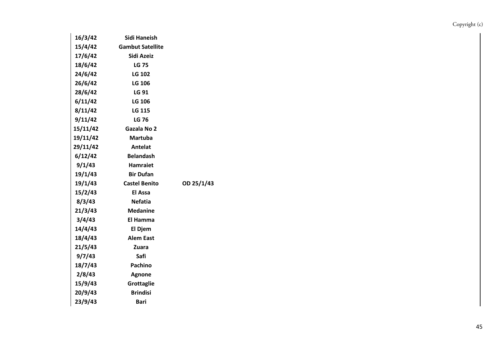| 16/3/42  | Sidi Haneish            |            |
|----------|-------------------------|------------|
| 15/4/42  | <b>Gambut Satellite</b> |            |
| 17/6/42  | Sidi Azeiz              |            |
| 18/6/42  | <b>LG 75</b>            |            |
| 24/6/42  | <b>LG 102</b>           |            |
| 26/6/42  | <b>LG 106</b>           |            |
| 28/6/42  | LG 91                   |            |
| 6/11/42  | LG 106                  |            |
| 8/11/42  | LG 115                  |            |
| 9/11/42  | <b>LG 76</b>            |            |
| 15/11/42 | Gazala No 2             |            |
| 19/11/42 | <b>Martuba</b>          |            |
| 29/11/42 | Antelat                 |            |
| 6/12/42  | <b>Belandash</b>        |            |
| 9/1/43   | <b>Hamraiet</b>         |            |
| 19/1/43  | <b>Bir Dufan</b>        |            |
| 19/1/43  | <b>Castel Benito</b>    | OD 25/1/43 |
| 15/2/43  | <b>El Assa</b>          |            |
| 8/3/43   | <b>Nefatia</b>          |            |
| 21/3/43  | <b>Medanine</b>         |            |
| 3/4/43   | El Hamma                |            |
| 14/4/43  | El Djem                 |            |
| 18/4/43  | <b>Alem East</b>        |            |
| 21/5/43  | <b>Zuara</b>            |            |
| 9/7/43   | Safi                    |            |
| 18/7/43  | <b>Pachino</b>          |            |
| 2/8/43   | Agnone                  |            |
| 15/9/43  | Grottaglie              |            |
| 20/9/43  | <b>Brindisi</b>         |            |
| 23/9/43  | Bari                    |            |
|          |                         |            |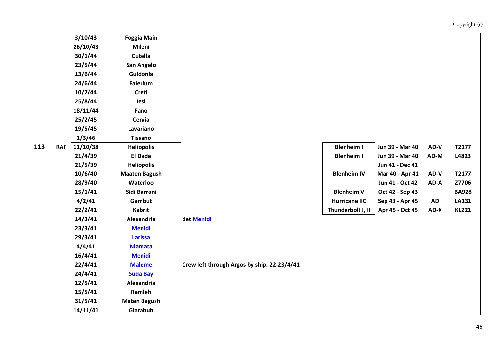|     |            | 3/10/43  | <b>Foggia Main</b>   |                                             |                      |                 |           |              |
|-----|------------|----------|----------------------|---------------------------------------------|----------------------|-----------------|-----------|--------------|
|     |            | 26/10/43 | Mileni               |                                             |                      |                 |           |              |
|     |            | 30/1/44  | Cutella              |                                             |                      |                 |           |              |
|     |            | 23/5/44  | San Angelo           |                                             |                      |                 |           |              |
|     |            | 13/6/44  | Guidonia             |                                             |                      |                 |           |              |
|     |            | 24/6/44  | <b>Falerium</b>      |                                             |                      |                 |           |              |
|     |            | 10/7/44  | Creti                |                                             |                      |                 |           |              |
|     |            | 25/8/44  | lesi                 |                                             |                      |                 |           |              |
|     |            | 18/11/44 | Fano                 |                                             |                      |                 |           |              |
|     |            | 25/2/45  | Cervia               |                                             |                      |                 |           |              |
|     |            | 19/5/45  | Lavariano            |                                             |                      |                 |           |              |
|     |            | 1/3/46   | <b>Tissano</b>       |                                             |                      |                 |           |              |
| 113 | <b>RAF</b> | 11/10/38 | <b>Heliopolis</b>    |                                             | <b>Blenheim I</b>    | Jun 39 - Mar 40 | AD-V      | T2177        |
|     |            | 21/4/39  | El Dada              |                                             | <b>Blenheim I</b>    | Jun 39 - Mar 40 | AD-M      | L4823        |
|     |            | 21/5/39  | <b>Heliopolis</b>    |                                             |                      | Jun 41 - Dec 41 |           |              |
|     |            | 10/6/40  | <b>Maaten Bagush</b> |                                             | <b>Blenheim IV</b>   | Mar 40 - Apr 41 | AD-V      | T2177        |
|     |            | 28/9/40  | Waterloo             |                                             |                      | Jun 41 - Oct 42 | AD-A      | Z7706        |
|     |            | 15/1/41  | Sidi Barrani         |                                             | <b>Blenheim V</b>    | Oct 42 - Sep 43 |           | <b>BA928</b> |
|     |            | 4/2/41   | Gambut               |                                             | <b>Hurricane IIC</b> | Sep 43 - Apr 45 | <b>AD</b> | <b>LA131</b> |
|     |            | 22/2/41  | <b>Kabrit</b>        |                                             | Thunderbolt I, II    | Apr 45 - Oct 45 | AD-X      | <b>KL221</b> |
|     |            | 14/3/41  | Alexandria           | det Menidi                                  |                      |                 |           |              |
|     |            | 23/3/41  | <b>Menidi</b>        |                                             |                      |                 |           |              |
|     |            | 29/3/41  | <b>Larissa</b>       |                                             |                      |                 |           |              |
|     |            | 4/4/41   | <b>Niamata</b>       |                                             |                      |                 |           |              |
|     |            | 16/4/41  | <b>Menidi</b>        |                                             |                      |                 |           |              |
|     |            | 22/4/41  | <b>Maleme</b>        | Crew left through Argos by ship. 22-23/4/41 |                      |                 |           |              |
|     |            | 24/4/41  | <b>Suda Bay</b>      |                                             |                      |                 |           |              |
|     |            | 12/5/41  | Alexandria           |                                             |                      |                 |           |              |
|     |            | 15/5/41  | Ramleh               |                                             |                      |                 |           |              |
|     |            | 31/5/41  | <b>Maten Bagush</b>  |                                             |                      |                 |           |              |
|     |            | 14/11/41 | Giarabub             |                                             |                      |                 |           |              |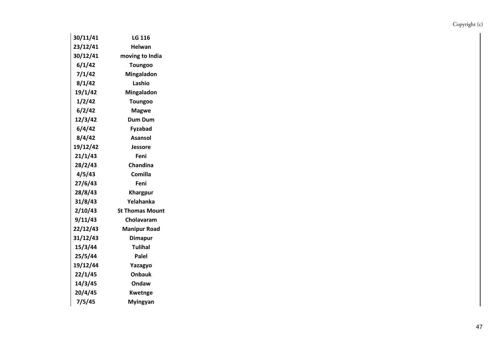| 30/11/41 | LG 116                 |
|----------|------------------------|
| 23/12/41 | Helwan                 |
| 30/12/41 | moving to India        |
| 6/1/42   | <b>Toungoo</b>         |
| 7/1/42   | Mingaladon             |
| 8/1/42   | Lashio                 |
| 19/1/42  | Mingaladon             |
| 1/2/42   | <b>Toungoo</b>         |
| 6/2/42   | <b>Magwe</b>           |
| 12/3/42  | Dum Dum                |
| 6/4/42   | Fyzabad                |
| 8/4/42   | Asansol                |
| 19/12/42 | Jessore                |
| 21/1/43  | Feni                   |
| 28/2/43  | Chandina               |
| 4/5/43   | Comilla                |
| 27/6/43  | Feni                   |
| 28/8/43  | Khargpur               |
| 31/8/43  | Yelahanka              |
| 2/10/43  | <b>St Thomas Mount</b> |
| 9/11/43  | Cholavaram             |
| 22/12/43 | <b>Manipur Road</b>    |
| 31/12/43 | <b>Dimapur</b>         |
| 15/3/44  | <b>Tulihal</b>         |
| 25/5/44  | Palel                  |
| 19/12/44 | Yazagyo                |
| 22/1/45  | Onbauk                 |
| 14/3/45  | Ondaw                  |
| 20/4/45  | <b>Kwetnge</b>         |
| 7/5/45   | <b>Myingyan</b>        |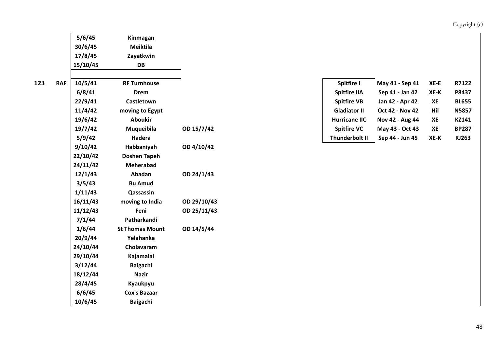|   |            | 5/6/45   | Kinmagan               |             |                      |                        |      |              |
|---|------------|----------|------------------------|-------------|----------------------|------------------------|------|--------------|
|   |            | 30/6/45  | <b>Meiktila</b>        |             |                      |                        |      |              |
|   |            | 17/8/45  | Zayatkwin              |             |                      |                        |      |              |
|   |            | 15/10/45 | DB                     |             |                      |                        |      |              |
| 3 | <b>RAF</b> | 10/5/41  | <b>RF Turnhouse</b>    |             | Spitfire I           | May 41 - Sep 41        | XE-E | R7122        |
|   |            | 6/8/41   | <b>Drem</b>            |             | <b>Spitfire IIA</b>  | Sep 41 - Jan 42        | XE-K | P8437        |
|   |            | 22/9/41  | Castletown             |             | <b>Spitfire VB</b>   | Jan 42 - Apr 42        | XE   | <b>BL655</b> |
|   |            | 11/4/42  | moving to Egypt        |             | <b>Gladiator II</b>  | <b>Oct 42 - Nov 42</b> | Hil  | <b>N5857</b> |
|   |            | 19/6/42  | <b>Aboukir</b>         |             | <b>Hurricane IIC</b> | Nov 42 - Aug 44        | XE   | KZ141        |
|   |            | 19/7/42  | Muqueibila             | OD 15/7/42  | <b>Spitfire VC</b>   | May 43 - Oct 43        | XE   | <b>BP287</b> |
|   |            | 5/9/42   | Hadera                 |             | Thunderbolt II       | Sep 44 - Jun 45        | XE-K | KJ263        |
|   |            | 9/10/42  | Habbaniyah             | OD 4/10/42  |                      |                        |      |              |
|   |            | 22/10/42 | <b>Doshen Tapeh</b>    |             |                      |                        |      |              |
|   |            | 24/11/42 | <b>Meherabad</b>       |             |                      |                        |      |              |
|   |            | 12/1/43  | Abadan                 | OD 24/1/43  |                      |                        |      |              |
|   |            | 3/5/43   | <b>Bu Amud</b>         |             |                      |                        |      |              |
|   |            | 1/11/43  | Qassassin              |             |                      |                        |      |              |
|   |            | 16/11/43 | moving to India        | OD 29/10/43 |                      |                        |      |              |
|   |            | 11/12/43 | Feni                   | OD 25/11/43 |                      |                        |      |              |
|   |            | 7/1/44   | Patharkandi            |             |                      |                        |      |              |
|   |            | 1/6/44   | <b>St Thomas Mount</b> | OD 14/5/44  |                      |                        |      |              |
|   |            | 20/9/44  | Yelahanka              |             |                      |                        |      |              |
|   |            | 24/10/44 | Cholavaram             |             |                      |                        |      |              |
|   |            | 29/10/44 | Kajamalai              |             |                      |                        |      |              |
|   |            | 3/12/44  | Baigachi               |             |                      |                        |      |              |
|   |            | 18/12/44 | <b>Nazir</b>           |             |                      |                        |      |              |
|   |            | 28/4/45  | Kyaukpyu               |             |                      |                        |      |              |
|   |            | 6/6/45   | <b>Cox's Bazaar</b>    |             |                      |                        |      |              |
|   |            | 10/6/45  | Baigachi               |             |                      |                        |      |              |

| Spitfire I            | May 41 - Sep 41        | XE-E | R7122        |
|-----------------------|------------------------|------|--------------|
| <b>Spitfire IIA</b>   | Sep 41 - Jan 42        | XE-K | P8437        |
| <b>Spitfire VB</b>    | Jan 42 - Apr 42        | XE   | <b>BL655</b> |
| <b>Gladiator II</b>   | <b>Oct 42 - Nov 42</b> | Hil  | <b>N5857</b> |
| <b>Hurricane IIC</b>  | Nov 42 - Aug 44        | XE   | KZ141        |
| <b>Spitfire VC</b>    | May 43 - Oct 43        | XE   | <b>BP287</b> |
| <b>Thunderbolt II</b> | Sep 44 - Jun 45        | XE-K | KJ263        |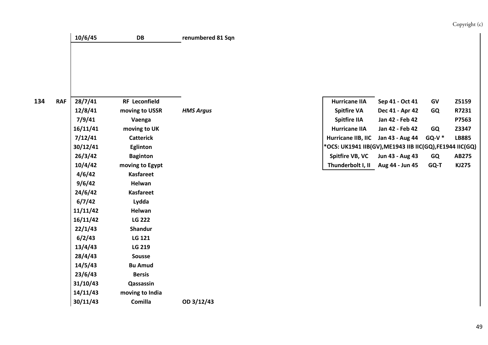| 10/6/45 | DB | renumbered 81 Sqn |
|---------|----|-------------------|
|         |    |                   |

| 4 | <b>RAF</b> | 28/7/41  | <b>RF Leconfield</b> |                  | <b>Hurricane IIA</b>                                   | Sep 41 - Oct 41 | GV       | Z5159        |
|---|------------|----------|----------------------|------------------|--------------------------------------------------------|-----------------|----------|--------------|
|   |            | 12/8/41  | moving to USSR       | <b>HMS Argus</b> | <b>Spitfire VA</b>                                     | Dec 41 - Apr 42 | GQ       | R7231        |
|   |            | 7/9/41   | Vaenga               |                  | <b>Spitfire IIA</b>                                    | Jan 42 - Feb 42 |          | P7563        |
|   |            | 16/11/41 | moving to UK         |                  | <b>Hurricane IIA</b>                                   | Jan 42 - Feb 42 | GQ       | Z3347        |
|   |            | 7/12/41  | <b>Catterick</b>     |                  | Hurricane IIB, IIC                                     | Jan 43 - Aug 44 | $GO-V$ * | <b>LB885</b> |
|   |            | 30/12/41 | Eglinton             |                  | *OCS: UK1941 IIB(GV), ME1943 IIB IIC(GQ), FE1944 IIC(G |                 |          |              |
|   |            | 26/3/42  | <b>Baginton</b>      |                  | Spitfire VB, VC                                        | Jun 43 - Aug 43 | GQ       | AB275        |
|   |            | 10/4/42  | moving to Egypt      |                  | Thunderbolt I, II                                      | Aug 44 - Jun 45 | GQ-T     | <b>KJ275</b> |
|   |            | 4/6/42   | Kasfareet            |                  |                                                        |                 |          |              |
|   |            | 9/6/42   | Helwan               |                  |                                                        |                 |          |              |
|   |            | 24/6/42  | <b>Kasfareet</b>     |                  |                                                        |                 |          |              |
|   |            | 6/7/42   | Lydda                |                  |                                                        |                 |          |              |
|   |            | 11/11/42 | Helwan               |                  |                                                        |                 |          |              |
|   |            | 16/11/42 | <b>LG 222</b>        |                  |                                                        |                 |          |              |
|   |            | 22/1/43  | <b>Shandur</b>       |                  |                                                        |                 |          |              |
|   |            | 6/2/43   | LG 121               |                  |                                                        |                 |          |              |
|   |            | 13/4/43  | LG 219               |                  |                                                        |                 |          |              |
|   |            | 28/4/43  | Sousse               |                  |                                                        |                 |          |              |
|   |            | 14/5/43  | <b>Bu Amud</b>       |                  |                                                        |                 |          |              |
|   |            | 23/6/43  | <b>Bersis</b>        |                  |                                                        |                 |          |              |
|   |            | 31/10/43 | Qassassin            |                  |                                                        |                 |          |              |
|   |            | 14/11/43 | moving to India      |                  |                                                        |                 |          |              |
|   |            | 30/11/43 | Comilla              | OD 3/12/43       |                                                        |                 |          |              |

| 28/7/41  | <b>RF</b> Leconfield |                  | <b>Hurricane IIA</b>                                   | Sep 41 - Oct 41 | GV        | <b>Z5159</b> |
|----------|----------------------|------------------|--------------------------------------------------------|-----------------|-----------|--------------|
| 12/8/41  | moving to USSR       | <b>HMS Argus</b> | <b>Spitfire VA</b>                                     | Dec 41 - Apr 42 | <b>GQ</b> | R7231        |
| 7/9/41   | Vaenga               |                  | <b>Spitfire IIA</b>                                    | Jan 42 - Feb 42 |           | P7563        |
| 16/11/41 | moving to UK         |                  | <b>Hurricane IIA</b>                                   | Jan 42 - Feb 42 | GQ        | Z3347        |
| 7/12/41  | <b>Catterick</b>     |                  | <b>Hurricane IIB. IIC</b>                              | Jan 43 - Aug 44 | GQ-V $^*$ | <b>LB885</b> |
| 30/12/41 | Eglinton             |                  | *OCS: UK1941 IIB(GV),ME1943 IIB IIC(GQ),FE1944 IIC(GQ) |                 |           |              |
| 26/3/42  | <b>Baginton</b>      |                  | Spitfire VB, VC                                        | Jun 43 - Aug 43 | <b>GQ</b> | AB275        |
| 10/4/42  | moving to Egypt      |                  | Thunderbolt I, II                                      | Aug 44 - Jun 45 | GQ-T      | KJ275        |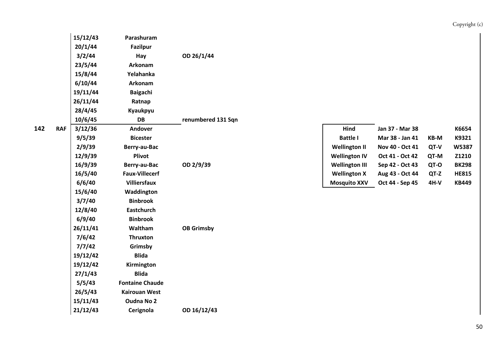|   |            | 15/12/43 | Parashuram             |                    |                       |                 |        |              |
|---|------------|----------|------------------------|--------------------|-----------------------|-----------------|--------|--------------|
|   |            | 20/1/44  | <b>Fazilpur</b>        |                    |                       |                 |        |              |
|   |            | 3/2/44   | Hay                    | OD 26/1/44         |                       |                 |        |              |
|   |            | 23/5/44  | Arkonam                |                    |                       |                 |        |              |
|   |            | 15/8/44  | Yelahanka              |                    |                       |                 |        |              |
|   |            | 6/10/44  | Arkonam                |                    |                       |                 |        |              |
|   |            | 19/11/44 | <b>Baigachi</b>        |                    |                       |                 |        |              |
|   |            | 26/11/44 | Ratnap                 |                    |                       |                 |        |              |
|   |            | 28/4/45  | Kyaukpyu               |                    |                       |                 |        |              |
|   |            | 10/6/45  | DB                     | renumbered 131 Sqn |                       |                 |        |              |
| 2 | <b>RAF</b> | 3/12/36  | <b>Andover</b>         |                    | Hind                  | Jan 37 - Mar 38 |        | K6654        |
|   |            | 9/5/39   | <b>Bicester</b>        |                    | <b>Battle I</b>       | Mar 38 - Jan 41 | KB-M   | K9321        |
|   |            | 2/9/39   | Berry-au-Bac           |                    | <b>Wellington II</b>  | Nov 40 - Oct 41 | QT-V   | W5387        |
|   |            | 12/9/39  | Plivot                 |                    | <b>Wellington IV</b>  | Oct 41 - Oct 42 | QT-M   | Z1210        |
|   |            | 16/9/39  | Berry-au-Bac           | OD 2/9/39          | <b>Wellington III</b> | Sep 42 - Oct 43 | QT-O   | <b>BK298</b> |
|   |            | 16/5/40  | <b>Faux-Villecerf</b>  |                    | <b>Wellington X</b>   | Aug 43 - Oct 44 | QT-Z   | <b>HE815</b> |
|   |            | 6/6/40   | <b>Villiersfaux</b>    |                    | <b>Mosquito XXV</b>   | Oct 44 - Sep 45 | $4H-V$ | <b>KB449</b> |
|   |            | 15/6/40  | Waddington             |                    |                       |                 |        |              |
|   |            | 3/7/40   | <b>Binbrook</b>        |                    |                       |                 |        |              |
|   |            | 12/8/40  | <b>Eastchurch</b>      |                    |                       |                 |        |              |
|   |            | 6/9/40   | <b>Binbrook</b>        |                    |                       |                 |        |              |
|   |            | 26/11/41 | Waltham                | <b>OB Grimsby</b>  |                       |                 |        |              |
|   |            | 7/6/42   | <b>Thruxton</b>        |                    |                       |                 |        |              |
|   |            | 7/7/42   | Grimsby                |                    |                       |                 |        |              |
|   |            | 19/12/42 | <b>Blida</b>           |                    |                       |                 |        |              |
|   |            | 19/12/42 | Kirmington             |                    |                       |                 |        |              |
|   |            | 27/1/43  | <b>Blida</b>           |                    |                       |                 |        |              |
|   |            | 5/5/43   | <b>Fontaine Chaude</b> |                    |                       |                 |        |              |
|   |            | 26/5/43  | <b>Kairouan West</b>   |                    |                       |                 |        |              |
|   |            | 15/11/43 | <b>Oudna No 2</b>      |                    |                       |                 |        |              |
|   |            | 21/12/43 | Cerignola              | OD 16/12/43        |                       |                 |        |              |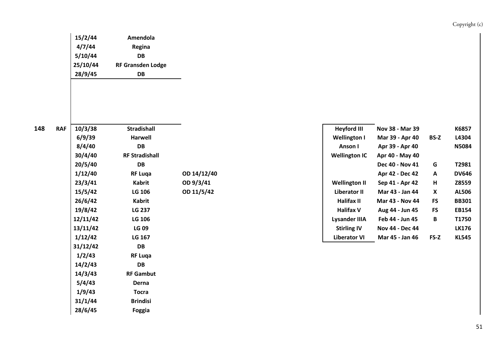| 15/2/44  | Amendola                 |
|----------|--------------------------|
| 4/7/44   | Regina                   |
| 5/10/44  | DB                       |
| 25/10/44 | <b>RF Gransden Lodge</b> |
| 28/9/45  | DB                       |
|          |                          |

**28/6/45 Foggia**

| 8 | <b>RAF</b> | 10/3/38  | <b>Stradishall</b>    |             | <b>Heyford III</b>   | Nov 38 - Mar 39 |              | K6857        |
|---|------------|----------|-----------------------|-------------|----------------------|-----------------|--------------|--------------|
|   |            | 6/9/39   | <b>Harwell</b>        |             | <b>Wellington I</b>  | Mar 39 - Apr 40 | <b>BS-Z</b>  | L4304        |
|   |            | 8/4/40   | DB                    |             | Anson I              | Apr 39 - Apr 40 |              | <b>N5084</b> |
|   |            | 30/4/40  | <b>RF Stradishall</b> |             | <b>Wellington IC</b> | Apr 40 - May 40 |              |              |
|   |            | 20/5/40  | DB                    |             |                      | Dec 40 - Nov 41 | G            | T2981        |
|   |            | 1/12/40  | <b>RF Luqa</b>        | OD 14/12/40 |                      | Apr 42 - Dec 42 | $\mathbf{A}$ | <b>DV646</b> |
|   |            | 23/3/41  | Kabrit                | OD 9/3/41   | <b>Wellington II</b> | Sep 41 - Apr 42 | н            | Z8559        |
|   |            | 15/5/42  | LG 106                | OD 11/5/42  | Liberator II         | Mar 43 - Jan 44 | X            | <b>AL506</b> |
|   |            | 26/6/42  | Kabrit                |             | Halifax II           | Mar 43 - Nov 44 | <b>FS</b>    | <b>BB301</b> |
|   |            | 19/8/42  | <b>LG 237</b>         |             | <b>Halifax V</b>     | Aug 44 - Jun 45 | <b>FS</b>    | <b>EB154</b> |
|   |            | 12/11/42 | LG 106                |             | <b>Lysander IIIA</b> | Feb 44 - Jun 45 | B            | T1750        |
|   |            | 13/11/42 | <b>LG 09</b>          |             | <b>Stirling IV</b>   | Nov 44 - Dec 44 |              | <b>LK176</b> |
|   |            | 1/12/42  | LG 167                |             | <b>Liberator VI</b>  | Mar 45 - Jan 46 | FS-Z         | <b>KL545</b> |
|   |            | 31/12/42 | DB                    |             |                      |                 |              |              |
|   |            | 1/2/43   | <b>RF Luga</b>        |             |                      |                 |              |              |
|   |            | 14/2/43  | <b>DB</b>             |             |                      |                 |              |              |
|   |            | 14/3/43  | <b>RF Gambut</b>      |             |                      |                 |              |              |
|   |            | 5/4/43   | Derna                 |             |                      |                 |              |              |
|   |            | 1/9/43   | <b>Tocra</b>          |             |                      |                 |              |              |
|   |            | 31/1/44  | <b>Brindisi</b>       |             |                      |                 |              |              |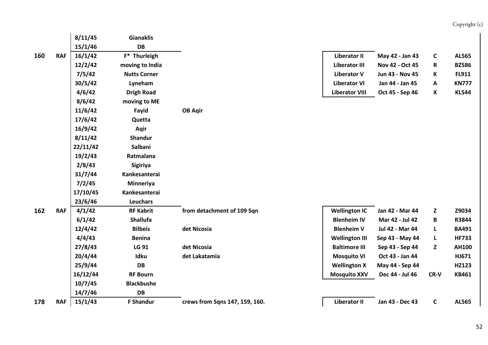#### **8/11/45 Gianaklis 15/1/46 DB 160 RAF 16/1/42 F\* Thurleigh Liberator II May 42 ‐ Jan 43 C AL565 12/2/42 moving to India Liberator III Nov 42 ‐ Oct 45 R BZ586 7/5/42 Nutts Corner Liberator V Jun 43 ‐ Nov 45 K FL911 30/5/42 Lyneham Liberator VI Jan 44 ‐ Jan 45 A KN777 4/6/42 Drigh Road Liberator VIII Oct 45 ‐ Sep 46 X KL544 8/6/42 moving to ME 11/6/42 Fayid OB Aqir 17/6/42 Quetta 16/9/42 Aqir 8/11/42 Shandur 22/11/42 Salbani 19/2/43 Ratmalana 2/8/43 Sigiriya 31/7/44 Kankesanterai 7/2/45 Minneriya 17/10/45 Kankesanterai 23/6/46 Leuchars 162**RAF 4/1/42 RF Kabrit from detachment of 109 Sqn Nellington IC Jan 42 - Mar 44 Z Z9034 **6/1/42 Shallufa Blenheim IV Mar 42 ‐ Jul 42 B R3844 12/4/42 Bilbeis det Nicosia Blenheim V Jul 42 ‐ Mar 44 L BA491 4/4/43 Benina Wellington III Sep 43 ‐ May 44 L HF733 27/8/43 LG 91 det Nicosia Baltimore III Sep 43 ‐ Sep 44 Z AH100 20/4/44 Idku det Lakatamia Mosquito VI Oct 43 ‐ Jan 44 HJ671 25/9/44 DB Wellington X May 44 ‐ Sep 44 HZ123 16/12/44 RF Bourn Mosquito XXV Dec 44 ‐ Jul 46 CR‐V KB461 10/7/45 Blackbushe 14/7/46 DB 178**RAF 15/1/43 F Shandur crews from Sqns 147, 159, 160. Network and the University C AL565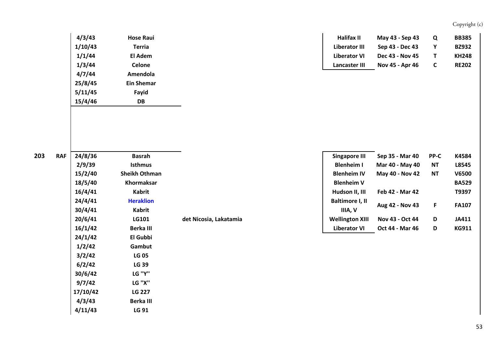|   |            | 4/3/43  | <b>Hose Raui</b>     |                        | Halifax II             | May 43 - Sep 43 | Q            | <b>BB385</b> |
|---|------------|---------|----------------------|------------------------|------------------------|-----------------|--------------|--------------|
|   |            | 1/10/43 | <b>Terria</b>        |                        | <b>Liberator III</b>   | Sep 43 - Dec 43 | Υ            | <b>BZ932</b> |
|   |            |         | El Adem              |                        | <b>Liberator VI</b>    | Dec 43 - Nov 45 |              | <b>KH248</b> |
|   |            | 1/1/44  |                      |                        |                        |                 | T            |              |
|   |            | 1/3/44  | Celone               |                        | Lancaster III          | Nov 45 - Apr 46 | $\mathsf{C}$ | <b>RE202</b> |
|   |            | 4/7/44  | Amendola             |                        |                        |                 |              |              |
|   |            | 25/8/45 | <b>Ein Shemar</b>    |                        |                        |                 |              |              |
|   |            | 5/11/45 | Fayid                |                        |                        |                 |              |              |
|   |            | 15/4/46 | DB                   |                        |                        |                 |              |              |
|   |            |         |                      |                        |                        |                 |              |              |
|   |            |         |                      |                        |                        |                 |              |              |
|   |            |         |                      |                        |                        |                 |              |              |
|   |            |         |                      |                        |                        |                 |              |              |
|   |            |         |                      |                        |                        |                 |              |              |
| 3 | <b>RAF</b> | 24/8/36 | <b>Basrah</b>        |                        | <b>Singapore III</b>   | Sep 35 - Mar 40 | PP-C         | K4584        |
|   |            | 2/9/39  | <b>Isthmus</b>       |                        | <b>Blenheim I</b>      | Mar 40 - May 40 | <b>NT</b>    | L8545        |
|   |            | 15/2/40 | <b>Sheikh Othman</b> |                        | <b>Blenheim IV</b>     | May 40 - Nov 42 | <b>NT</b>    | <b>V6500</b> |
|   |            | 18/5/40 | Khormaksar           |                        | <b>Blenheim V</b>      |                 |              | <b>BA529</b> |
|   |            | 16/4/41 | Kabrit               |                        | Hudson II, III         | Feb 42 - Mar 42 |              | T9397        |
|   |            | 24/4/41 | <b>Heraklion</b>     |                        | Baltimore I, II        |                 |              |              |
|   |            | 30/4/41 | Kabrit               |                        | IIIA, V                | Aug 42 - Nov 43 | F            | <b>FA107</b> |
|   |            | 20/6/41 | LG101                | det Nicosia, Lakatamia | <b>Wellington XIII</b> | Nov 43 - Oct 44 | D            | JA411        |
|   |            |         |                      |                        |                        |                 |              |              |
|   |            | 16/1/42 | <b>Berka III</b>     |                        | <b>Liberator VI</b>    | Oct 44 - Mar 46 | D            | <b>KG911</b> |
|   |            | 24/1/42 | El Gubbi             |                        |                        |                 |              |              |

| 24/8/36        | Basrah               |
|----------------|----------------------|
| 2/9/39         | Isthmus              |
| <b>15/2/40</b> | <b>Sheikh Othman</b> |
| 18/5/40        | Khormaksar           |
| 16/4/41        | Kabrit               |
| 24/4/41        | <b>Heraklion</b>     |
| 30/4/41        | Kabrit               |
| 20/6/41        | LG101                |
| 16/1/42        | Berka III            |
| 24/1/42        | El Gubbi             |
| 1/2/42         | Gambut               |
| 3/2/42         | LG 05                |
| 6/2/42         | LG 39                |
| 30/6/42        | LG "Y"               |
| 9/7/42         | LG "X"               |
| 17/10/42       | <b>LG 227</b>        |
| 4/3/43         | Berka III            |
| 4/11/43        | LG 91                |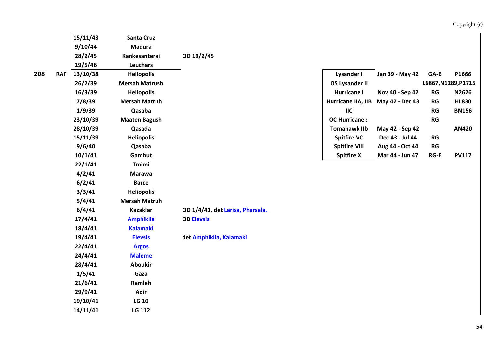|     |            | 15/11/43 | <b>Santa Cruz</b>     |                                  |                       |                 |            |                     |
|-----|------------|----------|-----------------------|----------------------------------|-----------------------|-----------------|------------|---------------------|
|     |            | 9/10/44  | <b>Madura</b>         |                                  |                       |                 |            |                     |
|     |            | 28/2/45  | Kankesanterai         | OD 19/2/45                       |                       |                 |            |                     |
|     |            | 19/5/46  | Leuchars              |                                  |                       |                 |            |                     |
| 208 | <b>RAF</b> | 13/10/38 | <b>Heliopolis</b>     |                                  | <b>Lysander I</b>     | Jan 39 - May 42 | $GA-B$     | P1666               |
|     |            | 26/2/39  | <b>Mersah Matrush</b> |                                  | <b>OS Lysander II</b> |                 |            | L6867, N1289, P1715 |
|     |            | 16/3/39  | <b>Heliopolis</b>     |                                  | Hurricane I           | Nov 40 - Sep 42 | ${\sf RG}$ | N2626               |
|     |            | 7/8/39   | <b>Mersah Matruh</b>  |                                  | Hurricane IIA, IIB    | May 42 - Dec 43 | ${\sf RG}$ | <b>HL830</b>        |
|     |            | 1/9/39   | Qasaba                |                                  | IIC                   |                 | RG         | <b>BN156</b>        |
|     |            | 23/10/39 | <b>Maaten Bagush</b>  |                                  | <b>OC Hurricane:</b>  |                 | RG         |                     |
|     |            | 28/10/39 | Qasada                |                                  | <b>Tomahawk IIb</b>   | May 42 - Sep 42 |            | <b>AN420</b>        |
|     |            | 15/11/39 | <b>Heliopolis</b>     |                                  | <b>Spitfire VC</b>    | Dec 43 - Jul 44 | RG         |                     |
|     |            | 9/6/40   | Qasaba                |                                  | <b>Spitfire VIII</b>  | Aug 44 - Oct 44 | RG         |                     |
|     |            | 10/1/41  | Gambut                |                                  | <b>Spitfire X</b>     | Mar 44 - Jun 47 | $RG-E$     | <b>PV117</b>        |
|     |            | 22/1/41  | <b>Tmimi</b>          |                                  |                       |                 |            |                     |
|     |            | 4/2/41   | <b>Marawa</b>         |                                  |                       |                 |            |                     |
|     |            | 6/2/41   | <b>Barce</b>          |                                  |                       |                 |            |                     |
|     |            | 3/3/41   | <b>Heliopolis</b>     |                                  |                       |                 |            |                     |
|     |            | 5/4/41   | <b>Mersah Matruh</b>  |                                  |                       |                 |            |                     |
|     |            | 6/4/41   | <b>Kazaklar</b>       | OD 1/4/41. det Larisa, Pharsala. |                       |                 |            |                     |
|     |            | 17/4/41  | <b>Amphiklia</b>      | <b>OB Elevsis</b>                |                       |                 |            |                     |
|     |            | 18/4/41  | <b>Kalamaki</b>       |                                  |                       |                 |            |                     |
|     |            | 19/4/41  | <b>Elevsis</b>        | det Amphiklia, Kalamaki          |                       |                 |            |                     |
|     |            | 22/4/41  | <b>Argos</b>          |                                  |                       |                 |            |                     |
|     |            | 24/4/41  | <b>Maleme</b>         |                                  |                       |                 |            |                     |
|     |            | 28/4/41  | <b>Aboukir</b>        |                                  |                       |                 |            |                     |
|     |            | 1/5/41   | Gaza                  |                                  |                       |                 |            |                     |
|     |            | 21/6/41  | Ramleh                |                                  |                       |                 |            |                     |
|     |            | 29/9/41  | Aqir                  |                                  |                       |                 |            |                     |
|     |            | 19/10/41 | <b>LG 10</b>          |                                  |                       |                 |            |                     |
|     |            | 14/11/41 | LG 112                |                                  |                       |                 |            |                     |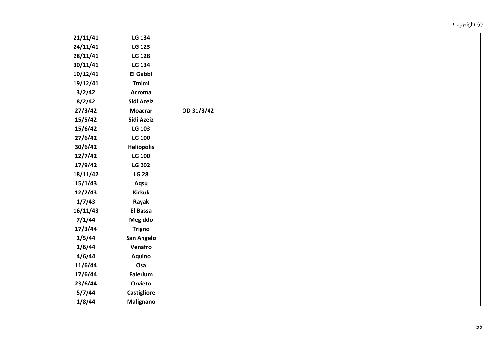| 21/11/41 | LG 134             |            |
|----------|--------------------|------------|
| 24/11/41 | <b>LG 123</b>      |            |
| 28/11/41 | <b>LG 128</b>      |            |
| 30/11/41 | LG 134             |            |
| 10/12/41 | El Gubbi           |            |
| 19/12/41 | <b>Tmimi</b>       |            |
| 3/2/42   | Acroma             |            |
| 8/2/42   | Sidi Azeiz         |            |
| 27/3/42  | <b>Moacrar</b>     | OD 31/3/42 |
| 15/5/42  | Sidi Azeiz         |            |
| 15/6/42  | LG 103             |            |
| 27/6/42  | <b>LG 100</b>      |            |
| 30/6/42  | <b>Heliopolis</b>  |            |
| 12/7/42  | <b>LG 100</b>      |            |
| 17/9/42  | <b>LG 202</b>      |            |
| 18/11/42 | <b>LG 28</b>       |            |
| 15/1/43  | Aqsu               |            |
| 12/2/43  | <b>Kirkuk</b>      |            |
| 1/7/43   | Rayak              |            |
| 16/11/43 | El Bassa           |            |
| 7/1/44   | <b>Megiddo</b>     |            |
| 17/3/44  | <b>Trigno</b>      |            |
| 1/5/44   | San Angelo         |            |
| 1/6/44   | Venafro            |            |
| 4/6/44   | <b>Aquino</b>      |            |
| 11/6/44  | Osa                |            |
| 17/6/44  | <b>Falerium</b>    |            |
| 23/6/44  | Orvieto            |            |
| 5/7/44   | <b>Castigliore</b> |            |
| 1/8/44   | Malignano          |            |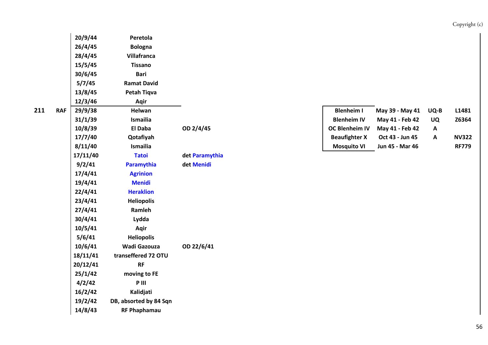| 20/9/44  | Peretola               |                |                      |                 |    |
|----------|------------------------|----------------|----------------------|-----------------|----|
| 26/4/45  | <b>Bologna</b>         |                |                      |                 |    |
| 28/4/45  | Villafranca            |                |                      |                 |    |
| 15/5/45  | <b>Tissano</b>         |                |                      |                 |    |
| 30/6/45  | <b>Bari</b>            |                |                      |                 |    |
| 5/7/45   | <b>Ramat David</b>     |                |                      |                 |    |
| 13/8/45  | <b>Petah Tiqva</b>     |                |                      |                 |    |
| 12/3/46  | Aqir                   |                |                      |                 |    |
| 29/9/38  | Helwan                 |                | <b>Blenheim I</b>    | May 39 - May 41 | UQ |
| 31/1/39  | Ismailia               |                | <b>Blenheim IV</b>   | May 41 - Feb 42 | U( |
| 10/8/39  | El Daba                | OD 2/4/45      | OC Blenheim IV       | May 41 - Feb 42 | A  |
| 17/7/40  | Qotafiyah              |                | <b>Beaufighter X</b> | Oct 43 - Jun 45 | A  |
| 8/11/40  | Ismailia               |                | <b>Mosquito VI</b>   | Jun 45 - Mar 46 |    |
| 17/11/40 | <b>Tatoi</b>           | det Paramythia |                      |                 |    |
| 9/2/41   | Paramythia             | det Menidi     |                      |                 |    |
| 17/4/41  | <b>Agrinion</b>        |                |                      |                 |    |
| 19/4/41  | <b>Menidi</b>          |                |                      |                 |    |
| 22/4/41  | <b>Heraklion</b>       |                |                      |                 |    |
| 23/4/41  | <b>Heliopolis</b>      |                |                      |                 |    |
| 27/4/41  | Ramleh                 |                |                      |                 |    |
| 30/4/41  | Lydda                  |                |                      |                 |    |
| 10/5/41  | Aqir                   |                |                      |                 |    |
| 5/6/41   | <b>Heliopolis</b>      |                |                      |                 |    |
| 10/6/41  | <b>Wadi Gazouza</b>    | OD 22/6/41     |                      |                 |    |
| 18/11/41 | transeffered 72 OTU    |                |                      |                 |    |
| 20/12/41 | <b>RF</b>              |                |                      |                 |    |
| 25/1/42  | moving to FE           |                |                      |                 |    |
| 4/2/42   | P III                  |                |                      |                 |    |
| 16/2/42  | Kalidjati              |                |                      |                 |    |
| 19/2/42  | DB, absorted by 84 Sqn |                |                      |                 |    |
| 14/8/43  | <b>RF Phaphamau</b>    |                |                      |                 |    |
|          |                        |                |                      |                 |    |

| <b>RAF</b> | 29/9/38 | Helwan    |           | <b>Blenheim I</b>     | May 39 - May 41 | UQ-B | L1481        |
|------------|---------|-----------|-----------|-----------------------|-----------------|------|--------------|
|            | 31/1/39 | Ismailia  |           | <b>Blenheim IV</b>    | May 41 - Feb 42 | UQ   | Z6364        |
|            | 10/8/39 | El Daba   | OD 2/4/45 | <b>OC Blenheim IV</b> | May 41 - Feb 42 | A    |              |
|            | 17/7/40 | Qotafiyah |           | <b>Beaufighter X</b>  | Oct 43 - Jun 45 | A    | <b>NV322</b> |
|            | 8/11/40 | Ismailia  |           | <b>Mosquito VI</b>    | Jun 45 - Mar 46 |      | <b>RF779</b> |
|            |         |           |           |                       |                 |      |              |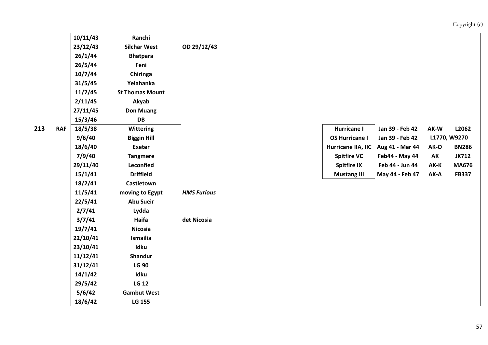|   |            | 10/11/43 | Ranchi                 |                    |                       |                 |      |              |
|---|------------|----------|------------------------|--------------------|-----------------------|-----------------|------|--------------|
|   |            | 23/12/43 | <b>Silchar West</b>    | OD 29/12/43        |                       |                 |      |              |
|   |            | 26/1/44  | <b>Bhatpara</b>        |                    |                       |                 |      |              |
|   |            | 26/5/44  | Feni                   |                    |                       |                 |      |              |
|   |            | 10/7/44  | Chiringa               |                    |                       |                 |      |              |
|   |            | 31/5/45  | Yelahanka              |                    |                       |                 |      |              |
|   |            | 11/7/45  | <b>St Thomas Mount</b> |                    |                       |                 |      |              |
|   |            | 2/11/45  | Akyab                  |                    |                       |                 |      |              |
|   |            | 27/11/45 | <b>Don Muang</b>       |                    |                       |                 |      |              |
|   |            | 15/3/46  | DB                     |                    |                       |                 |      |              |
| 3 | <b>RAF</b> | 18/5/38  | <b>Wittering</b>       |                    | <b>Hurricane I</b>    | Jan 39 - Feb 42 | AK-W | L2062        |
|   |            | 9/6/40   | <b>Biggin Hill</b>     |                    | <b>OS Hurricane I</b> | Jan 39 - Feb 42 |      | L1770, W9270 |
|   |            | 18/6/40  | <b>Exeter</b>          |                    | Hurricane IIA, IIC    | Aug 41 - Mar 44 | AK-O | <b>BN286</b> |
|   |            | 7/9/40   | <b>Tangmere</b>        |                    | <b>Spitfire VC</b>    | Feb44 - May 44  | AK   | <b>JK712</b> |
|   |            | 29/11/40 | Leconfied              |                    | <b>Spitfire IX</b>    | Feb 44 - Jun 44 | AK-K | <b>MA67</b>  |
|   |            | 15/1/41  | <b>Driffield</b>       |                    | <b>Mustang III</b>    | May 44 - Feb 47 | AK-A | <b>FB337</b> |
|   |            | 18/2/41  | Castletown             |                    |                       |                 |      |              |
|   |            | 11/5/41  | moving to Egypt        | <b>HMS Furious</b> |                       |                 |      |              |
|   |            | 22/5/41  | <b>Abu Sueir</b>       |                    |                       |                 |      |              |
|   |            | 2/7/41   | Lydda                  |                    |                       |                 |      |              |
|   |            | 3/7/41   | Haifa                  | det Nicosia        |                       |                 |      |              |
|   |            | 19/7/41  | <b>Nicosia</b>         |                    |                       |                 |      |              |
|   |            | 22/10/41 | Ismailia               |                    |                       |                 |      |              |
|   |            | 23/10/41 | Idku                   |                    |                       |                 |      |              |
|   |            | 11/12/41 | Shandur                |                    |                       |                 |      |              |
|   |            | 31/12/41 | <b>LG 90</b>           |                    |                       |                 |      |              |
|   |            | 14/1/42  | Idku                   |                    |                       |                 |      |              |
|   |            | 29/5/42  | <b>LG 12</b>           |                    |                       |                 |      |              |
|   |            | 5/6/42   | <b>Gambut West</b>     |                    |                       |                 |      |              |
|   |            | 18/6/42  | LG 155                 |                    |                       |                 |      |              |

| 18/5/38  | <b>Wittering</b>   | Hurricane I                        | Jan 39 - Feb 42 | AK-W | L2062        |
|----------|--------------------|------------------------------------|-----------------|------|--------------|
| 9/6/40   | <b>Biggin Hill</b> | <b>OS Hurricane I</b>              | Jan 39 - Feb 42 |      | L1770, W9270 |
| 18/6/40  | Exeter             | Hurricane IIA, IIC Aug 41 - Mar 44 |                 | AK-O | <b>BN286</b> |
| 7/9/40   | Tangmere           | <b>Spitfire VC</b>                 | Feb44 - May 44  | AK   | JK712        |
| 29/11/40 | <b>Leconfied</b>   | <b>Spitfire IX</b>                 | Feb 44 - Jun 44 | AK-K | <b>MA676</b> |
| 15/1/41  | <b>Driffield</b>   | <b>Mustang III</b>                 | May 44 - Feb 47 | AK-A | <b>FB337</b> |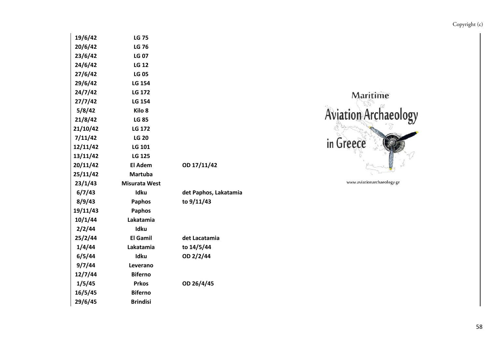| 19/6/42  | <b>LG 75</b>         |                       |
|----------|----------------------|-----------------------|
| 20/6/42  | <b>LG 76</b>         |                       |
| 23/6/42  | <b>LG 07</b>         |                       |
| 24/6/42  | <b>LG 12</b>         |                       |
| 27/6/42  | <b>LG 05</b>         |                       |
| 29/6/42  | <b>LG 154</b>        |                       |
| 24/7/42  | <b>LG 172</b>        |                       |
| 27/7/42  | <b>LG 154</b>        |                       |
| 5/8/42   | Kilo <sub>8</sub>    |                       |
| 21/8/42  | <b>LG 85</b>         |                       |
| 21/10/42 | LG 172               |                       |
| 7/11/42  | <b>LG 20</b>         |                       |
| 12/11/42 | <b>LG 101</b>        |                       |
| 13/11/42 | <b>LG 125</b>        |                       |
| 20/11/42 | El Adem              | OD 17/11/42           |
| 25/11/42 | <b>Martuba</b>       |                       |
| 23/1/43  | <b>Misurata West</b> |                       |
| 6/7/43   | Idku                 | det Paphos, Lakatamia |
| 8/9/43   | Paphos               | to 9/11/43            |
| 19/11/43 | <b>Paphos</b>        |                       |
| 10/1/44  | Lakatamia            |                       |
| 2/2/44   | Idku                 |                       |
| 25/2/44  | <b>El Gamil</b>      | det Lacatamia         |
| 1/4/44   | Lakatamia            | to 14/5/44            |
| 6/5/44   | Idku                 | OD 2/2/44             |
| 9/7/44   | Leverano             |                       |
| 12/7/44  | <b>Biferno</b>       |                       |
| 1/5/45   | <b>Prkos</b>         | OD 26/4/45            |
| 16/5/45  | <b>Biferno</b>       |                       |
| 29/6/45  | <b>Brindisi</b>      |                       |
|          |                      |                       |



www.aviationarchaeology.gr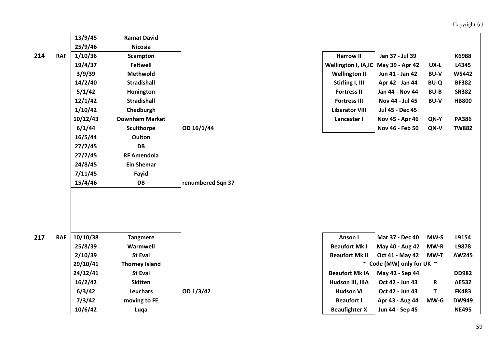|     |            | 13/9/45  | <b>Ramat David</b>    |                   |                                      |                           |             |              |
|-----|------------|----------|-----------------------|-------------------|--------------------------------------|---------------------------|-------------|--------------|
|     |            | 25/9/46  | <b>Nicosia</b>        |                   |                                      |                           |             |              |
| 214 | <b>RAF</b> | 1/10/36  | <b>Scampton</b>       |                   | <b>Harrow II</b>                     | Jan 37 - Jul 39           |             | K6988        |
|     |            | 19/4/37  | <b>Feltwell</b>       |                   | Wellington I, IA, IC May 39 - Apr 42 |                           | UX-L        | L4345        |
|     |            | 3/9/39   | Methwold              |                   | <b>Wellington II</b>                 | Jun 41 - Jan 42           | <b>BU-V</b> | W5442        |
|     |            | 14/2/40  | <b>Stradishall</b>    |                   | Stirling I, III                      | Apr 42 - Jan 44           | <b>BU-Q</b> | <b>BF382</b> |
|     |            | 5/1/42   | Honington             |                   | <b>Fortress II</b>                   | Jan 44 - Nov 44           | <b>BU-B</b> | <b>SR382</b> |
|     |            | 12/1/42  | <b>Stradishall</b>    |                   | <b>Fortress III</b>                  | Nov 44 - Jul 45           | <b>BU-V</b> | <b>HB800</b> |
|     |            | 1/10/42  | Chedburgh             |                   | <b>Liberator VIII</b>                | Jul 45 - Dec 45           |             |              |
|     |            | 10/12/43 | <b>Downham Market</b> |                   | Lancaster I                          | Nov 45 - Apr 46           | QN-Y        | <b>PA386</b> |
|     |            | 6/1/44   | <b>Sculthorpe</b>     | OD 16/1/44        |                                      | Nov 46 - Feb 50           | QN-V        | <b>TW882</b> |
|     |            | 16/5/44  | Oulton                |                   |                                      |                           |             |              |
|     |            | 27/7/45  | <b>DB</b>             |                   |                                      |                           |             |              |
|     |            | 27/7/45  | <b>RF Amendola</b>    |                   |                                      |                           |             |              |
|     |            | 24/8/45  | <b>Ein Shemar</b>     |                   |                                      |                           |             |              |
|     |            | 7/11/45  | Fayid                 |                   |                                      |                           |             |              |
|     |            | 15/4/46  | <b>DB</b>             | renumbered Sqn 37 |                                      |                           |             |              |
|     |            |          |                       |                   |                                      |                           |             |              |
|     |            |          |                       |                   |                                      |                           |             |              |
|     |            |          |                       |                   |                                      |                           |             |              |
|     |            |          |                       |                   |                                      |                           |             |              |
|     |            |          |                       |                   |                                      |                           |             |              |
| 217 | <b>RAF</b> | 10/10/38 | <b>Tangmere</b>       |                   | Anson I                              | Mar 37 - Dec 40           | MW-S        | L9154        |
|     |            | 25/8/39  | Warmwell              |                   | <b>Beaufort Mk I</b>                 | May 40 - Aug 42           | MW-R        | L9878        |
|     |            | 2/10/39  | <b>St Eval</b>        |                   | <b>Beaufort Mk II</b>                | Oct 41 - May 42           | MW-T        | <b>AW245</b> |
|     |            | 29/10/41 | <b>Thorney Island</b> |                   |                                      | ~ Code (MW) only for UK ~ |             |              |
|     |            | 24/12/41 | <b>St Eval</b>        |                   | <b>Beaufort Mk IA</b>                | May 42 - Sep 44           |             | <b>DD982</b> |
|     |            | 16/2/42  | <b>Skitten</b>        |                   | Hudson III, IIIA                     | Oct 42 - Jun 43           | $\mathbf R$ | <b>AE532</b> |
|     |            | 6/3/42   | <b>Leuchars</b>       | OD 1/3/42         | <b>Hudson VI</b>                     | Oct 42 - Jun 43           | $\mathbf T$ | <b>FK483</b> |
|     |            | 7/3/42   | moving to FE          |                   | <b>Beaufort I</b>                    | Apr 43 - Aug 44           | MW-G        | <b>DW949</b> |
|     |            | 10/6/42  | Luqa                  |                   | <b>Beaufighter X</b>                 | Jun 44 - Sep 45           |             | <b>NE495</b> |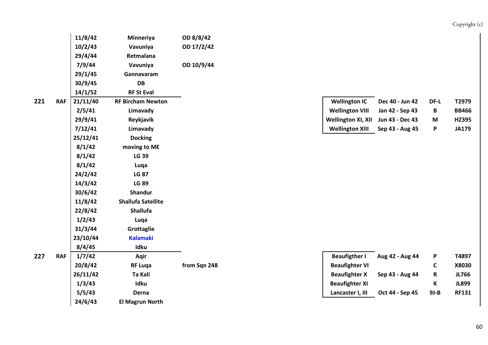|   |            | 10/2/43  | Vavuniya                  | OD 17/2/42   |                           |                 |             |              |
|---|------------|----------|---------------------------|--------------|---------------------------|-----------------|-------------|--------------|
|   |            | 29/4/44  | Retmalana                 |              |                           |                 |             |              |
|   |            | 7/9/44   | Vavuniya                  | OD 10/9/44   |                           |                 |             |              |
|   |            | 29/1/45  | Gannavaram                |              |                           |                 |             |              |
|   |            | 30/9/45  | DB                        |              |                           |                 |             |              |
|   |            | 14/1/52  | <b>RF St Eval</b>         |              |                           |                 |             |              |
| 1 | <b>RAF</b> | 21/11/40 | <b>RF Bircham Newton</b>  |              | <b>Wellington IC</b>      | Dec 40 - Jun 42 | DF-L        | T2979        |
|   |            | 2/5/41   | Limavady                  |              | <b>Wellington VIII</b>    | Jan 42 - Sep 43 | B           | <b>BB466</b> |
|   |            | 29/9/41  | Reykjavik                 |              | <b>Wellington XI, XII</b> | Jun 43 - Dec 43 | M           | <b>HZ395</b> |
|   |            | 7/12/41  | Limavady                  |              | <b>Wellington XIII</b>    | Sep 43 - Aug 45 | P           | <b>JA179</b> |
|   |            | 25/12/41 | <b>Docking</b>            |              |                           |                 |             |              |
|   |            | 8/1/42   | moving to ME              |              |                           |                 |             |              |
|   |            | 8/1/42   | <b>LG 39</b>              |              |                           |                 |             |              |
|   |            | 8/1/42   | Luqa                      |              |                           |                 |             |              |
|   |            | 24/2/42  | <b>LG 87</b>              |              |                           |                 |             |              |
|   |            | 14/3/42  | <b>LG 89</b>              |              |                           |                 |             |              |
|   |            | 30/6/42  | <b>Shandur</b>            |              |                           |                 |             |              |
|   |            | 11/8/42  | <b>Shallufa Satellite</b> |              |                           |                 |             |              |
|   |            | 22/8/42  | Shallufa                  |              |                           |                 |             |              |
|   |            | 1/2/43   | Luqa                      |              |                           |                 |             |              |
|   |            | 31/3/44  | Grottaglie                |              |                           |                 |             |              |
|   |            | 23/10/44 | <b>Kalamaki</b>           |              |                           |                 |             |              |
|   |            | 8/4/45   | Idku                      |              |                           |                 |             |              |
| 7 | <b>RAF</b> | 1/7/42   | Aqir                      |              | <b>Beaufigther I</b>      | Aug 42 - Aug 44 | P           | T4897        |
|   |            | 20/8/42  | <b>RF Luqa</b>            | from Sqn 248 | <b>Beaufighter VI</b>     |                 | $\mathsf C$ | X8030        |
|   |            | 26/11/42 | Ta Kali                   |              | <b>Beaufighter X</b>      | Sep 43 - Aug 44 | ${\sf R}$   | <b>JL766</b> |
|   |            | 1/3/43   | Idku                      |              | <b>Beaufighter XI</b>     |                 | К           | <b>JL899</b> |
|   |            | 5/5/43   | Derna                     |              | Lancaster I, III          | Oct 44 - Sep 45 | $9J-B$      | <b>RF131</b> |

**11/8/42 Minneriya OD 8/8/42**

**24/6/43 El Magrun North**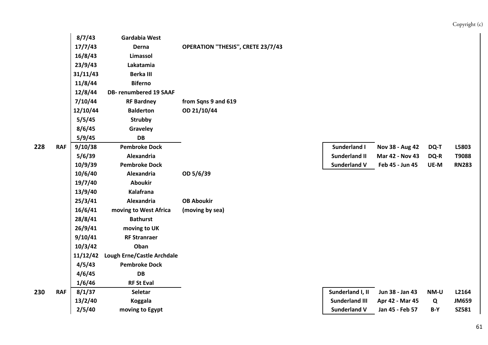|     |                                                | 8/7/43   | Gardabia West                     |                                          |                       |                 |       |              |
|-----|------------------------------------------------|----------|-----------------------------------|------------------------------------------|-----------------------|-----------------|-------|--------------|
|     |                                                | 17/7/43  | Derna                             | <b>OPERATION "THESIS", CRETE 23/7/43</b> |                       |                 |       |              |
|     |                                                | 16/8/43  | Limassol                          |                                          |                       |                 |       |              |
|     |                                                | 23/9/43  | Lakatamia                         |                                          |                       |                 |       |              |
|     |                                                | 31/11/43 | <b>Berka III</b>                  |                                          |                       |                 |       |              |
|     |                                                | 11/8/44  | <b>Biferno</b>                    |                                          |                       |                 |       |              |
|     |                                                | 12/8/44  | <b>DB-</b> renumbered 19 SAAF     |                                          |                       |                 |       |              |
|     |                                                | 7/10/44  | <b>RF Bardney</b>                 | from Sqns 9 and 619                      |                       |                 |       |              |
|     |                                                | 12/10/44 | <b>Balderton</b>                  | OD 21/10/44                              |                       |                 |       |              |
|     | 5/5/45<br><b>Strubby</b><br>8/6/45<br>Graveley |          |                                   |                                          |                       |                 |       |              |
|     |                                                |          |                                   |                                          |                       |                 |       |              |
|     |                                                | 5/9/45   | <b>DB</b>                         |                                          |                       |                 |       |              |
| 228 | <b>RAF</b>                                     | 9/10/38  | <b>Pembroke Dock</b>              |                                          | Sunderland I          | Nov 38 - Aug 42 | DQ-T  | L5803        |
|     |                                                | 5/6/39   | Alexandria                        |                                          | <b>Sunderland II</b>  | Mar 42 - Nov 43 | DQ-R  | T9088        |
|     | 10/9/39                                        |          | <b>Pembroke Dock</b>              |                                          | <b>Sunderland V</b>   | Feb 45 - Jun 45 | UE-M  | <b>RN283</b> |
|     |                                                | 10/6/40  | Alexandria                        | OD 5/6/39                                |                       |                 |       |              |
|     |                                                | 19/7/40  | <b>Aboukir</b>                    |                                          |                       |                 |       |              |
|     |                                                | 13/9/40  | Kalafrana                         |                                          |                       |                 |       |              |
|     |                                                | 25/3/41  | Alexandria                        | <b>OB Aboukir</b>                        |                       |                 |       |              |
|     |                                                | 16/6/41  | moving to West Africa             | (moving by sea)                          |                       |                 |       |              |
|     |                                                | 28/8/41  | <b>Bathurst</b>                   |                                          |                       |                 |       |              |
|     |                                                | 26/9/41  | moving to UK                      |                                          |                       |                 |       |              |
|     |                                                | 9/10/41  | <b>RF Stranraer</b>               |                                          |                       |                 |       |              |
|     |                                                | 10/3/42  | Oban                              |                                          |                       |                 |       |              |
|     |                                                | 11/12/42 | <b>Lough Erne/Castle Archdale</b> |                                          |                       |                 |       |              |
|     |                                                | 4/5/43   | <b>Pembroke Dock</b>              |                                          |                       |                 |       |              |
|     |                                                | 4/6/45   | DB                                |                                          |                       |                 |       |              |
|     |                                                | 1/6/46   | <b>RF St Eval</b>                 |                                          |                       |                 |       |              |
| 230 | <b>RAF</b>                                     | 8/1/37   | Seletar                           |                                          | Sunderland I, II      | Jun 38 - Jan 43 | NM-U  | L2164        |
|     |                                                | 13/2/40  | <b>Koggala</b>                    |                                          | <b>Sunderland III</b> | Apr 42 - Mar 45 | Q     | <b>JM659</b> |
|     |                                                | 2/5/40   | moving to Egypt                   |                                          | <b>Sunderland V</b>   | Jan 45 - Feb 57 | $B-Y$ | SZ581        |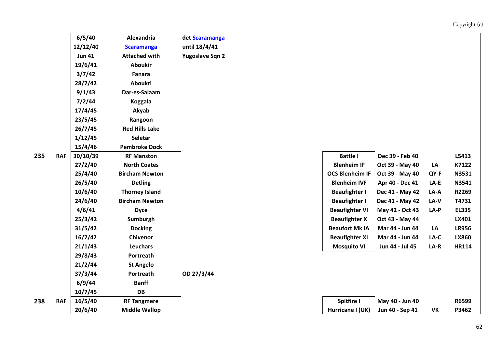|   |            | 6/5/40        | Alexandria            | det Scaramanga  |                        |                 |        |              |
|---|------------|---------------|-----------------------|-----------------|------------------------|-----------------|--------|--------------|
|   |            | 12/12/40      | <b>Scaramanga</b>     | until 18/4/41   |                        |                 |        |              |
|   |            | <b>Jun 41</b> | <b>Attached with</b>  | Yugoslave Sqn 2 |                        |                 |        |              |
|   |            | 19/6/41       | <b>Aboukir</b>        |                 |                        |                 |        |              |
|   |            | 3/7/42        | Fanara                |                 |                        |                 |        |              |
|   |            | 28/7/42       | <b>Aboukri</b>        |                 |                        |                 |        |              |
|   |            | 9/1/43        | Dar-es-Salaam         |                 |                        |                 |        |              |
|   |            | 7/2/44        | <b>Koggala</b>        |                 |                        |                 |        |              |
|   |            | 17/4/45       | Akyab                 |                 |                        |                 |        |              |
|   |            | 23/5/45       | Rangoon               |                 |                        |                 |        |              |
|   |            | 26/7/45       | <b>Red Hills Lake</b> |                 |                        |                 |        |              |
|   |            | 1/12/45       | <b>Seletar</b>        |                 |                        |                 |        |              |
|   |            | 15/4/46       | <b>Pembroke Dock</b>  |                 |                        |                 |        |              |
| 5 | <b>RAF</b> | 30/10/39      | <b>RF Manston</b>     |                 | <b>Battle I</b>        | Dec 39 - Feb 40 |        | L5413        |
|   |            | 27/2/40       | <b>North Coates</b>   |                 | <b>Blenheim IF</b>     | Oct 39 - May 40 | LA     | K7122        |
|   |            | 25/4/40       | <b>Bircham Newton</b> |                 | <b>OCS Blenheim IF</b> | Oct 39 - May 40 | QY-F   | N3531        |
|   |            | 26/5/40       | <b>Detling</b>        |                 | <b>Blenheim IVF</b>    | Apr 40 - Dec 41 | $LA-E$ | N3541        |
|   |            | 10/6/40       | <b>Thorney Island</b> |                 | <b>Beaufighter I</b>   | Dec 41 - May 42 | LA-A   | R2269        |
|   |            | 24/6/40       | <b>Bircham Newton</b> |                 | <b>Beaufighter I</b>   | Dec 41 - May 42 | LA-V   | T4731        |
|   |            | 4/6/41        | <b>Dyce</b>           |                 | <b>Beaufighter VI</b>  | May 42 - Oct 43 | $LA-P$ | <b>EL335</b> |
|   |            | 25/3/42       | Sumburgh              |                 | <b>Beaufighter X</b>   | Oct 43 - May 44 |        | LX401        |
|   |            | 31/5/42       | <b>Docking</b>        |                 | <b>Beaufort Mk IA</b>  | Mar 44 - Jun 44 | LA     | <b>LR956</b> |
|   |            | 16/7/42       | Chivenor              |                 | <b>Beaufighter XI</b>  | Mar 44 - Jun 44 | LA-C   | <b>LX860</b> |
|   |            | 21/1/43       | Leuchars              |                 | <b>Mosquito VI</b>     | Jun 44 - Jul 45 | LA-R   | <b>HR114</b> |
|   |            | 29/8/43       | Portreath             |                 |                        |                 |        |              |
|   |            | 21/2/44       | <b>St Angelo</b>      |                 |                        |                 |        |              |
|   |            | 37/3/44       | Portreath             | OD 27/3/44      |                        |                 |        |              |
|   |            | 6/9/44        | <b>Banff</b>          |                 |                        |                 |        |              |
|   |            | 10/7/45       | <b>DB</b>             |                 |                        |                 |        |              |
| 8 | <b>RAF</b> | 16/5/40       | <b>RF Tangmere</b>    |                 | Spitfire I             | May 40 - Jun 40 |        | R6599        |
|   |            | 20/6/40       | <b>Middle Wallop</b>  |                 | Hurricane I (UK)       | Jun 40 - Sep 41 | VK     | P3462        |
|   |            |               |                       |                 |                        |                 |        |              |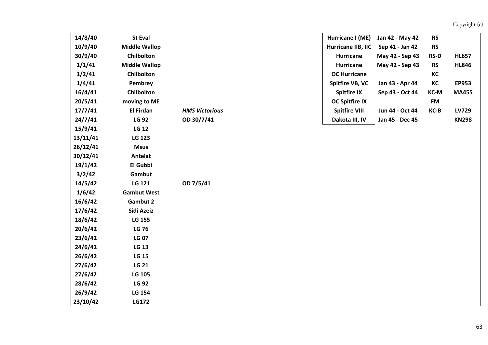| 14/8/40  | <b>St Eval</b>       |                       | Hurricane I (ME)      | Jan 42 - May 42 | <b>RS</b>   |              |
|----------|----------------------|-----------------------|-----------------------|-----------------|-------------|--------------|
| 10/9/40  | <b>Middle Wallop</b> |                       | Hurricane IIB, IIC    | Sep 41 - Jan 42 | <b>RS</b>   |              |
| 30/9/40  | Chilbolton           |                       | <b>Hurricane</b>      | May 42 - Sep 43 | <b>RS-D</b> | <b>HL657</b> |
| 1/1/41   | <b>Middle Wallop</b> |                       | <b>Hurricane</b>      | May 42 - Sep 43 | <b>RS</b>   | <b>HL846</b> |
| 1/2/41   | Chilbolton           |                       | <b>OC Hurricane</b>   |                 | KC          |              |
| 1/4/41   | Pembrey              |                       | Spitfire VB, VC       | Jan 43 - Apr 44 | KC          | EP953        |
| 16/4/41  | Chilbolton           |                       | <b>Spitfire IX</b>    | Sep 43 - Oct 44 | KC-M        | <b>MA455</b> |
| 20/5/41  | moving to ME         |                       | <b>OC Spitfire IX</b> |                 | <b>FM</b>   |              |
| 17/7/41  | El Firdan            | <b>HMS Victorious</b> | <b>Spitfire VIII</b>  | Jun 44 - Oct 44 | KC-B        | LV729        |
| 24/7/41  | <b>LG 92</b>         | OD 30/7/41            | Dakota III, IV        | Jan 45 - Dec 45 |             | <b>KN298</b> |
| 15/9/41  | <b>LG 12</b>         |                       |                       |                 |             |              |
| 13/11/41 | LG 123               |                       |                       |                 |             |              |
| 26/12/41 | <b>Msus</b>          |                       |                       |                 |             |              |
| 30/12/41 | Antelat              |                       |                       |                 |             |              |
| 19/1/42  | El Gubbi             |                       |                       |                 |             |              |
| 3/2/42   | Gambut               |                       |                       |                 |             |              |
| 14/5/42  | LG 121               | OD 7/5/41             |                       |                 |             |              |
| 1/6/42   | <b>Gambut West</b>   |                       |                       |                 |             |              |
| 16/6/42  | Gambut 2             |                       |                       |                 |             |              |
| 17/6/42  | Sidi Azeiz           |                       |                       |                 |             |              |
| 18/6/42  | LG 155               |                       |                       |                 |             |              |
| 20/6/42  | <b>LG 76</b>         |                       |                       |                 |             |              |
| 23/6/42  | <b>LG 07</b>         |                       |                       |                 |             |              |
| 24/6/42  | <b>LG 13</b>         |                       |                       |                 |             |              |
| 26/6/42  | <b>LG 15</b>         |                       |                       |                 |             |              |
| 27/6/42  | <b>LG 21</b>         |                       |                       |                 |             |              |
| 27/6/42  | LG 105               |                       |                       |                 |             |              |
| 28/6/42  | <b>LG 92</b>         |                       |                       |                 |             |              |
| 26/9/42  | LG 154               |                       |                       |                 |             |              |
| 23/10/42 | <b>LG172</b>         |                       |                       |                 |             |              |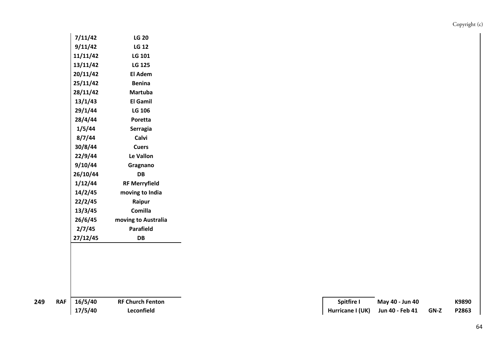| 7/11/42  | <b>LG 20</b>         |
|----------|----------------------|
| 9/11/42  | <b>LG 12</b>         |
| 11/11/42 | <b>LG 101</b>        |
| 13/11/42 | <b>LG 125</b>        |
| 20/11/42 | El Adem              |
| 25/11/42 | <b>Benina</b>        |
| 28/11/42 | <b>Martuba</b>       |
| 13/1/43  | El Gamil             |
| 29/1/44  | LG 106               |
| 28/4/44  | Poretta              |
| 1/5/44   | Serragia             |
| 8/7/44   | Calvi                |
| 30/8/44  | <b>Cuers</b>         |
| 22/9/44  | Le Vallon            |
| 9/10/44  | Gragnano             |
| 26/10/44 | DB                   |
| 1/12/44  | <b>RF Merryfield</b> |
| 14/2/45  | moving to India      |
| 22/2/45  | Raipur               |
| 13/3/45  | Comilla              |
| 26/6/45  | moving to Australia  |
| 2/7/45   | Parafield            |
| 27/12/45 | DB                   |

**RAF 16/5/40 RF** Church Fenton

| 16/5/40 | <b>RF Church Fenton</b> | Spitfire I                       | May 40 - Jun 40 |             | K9890 |
|---------|-------------------------|----------------------------------|-----------------|-------------|-------|
| 17/5/40 | Leconfield              | Hurricane I (UK) Jun 40 - Feb 41 |                 | <b>GN-Z</b> | P2863 |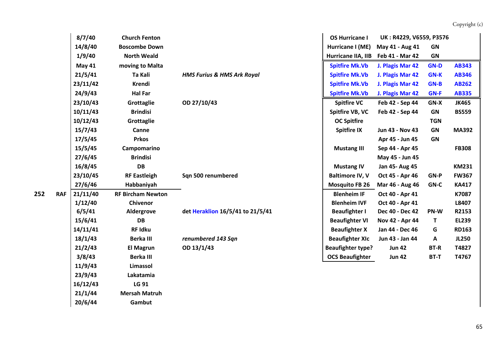|     |            | 8/7/40        | <b>Church Fenton</b>     |                                       | <b>OS Hurricane I</b>    | UK: R4229, V6559, P3576 |             |              |
|-----|------------|---------------|--------------------------|---------------------------------------|--------------------------|-------------------------|-------------|--------------|
|     |            | 14/8/40       | <b>Boscombe Down</b>     |                                       | Hurricane I (ME)         | May 41 - Aug 41         | GN          |              |
|     |            | 1/9/40        | <b>North Weald</b>       |                                       | Hurricane IIA, IIB       | Feb 41 - Mar 42         | <b>GN</b>   |              |
|     |            | <b>May 41</b> | moving to Malta          |                                       | <b>Spitfire Mk.Vb</b>    | J. Plagis Mar 42        | <b>GN-D</b> | <b>AB343</b> |
|     |            | 21/5/41       | Ta Kali                  | <b>HMS Furius &amp; HMS Ark Royal</b> | <b>Spitfire Mk.Vb</b>    | J. Plagis Mar 42        | <b>GN-K</b> | <b>AB346</b> |
|     |            | 23/11/42      | <b>Krendi</b>            |                                       | <b>Spitfire Mk.Vb</b>    | J. Plagis Mar 42        | <b>GN-B</b> | <b>AB262</b> |
|     |            | 24/9/43       | <b>Hal Far</b>           |                                       | <b>Spitfire Mk.Vb</b>    | J. Plagis Mar 42        | <b>GN-F</b> | <b>AB335</b> |
|     |            | 23/10/43      | Grottaglie               | OD 27/10/43                           | <b>Spitfire VC</b>       | Feb 42 - Sep 44         | GN-X        | <b>JK465</b> |
|     |            | 10/11/43      | <b>Brindisi</b>          |                                       | Spitfire VB, VC          | Feb 42 - Sep 44         | GN          | <b>BS559</b> |
|     |            | 10/12/43      | Grottaglie               |                                       | <b>OC Spitfire</b>       |                         | <b>TGN</b>  |              |
|     |            | 15/7/43       | Canne                    |                                       | <b>Spitfire IX</b>       | Jun 43 - Nov 43         | <b>GN</b>   | <b>MA392</b> |
|     |            | 17/5/45       | <b>Prkos</b>             |                                       |                          | Apr 45 - Jun 45         | <b>GN</b>   |              |
|     |            | 15/5/45       | Campomarino              |                                       | <b>Mustang III</b>       | Sep 44 - Apr 45         |             | <b>FB308</b> |
|     |            | 27/6/45       | <b>Brindisi</b>          |                                       |                          | May 45 - Jun 45         |             |              |
|     |            | 16/8/45       | <b>DB</b>                |                                       | <b>Mustang IV</b>        | Jan 45- Aug 45          |             | <b>KM231</b> |
|     |            | 23/10/45      | <b>RF Eastleigh</b>      | Sqn 500 renumbered                    | <b>Baltimore IV, V</b>   | Oct 45 - Apr 46         | GN-P        | <b>FW367</b> |
|     |            | 27/6/46       | Habbaniyah               |                                       | <b>Mosquito FB 26</b>    | Mar 46 - Aug 46         | GN-C        | <b>KA417</b> |
| 252 | <b>RAF</b> | 21/11/40      | <b>RF Bircham Newton</b> |                                       | <b>Blenheim IF</b>       | Oct 40 - Apr 41         |             | K7087        |
|     |            | 1/12/40       | Chivenor                 |                                       | <b>Blenheim IVF</b>      | Oct 40 - Apr 41         |             | L8407        |
|     |            | 6/5/41        | Aldergrove               | det Heraklion 16/5/41 to 21/5/41      | <b>Beaufighter I</b>     | Dec 40 - Dec 42         | PN-W        | R2153        |
|     |            | 15/6/41       | <b>DB</b>                |                                       | <b>Beaufighter VI</b>    | Nov 42 - Apr 44         | T.          | <b>EL239</b> |
|     |            | 14/11/41      | RF Idku                  |                                       | <b>Beaufighter X</b>     | Jan 44 - Dec 46         | G           | <b>RD163</b> |
|     |            | 18/1/43       | <b>Berka III</b>         | renumbered 143 Sqn                    | <b>Beaufighter XIc</b>   | Jun 43 - Jan 44         | Α           | <b>JL250</b> |
|     |            | 21/2/43       | <b>El Magrun</b>         | OD 13/1/43                            | <b>Beaufighter type?</b> | <b>Jun 42</b>           | <b>BT-R</b> | T4827        |
|     |            | 3/8/43        | <b>Berka III</b>         |                                       | <b>OCS Beaufighter</b>   | <b>Jun 42</b>           | <b>BT-T</b> | T4767        |
|     |            | 11/9/43       | Limassol                 |                                       |                          |                         |             |              |
|     |            | 23/9/43       | Lakatamia                |                                       |                          |                         |             |              |
|     |            | 16/12/43      | LG 91                    |                                       |                          |                         |             |              |
|     |            | 21/1/44       | <b>Mersah Matruh</b>     |                                       |                          |                         |             |              |
|     |            | 20/6/44       | Gambut                   |                                       |                          |                         |             |              |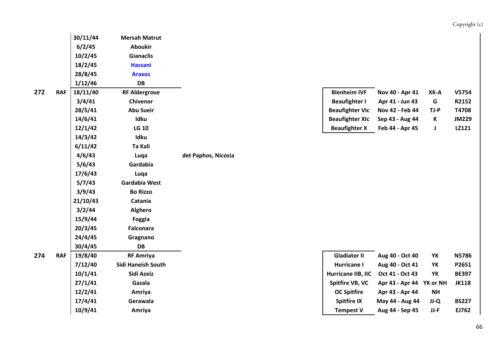| Copyright (c) |  |
|---------------|--|
|               |  |

| 30/11/44 | <b>Mersah Matrut</b>      |                     |                        |                                       |           |
|----------|---------------------------|---------------------|------------------------|---------------------------------------|-----------|
| 6/2/45   | <b>Aboukir</b>            |                     |                        |                                       |           |
| 10/2/45  | <b>Gianaclis</b>          |                     |                        |                                       |           |
| 18/2/45  | <b>Hassani</b>            |                     |                        |                                       |           |
| 28/8/45  | <b>Araxos</b>             |                     |                        |                                       |           |
| 1/12/46  | <b>DB</b>                 |                     |                        |                                       |           |
| 18/11/40 | <b>RF Aldergrove</b>      |                     | <b>Blenheim IVF</b>    | Nov 40 - Apr 41                       | $XK-J$    |
| 3/4/41   | Chivenor                  |                     | <b>Beaufighter I</b>   | Apr 41 - Jun 43                       | G         |
| 28/5/41  | <b>Abu Sueir</b>          |                     | <b>Beaufighter VIc</b> | Nov 42 - Feb 44                       | TJ-F      |
| 14/6/41  | Idku                      |                     | <b>Beaufighter XIc</b> | Sep 43 - Aug 44                       | K         |
| 12/1/42  | <b>LG 10</b>              |                     | <b>Beaufighter X</b>   | Feb 44 - Apr 45                       | J         |
| 14/3/42  | Idku                      |                     |                        |                                       |           |
| 6/11/42  | Ta Kali                   |                     |                        |                                       |           |
| 4/6/43   | Luqa                      | det Paphos, Nicosia |                        |                                       |           |
| 5/6/43   | Gardabia                  |                     |                        |                                       |           |
| 17/6/43  | Luqa                      |                     |                        |                                       |           |
| 5/7/43   | <b>Gardabia West</b>      |                     |                        |                                       |           |
| 3/9/43   | <b>Bo Rizzo</b>           |                     |                        |                                       |           |
| 21/10/43 | Catania                   |                     |                        |                                       |           |
| 3/2/44   | <b>Alghero</b>            |                     |                        |                                       |           |
| 15/9/44  | Foggia                    |                     |                        |                                       |           |
| 20/3/45  | <b>Falconara</b>          |                     |                        |                                       |           |
| 24/4/45  | Gragnano                  |                     |                        |                                       |           |
| 30/4/45  | <b>DB</b>                 |                     |                        |                                       |           |
| 19/8/40  | <b>RF Amriya</b>          |                     | <b>Gladiator II</b>    | Aug 40 - Oct 40                       | YK        |
| 7/12/40  | <b>Sidi Haneish South</b> |                     | <b>Hurricane I</b>     | Aug 40 - Oct 41                       | YK        |
| 10/1/41  | Sidi Azeiz                |                     | Hurricane IIB, IIC     | Oct 41 - Oct 43                       | YK        |
| 27/1/41  | Gazala                    |                     | Spitfire VB, VC        | Apr 43 - Apr 44 YK or                 |           |
| 12/2/41  | Amriya                    |                     | <b>OC Spitfire</b>     | Apr 43 - Apr 44                       | <b>NH</b> |
| 17/4/41  | Gerawala                  |                     | <b>Spitfire IX</b>     | May 44 - Aug 44                       | JJ-C      |
| 10/9/11  | Amriva                    |                     | Tamnact \/             | $A\cup a$ $A$ $A$ $B$ $C$ $B$ $B$ $B$ | 11.5      |

| <b>RAF</b> | 18/11/40 | <b>RF Aldergrove</b> | <b>Blenheim IVF</b>    | Nov 40 - Apr 41                 | XK-A | V5754        |
|------------|----------|----------------------|------------------------|---------------------------------|------|--------------|
|            | 3/4/41   | Chivenor             | <b>Beaufighter I</b>   | Apr 41 - Jun 43                 | G    | R2152        |
|            | 28/5/41  | <b>Abu Sueir</b>     |                        | Beaufighter VIc Nov 42 - Feb 44 | TJ-P | T4708        |
|            | 14/6/41  | Idku                 | <b>Beaufighter XIc</b> | Sep 43 - Aug 44                 |      | <b>JM229</b> |
|            | 12/1/42  | <b>LG 10</b>         | <b>Beaufighter X</b>   | Feb 44 - Apr 45                 |      | LZ121        |

| <b>RAF</b> | 19/8/40 | <b>RF Amriya</b>   | <b>Gladiator II</b> | Aug 40 - Oct 40                       | YK              | <b>N5786</b>             |
|------------|---------|--------------------|---------------------|---------------------------------------|-----------------|--------------------------|
|            | 7/12/40 | Sidi Haneish South | Hurricane I         | Aug 40 - Oct 41                       | YK              | P2651                    |
|            | 10/1/41 | Sidi Azeiz         |                     | Oct 41 - Oct 43                       | YK              | <b>BE397</b>             |
|            | 27/1/41 | Gazala             |                     |                                       |                 | <b>JK118</b>             |
|            | 12/2/41 | Amriya             | <b>OC Spitfire</b>  | Apr 43 - Apr 44                       | <b>NH</b>       |                          |
|            | 17/4/41 | Gerawala           | <b>Spitfire IX</b>  |                                       | JJ-Q            | <b>BS227</b>             |
|            | 10/9/41 | Amriya             | <b>Tempest V</b>    | Aug 44 - Sep 45                       | JJ-F            | EJ762                    |
|            |         |                    |                     | Hurricane IIB, IIC<br>Spitfire VB, VC | May 44 - Aug 44 | Apr 43 - Apr 44 YK or NH |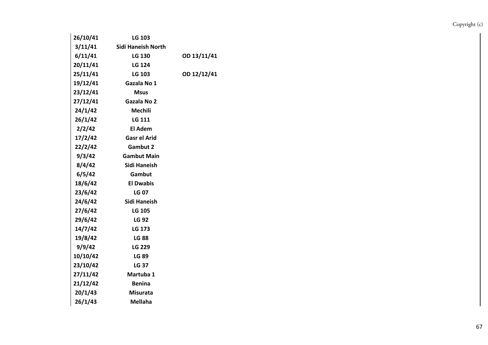| 26/10/41 | LG 103                    |             |
|----------|---------------------------|-------------|
| 3/11/41  | <b>Sidi Haneish North</b> |             |
| 6/11/41  | <b>LG 130</b>             | OD 13/11/41 |
| 20/11/41 | LG 124                    |             |
| 25/11/41 | LG 103                    | OD 12/12/41 |
| 19/12/41 | Gazala No 1               |             |
| 23/12/41 | <b>Msus</b>               |             |
| 27/12/41 | Gazala No 2               |             |
| 24/1/42  | <b>Mechili</b>            |             |
| 26/1/42  | <b>LG 111</b>             |             |
| 2/2/42   | El Adem                   |             |
| 17/2/42  | <b>Gasr el Arid</b>       |             |
| 22/2/42  | <b>Gambut 2</b>           |             |
| 9/3/42   | <b>Gambut Main</b>        |             |
| 8/4/42   | Sidi Haneish              |             |
| 6/5/42   | Gambut                    |             |
| 18/6/42  | <b>El Dwabis</b>          |             |
| 23/6/42  | <b>LG 07</b>              |             |
| 24/6/42  | Sidi Haneish              |             |
| 27/6/42  | <b>LG 105</b>             |             |
| 29/6/42  | <b>LG 92</b>              |             |
| 14/7/42  | LG 173                    |             |
| 19/8/42  | <b>LG 88</b>              |             |
| 9/9/42   | <b>LG 229</b>             |             |
| 10/10/42 | <b>LG 89</b>              |             |
| 23/10/42 | <b>LG 37</b>              |             |
| 27/11/42 | Martuba 1                 |             |
| 21/12/42 | <b>Benina</b>             |             |
| 20/1/43  | <b>Misurata</b>           |             |
| 26/1/43  | <b>Mellaha</b>            |             |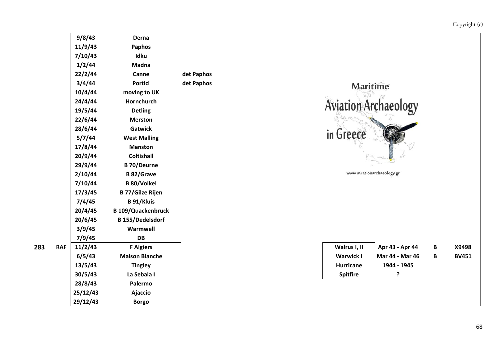| 9/8/43   | Derna                     |            |                            |                            |
|----------|---------------------------|------------|----------------------------|----------------------------|
| 11/9/43  | <b>Paphos</b>             |            |                            |                            |
| 7/10/43  | Idku                      |            |                            |                            |
| 1/2/44   | <b>Madna</b>              |            |                            |                            |
| 22/2/44  | Canne                     | det Paphos |                            |                            |
| 3/4/44   | <b>Portici</b>            | det Paphos | Maritime                   |                            |
| 10/4/44  | moving to UK              |            |                            |                            |
| 24/4/44  | Hornchurch                |            |                            |                            |
| 19/5/44  | <b>Detling</b>            |            | <b>Aviation Archaeolog</b> |                            |
| 22/6/44  | <b>Merston</b>            |            |                            |                            |
| 28/6/44  | <b>Gatwick</b>            |            |                            |                            |
| 5/7/44   | <b>West Malling</b>       |            | in Greece                  |                            |
| 17/8/44  | <b>Manston</b>            |            |                            |                            |
| 20/9/44  | <b>Coltishall</b>         |            |                            |                            |
| 29/9/44  | <b>B</b> 70/Deurne        |            |                            |                            |
| 2/10/44  | <b>B</b> 82/Grave         |            |                            | www.aviationarchaeology.gr |
| 7/10/44  | <b>B</b> 80/Volkel        |            |                            |                            |
| 17/3/45  | <b>B 77/Gilze Rijen</b>   |            |                            |                            |
| 7/4/45   | <b>B</b> 91/Kluis         |            |                            |                            |
| 20/4/45  | <b>B 109/Quackenbruck</b> |            |                            |                            |
| 20/6/45  | <b>B</b> 155/Dedelsdorf   |            |                            |                            |
| 3/9/45   | Warmwell                  |            |                            |                            |
| 7/9/45   | <b>DB</b>                 |            |                            |                            |
| 11/2/43  | <b>F Algiers</b>          |            | Walrus I, II               | Apr 43 - Apr 4             |
| 6/5/43   | <b>Maison Blanche</b>     |            | <b>Warwick I</b>           | Mar 44 - Mar               |
| 13/5/43  | <b>Tingley</b>            |            | <b>Hurricane</b>           | 1944 - 1945                |
| 30/5/43  | La Sebala I               |            | <b>Spitfire</b>            | ?                          |
| 28/8/43  | Palermo                   |            |                            |                            |
| 25/12/43 | <b>Ajaccio</b>            |            |                            |                            |
| 29/12/43 | <b>Borgo</b>              |            |                            |                            |



| www.aviationarchaeology.gr |  |  |
|----------------------------|--|--|
|----------------------------|--|--|

| <b>RAF</b> | 11/2/43 | <sup>-</sup> Algiers  | Walrus I, II     | Apr 43 - Apr 44 | B | X9498        |
|------------|---------|-----------------------|------------------|-----------------|---|--------------|
|            | 6/5/43  | <b>Maison Blanche</b> | <b>Warwick I</b> | Mar 44 - Mar 46 | B | <b>BV451</b> |
|            | 13/5/43 | <b>Tingley</b>        | <b>Hurricane</b> | 1944 - 1945     |   |              |
|            | 30/5/43 | La Sebala I           | <b>Spitfire</b>  |                 |   |              |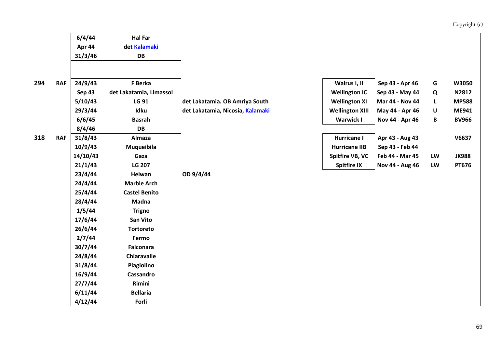|     |            | 6/4/44        | <b>Hal Far</b>          |                                  |                        |                 |              |              |
|-----|------------|---------------|-------------------------|----------------------------------|------------------------|-----------------|--------------|--------------|
|     |            | Apr 44        | det Kalamaki            |                                  |                        |                 |              |              |
|     |            | 31/3/46       | DB                      |                                  |                        |                 |              |              |
|     |            |               |                         |                                  |                        |                 |              |              |
|     |            |               |                         |                                  |                        |                 |              |              |
| 294 | <b>RAF</b> | 24/9/43       | F Berka                 |                                  | Walrus I, II           | Sep 43 - Apr 46 | G            | W3050        |
|     |            | <b>Sep 43</b> | det Lakatamia, Limassol |                                  | <b>Wellington IC</b>   | Sep 43 - May 44 | Q            | N2812        |
|     |            | 5/10/43       | LG 91                   | det Lakatamia. OB Amriya South   | <b>Wellington XI</b>   | Mar 44 - Nov 44 | L            | <b>MP588</b> |
|     |            | 29/3/44       | Idku                    | det Lakatamia, Nicosia, Kalamaki | <b>Wellington XIII</b> | May 44 - Apr 46 | U            | ME941        |
|     |            | 6/6/45        | <b>Basrah</b>           |                                  | <b>Warwick I</b>       | Nov 44 - Apr 46 | $\, {\bf B}$ | <b>BV966</b> |
|     |            | 8/4/46        | <b>DB</b>               |                                  |                        |                 |              |              |
| 318 | <b>RAF</b> | 31/8/43       | Almaza                  |                                  | <b>Hurricane I</b>     | Apr 43 - Aug 43 |              | V6637        |
|     |            | 10/9/43       | Muqueibila              |                                  | <b>Hurricane IIB</b>   | Sep 43 - Feb 44 |              |              |
|     |            | 14/10/43      | Gaza                    |                                  | Spitfire VB, VC        | Feb 44 - Mar 45 | LW           | <b>JK988</b> |
|     |            | 21/1/43       | <b>LG 207</b>           |                                  | <b>Spitfire IX</b>     | Nov 44 - Aug 46 | LW           | PT676        |
|     |            | 23/4/44       | Helwan                  | OD 9/4/44                        |                        |                 |              |              |
|     |            | 24/4/44       | <b>Marble Arch</b>      |                                  |                        |                 |              |              |
|     |            | 25/4/44       | <b>Castel Benito</b>    |                                  |                        |                 |              |              |
|     |            | 28/4/44       | Madna                   |                                  |                        |                 |              |              |
|     |            | 1/5/44        | <b>Trigno</b>           |                                  |                        |                 |              |              |
|     |            | 17/6/44       | <b>San Vito</b>         |                                  |                        |                 |              |              |
|     |            | 26/6/44       | <b>Tortoreto</b>        |                                  |                        |                 |              |              |
|     |            | 2/7/44        | Fermo                   |                                  |                        |                 |              |              |
|     |            | 30/7/44       | <b>Falconara</b>        |                                  |                        |                 |              |              |
|     |            | 24/8/44       | Chiaravalle             |                                  |                        |                 |              |              |
|     |            | 31/8/44       | Piagiolino              |                                  |                        |                 |              |              |
|     |            | 16/9/44       | Cassandro               |                                  |                        |                 |              |              |
|     |            | 27/7/44       | Rimini                  |                                  |                        |                 |              |              |
|     |            | 6/11/44       | <b>Bellaria</b>         |                                  |                        |                 |              |              |
|     |            | 4/12/44       | Forli                   |                                  |                        |                 |              |              |
|     |            |               |                         |                                  |                        |                 |              |              |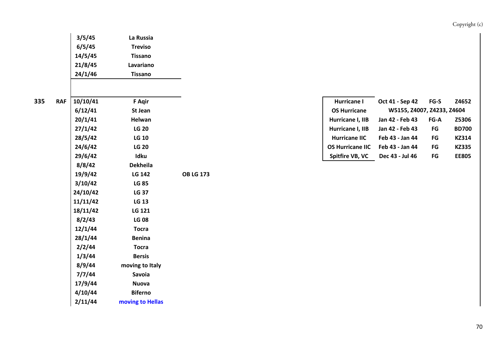|   |            | 3/5/45   | La Russia        |                  |  |                         |                            |                        |              |
|---|------------|----------|------------------|------------------|--|-------------------------|----------------------------|------------------------|--------------|
|   |            | 6/5/45   | <b>Treviso</b>   |                  |  |                         |                            |                        |              |
|   |            | 14/5/45  | <b>Tissano</b>   |                  |  |                         |                            |                        |              |
|   |            | 21/8/45  | Lavariano        |                  |  |                         |                            |                        |              |
|   |            | 24/1/46  | <b>Tissano</b>   |                  |  |                         |                            |                        |              |
| 5 | <b>RAF</b> | 10/10/41 | <b>F</b> Agir    |                  |  | Hurricane I             | Oct 41 - Sep 42            | $FG-S$                 | Z4652        |
|   |            | 6/12/41  | St Jean          |                  |  | <b>OS Hurricane</b>     | W5155, Z4007, Z4233, Z4604 |                        |              |
|   |            | 20/1/41  | Helwan           |                  |  | Hurricane I, IIB        | Jan 42 - Feb 43            | $FG-A$                 | Z5306        |
|   |            | 27/1/42  | <b>LG 20</b>     |                  |  | Hurricane I, IIB        | Jan 42 - Feb 43            | $\mathsf{F}\mathsf{G}$ | <b>BD700</b> |
|   |            | 28/5/42  | <b>LG 10</b>     |                  |  | <b>Hurricane IIC</b>    | Feb 43 - Jan 44            | $\mathsf{F}\mathsf{G}$ | KZ314        |
|   |            | 24/6/42  | <b>LG 20</b>     |                  |  | <b>OS Hurricane IIC</b> | Feb 43 - Jan 44            | FG                     | <b>KZ335</b> |
|   |            | 29/6/42  | Idku             |                  |  | Spitfire VB, VC         | Dec 43 - Jul 46            | $\mathsf{F}\mathsf{G}$ | <b>EE805</b> |
|   |            | 8/8/42   | <b>Dekheila</b>  |                  |  |                         |                            |                        |              |
|   |            | 19/9/42  | <b>LG 142</b>    | <b>OB LG 173</b> |  |                         |                            |                        |              |
|   |            | 3/10/42  | <b>LG 85</b>     |                  |  |                         |                            |                        |              |
|   |            | 24/10/42 | <b>LG 37</b>     |                  |  |                         |                            |                        |              |
|   |            | 11/11/42 | <b>LG 13</b>     |                  |  |                         |                            |                        |              |
|   |            | 18/11/42 | LG 121           |                  |  |                         |                            |                        |              |
|   |            | 8/2/43   | <b>LG 08</b>     |                  |  |                         |                            |                        |              |
|   |            | 12/1/44  | <b>Tocra</b>     |                  |  |                         |                            |                        |              |
|   |            | 28/1/44  | <b>Benina</b>    |                  |  |                         |                            |                        |              |
|   |            | 2/2/44   | <b>Tocra</b>     |                  |  |                         |                            |                        |              |
|   |            | 1/3/44   | <b>Bersis</b>    |                  |  |                         |                            |                        |              |
|   |            | 8/9/44   | moving to Italy  |                  |  |                         |                            |                        |              |
|   |            | 7/7/44   | Savoia           |                  |  |                         |                            |                        |              |
|   |            | 17/9/44  | <b>Nuova</b>     |                  |  |                         |                            |                        |              |
|   |            | 4/10/44  | <b>Biferno</b>   |                  |  |                         |                            |                        |              |
|   |            | 2/11/44  | moving to Hellas |                  |  |                         |                            |                        |              |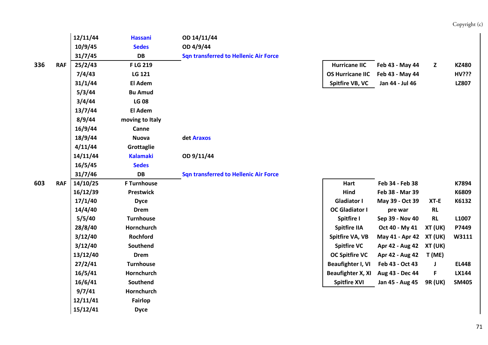|     |            | 12/11/44 | <b>Hassani</b>     | OD 14/11/44                                  |                          |                         |                |              |
|-----|------------|----------|--------------------|----------------------------------------------|--------------------------|-------------------------|----------------|--------------|
|     |            | 10/9/45  | <b>Sedes</b>       | OD 4/9/44                                    |                          |                         |                |              |
|     |            | 31/7/45  | <b>DB</b>          | <b>Sqn transferred to Hellenic Air Force</b> |                          |                         |                |              |
| 336 | <b>RAF</b> | 25/2/43  | F LG 219           |                                              | <b>Hurricane IIC</b>     | Feb 43 - May 44         | Z              | <b>KZ480</b> |
|     |            | 7/4/43   | LG 121             |                                              | <b>OS Hurricane IIC</b>  | Feb 43 - May 44         |                | <b>HV???</b> |
|     |            | 31/1/44  | <b>El Adem</b>     |                                              | Spitfire VB, VC          | Jan 44 - Jul 46         |                | <b>LZ807</b> |
|     |            | 5/3/44   | <b>Bu Amud</b>     |                                              |                          |                         |                |              |
|     |            | 3/4/44   | <b>LG 08</b>       |                                              |                          |                         |                |              |
|     |            | 13/7/44  | El Adem            |                                              |                          |                         |                |              |
|     |            | 8/9/44   | moving to Italy    |                                              |                          |                         |                |              |
|     |            | 16/9/44  | Canne              |                                              |                          |                         |                |              |
|     |            | 18/9/44  | <b>Nuova</b>       | det Araxos                                   |                          |                         |                |              |
|     |            | 4/11/44  | Grottaglie         |                                              |                          |                         |                |              |
|     |            | 14/11/44 | <b>Kalamaki</b>    | OD 9/11/44                                   |                          |                         |                |              |
|     |            | 16/5/45  | <b>Sedes</b>       |                                              |                          |                         |                |              |
|     |            | 31/7/46  | <b>DB</b>          | <b>Sqn transferred to Hellenic Air Force</b> |                          |                         |                |              |
| 603 | <b>RAF</b> | 14/10/25 | <b>F Turnhouse</b> |                                              | Hart                     | Feb 34 - Feb 38         |                | K7894        |
|     |            | 16/12/39 | <b>Prestwick</b>   |                                              | <b>Hind</b>              | Feb 38 - Mar 39         |                | K6809        |
|     |            | 17/1/40  | <b>Dyce</b>        |                                              | <b>Gladiator I</b>       | May 39 - Oct 39         | $XT-E$         | K6132        |
|     |            | 14/4/40  | <b>Drem</b>        |                                              | <b>OC Gladiator I</b>    | pre war                 | <b>RL</b>      |              |
|     |            | 5/5/40   | <b>Turnhouse</b>   |                                              | <b>Spitfire I</b>        | Sep 39 - Nov 40         | <b>RL</b>      | L1007        |
|     |            | 28/8/40  | Hornchurch         |                                              | <b>Spitfire IIA</b>      | Oct 40 - My 41          | XT (UK)        | P7449        |
|     |            | 3/12/40  | Rochford           |                                              | Spitfire VA, VB          | May 41 - Apr 42 XT (UK) |                | W3111        |
|     |            | 3/12/40  | Southend           |                                              | <b>Spitfire VC</b>       | Apr 42 - Aug 42         | XT (UK)        |              |
|     |            | 13/12/40 | <b>Drem</b>        |                                              | <b>OC Spitfire VC</b>    | Apr 42 - Aug 42         | T (ME)         |              |
|     |            | 27/2/41  | <b>Turnhouse</b>   |                                              | <b>Beaufighter I, VI</b> | Feb 43 - Oct 43         | J              | <b>EL448</b> |
|     |            | 16/5/41  | Hornchurch         |                                              | <b>Beaufighter X, XI</b> | Aug 43 - Dec 44         | F              | LX144        |
|     |            | 16/6/41  | Southend           |                                              | <b>Spitfire XVI</b>      | Jan 45 - Aug 45         | <b>9R (UK)</b> | <b>SM405</b> |
|     |            | 9/7/41   | Hornchurch         |                                              |                          |                         |                |              |
|     |            | 12/11/41 | Fairlop            |                                              |                          |                         |                |              |
|     |            | 15/12/41 | <b>Dyce</b>        |                                              |                          |                         |                |              |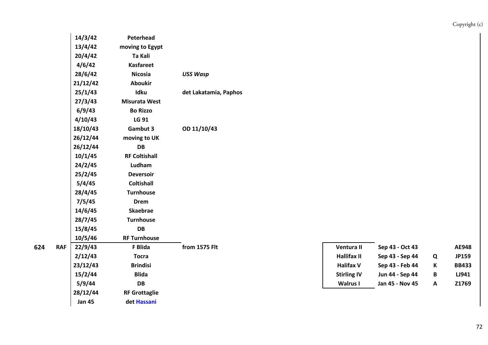|   |            | 14/3/42       | Peterhead            |                       |                    |                 |                           |              |
|---|------------|---------------|----------------------|-----------------------|--------------------|-----------------|---------------------------|--------------|
|   |            | 13/4/42       | moving to Egypt      |                       |                    |                 |                           |              |
|   |            | 20/4/42       | Ta Kali              |                       |                    |                 |                           |              |
|   |            | 4/6/42        | <b>Kasfareet</b>     |                       |                    |                 |                           |              |
|   |            | 28/6/42       | <b>Nicosia</b>       | <b>USS Wasp</b>       |                    |                 |                           |              |
|   |            | 21/12/42      | <b>Aboukir</b>       |                       |                    |                 |                           |              |
|   |            | 25/1/43       | Idku                 | det Lakatamia, Paphos |                    |                 |                           |              |
|   |            | 27/3/43       | <b>Misurata West</b> |                       |                    |                 |                           |              |
|   |            | 6/9/43        | <b>Bo Rizzo</b>      |                       |                    |                 |                           |              |
|   |            | 4/10/43       | LG 91                |                       |                    |                 |                           |              |
|   |            | 18/10/43      | Gambut 3             | OD 11/10/43           |                    |                 |                           |              |
|   |            | 26/12/44      | moving to UK         |                       |                    |                 |                           |              |
|   |            | 26/12/44      | DB                   |                       |                    |                 |                           |              |
|   |            | 10/1/45       | <b>RF Coltishall</b> |                       |                    |                 |                           |              |
|   |            | 24/2/45       | Ludham               |                       |                    |                 |                           |              |
|   |            | 25/2/45       | <b>Deversoir</b>     |                       |                    |                 |                           |              |
|   |            | 5/4/45        | <b>Coltishall</b>    |                       |                    |                 |                           |              |
|   |            | 28/4/45       | <b>Turnhouse</b>     |                       |                    |                 |                           |              |
|   |            | 7/5/45        | <b>Drem</b>          |                       |                    |                 |                           |              |
|   |            | 14/6/45       | <b>Skaebrae</b>      |                       |                    |                 |                           |              |
|   |            | 28/7/45       | <b>Turnhouse</b>     |                       |                    |                 |                           |              |
|   |            | 15/8/45       | DB                   |                       |                    |                 |                           |              |
|   |            | 10/5/46       | <b>RF Turnhouse</b>  |                       |                    |                 |                           |              |
| 4 | <b>RAF</b> | 22/9/43       | F Blida              | from 1575 Flt         | Ventura II         | Sep 43 - Oct 43 |                           | AE948        |
|   |            | 2/12/43       | <b>Tocra</b>         |                       | <b>Hallifax II</b> | Sep 43 - Sep 44 | Q                         | JP159        |
|   |            | 23/12/43      | <b>Brindisi</b>      |                       | <b>Halifax V</b>   | Sep 43 - Feb 44 | K                         | <b>BB433</b> |
|   |            | 15/2/44       | <b>Blida</b>         |                       | <b>Stirling IV</b> | Jun 44 - Sep 44 | B                         | LJ941        |
|   |            | 5/9/44        | DB                   |                       | <b>Walrus I</b>    | Jan 45 - Nov 45 | $\boldsymbol{\mathsf{A}}$ | Z1769        |
|   |            | 28/12/44      | <b>RF Grottaglie</b> |                       |                    |                 |                           |              |
|   |            | <b>Jan 45</b> | det Hassani          |                       |                    |                 |                           |              |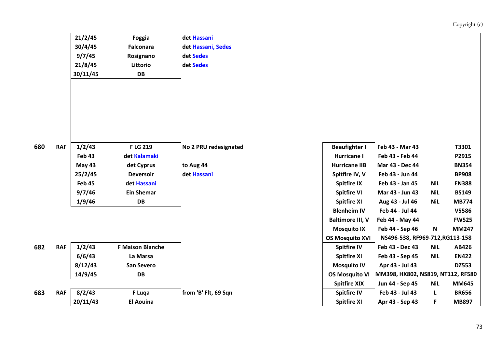Copyright (c)

| 21/2/45  | <b>Foggia</b>    | det Hassani        |
|----------|------------------|--------------------|
| 30/4/45  | <b>Falconara</b> | det Hassani, Sedes |
| 9/7/45   | Rosignano        | det Sedes          |
| 21/8/45  | Littorio         | det Sedes          |
| 30/11/45 | DB               |                    |

**680**

| <b>RAF</b> | 1/2/43   | <b>FLG 219</b>    | No 2 PRU redesignated | <b>Beaufighter I</b> | Feb 43 - Mar 43 |            | T3301        |
|------------|----------|-------------------|-----------------------|----------------------|-----------------|------------|--------------|
|            | Feb 43   | det Kalamaki      |                       | Hurricane I          | Feb 43 - Feb 44 |            | P2915        |
|            | May $43$ | det Cyprus        | to Aug 44             | <b>Hurricane IIB</b> | Mar 43 - Dec 44 |            | <b>BN354</b> |
|            | 25/2/45  | <b>Deversoir</b>  | det Hassani           | Spitfire IV, V       | Feb 43 - Jun 44 |            | <b>BP908</b> |
|            | Feb 45   | det Hassani       |                       | <b>Spitfire IX</b>   | Feb 43 - Jan 45 | <b>NiL</b> | <b>EN388</b> |
|            | 9/7/46   | <b>Ein Shemar</b> |                       | <b>Spitfire VI</b>   | Mar 43 - Jun 43 | <b>NiL</b> | <b>BS149</b> |
|            | 1/9/46   | DB                |                       | <b>Spitfire XI</b>   | Aug 43 - Jul 46 | <b>NiL</b> | <b>MB774</b> |
|            |          |                   |                       |                      |                 |            |              |

| 682 | <b>RAF</b> | 1/2/43   | F Maison Blanche |                      | <b>Spitfire IV</b>    | Feb 43 - Dec 43                  | <b>Nil</b> | AB426        |
|-----|------------|----------|------------------|----------------------|-----------------------|----------------------------------|------------|--------------|
|     |            | 6/6/43   | La Marsa         |                      | <b>Spitfire XI</b>    | Feb 43 - Sep 45                  | <b>NiL</b> | <b>EN422</b> |
|     |            | 8/12/43  | San Severo       |                      | <b>Mosquito IV</b>    | Apr 43 - Jul 43                  |            | <b>DZ553</b> |
|     |            | 14/9/45  | DB               |                      | <b>OS Mosquito VI</b> | MM398, HX802, NS819, NT112, RF58 |            |              |
|     |            |          |                  |                      | <b>Spitfire XIX</b>   | Jun 44 - Sep 45                  | <b>NiL</b> | MM645        |
| 683 | <b>RAF</b> | 8/2/43   | F Luga           | from 'B' Flt, 69 Sqn | <b>Spitfire IV</b>    | Feb 43 - Jul 43                  |            | <b>BR656</b> |
|     |            | 20/11/43 | El Aouina        |                      | <b>Spitfire XI</b>    | Apr 43 - Sep 43                  |            | <b>MB897</b> |

| 2/43  | <b>FLG 219</b>          | No 2 PRU redesignated | <b>Beaufighter I</b>    | Feb 43 - Mar 43                   |            | T3301        |
|-------|-------------------------|-----------------------|-------------------------|-----------------------------------|------------|--------------|
| b 43  | det Kalamaki            |                       | Hurricane I             | Feb 43 - Feb 44                   |            | P2915        |
| ay 43 | det Cyprus              | to Aug 44             | <b>Hurricane IIB</b>    | Mar 43 - Dec 44                   |            | <b>BN354</b> |
| 2/45  | <b>Deversoir</b>        | det Hassani           | Spitfire IV, V          | Feb 43 - Jun 44                   |            | <b>BP908</b> |
| b 45  | det Hassani             |                       | <b>Spitfire IX</b>      | Feb 43 - Jan 45                   | NiL        | <b>EN388</b> |
| 7/46  | <b>Ein Shemar</b>       |                       | <b>Spitfire VI</b>      | Mar 43 - Jun 43                   | <b>NiL</b> | <b>BS149</b> |
| 9/46  | DB                      |                       | <b>Spitfire XI</b>      | Aug 43 - Jul 46                   | <b>NiL</b> | <b>MB774</b> |
|       |                         |                       | <b>Blenheim IV</b>      | Feb 44 - Jul 44                   |            | V5586        |
|       |                         |                       | <b>Baltimore III, V</b> | Feb 44 - May 44                   |            | <b>FW525</b> |
|       |                         |                       | <b>Mosquito IX</b>      | Feb 44 - Sep 46                   | N          | <b>MM247</b> |
|       |                         |                       | <b>OS Mosquito XVI</b>  | NS496-538, RF969-712, RG113-158   |            |              |
| 2/43  | <b>F Maison Blanche</b> |                       | <b>Spitfire IV</b>      | Feb 43 - Dec 43                   | NiL        | AB426        |
| 6/43  | La Marsa                |                       | <b>Spitfire XI</b>      | Feb 43 - Sep 45                   | <b>NiL</b> | <b>EN422</b> |
| 2/43  | San Severo              |                       | <b>Mosquito IV</b>      | Apr 43 - Jul 43                   |            | <b>DZ553</b> |
| '9/45 | <b>DB</b>               |                       | <b>OS Mosquito VI</b>   | MM398, HX802, NS819, NT112, RF580 |            |              |
|       |                         |                       | <b>Spitfire XIX</b>     | Jun 44 - Sep 45                   | NiL        | <b>MM645</b> |
| 2/43  | F Luqa                  | from 'B' Flt, 69 Sqn  | <b>Spitfire IV</b>      | Feb 43 - Jul 43                   |            | <b>BR656</b> |
| 11/43 | <b>El Aouina</b>        |                       | <b>Spitfire XI</b>      | Apr 43 - Sep 43                   | F.         | <b>MB897</b> |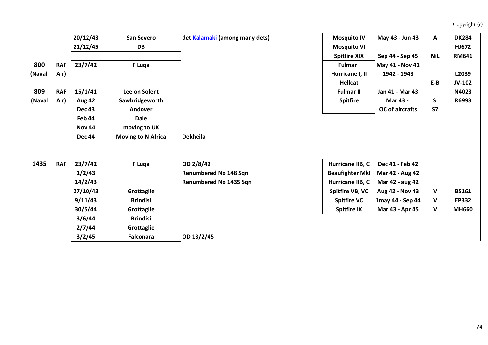## Copyright (c)

|        |            | 20/12/43      | <b>San Severo</b>         | det Kalamaki (among many dets) | <b>Mosquito IV</b>     | May 43 - Jun 43        | Α          | <b>DK284</b> |
|--------|------------|---------------|---------------------------|--------------------------------|------------------------|------------------------|------------|--------------|
|        |            | 21/12/45      | DB                        |                                | <b>Mosquito VI</b>     |                        |            | HJ672        |
|        |            |               |                           |                                | <b>Spitfire XIX</b>    | Sep 44 - Sep 45        | <b>NiL</b> | <b>RM641</b> |
| 800    | <b>RAF</b> | 23/7/42       | F Luqa                    |                                | <b>Fulmar I</b>        | May 41 - Nov 41        |            |              |
| (Naval | Air)       |               |                           |                                | Hurricane I, II        | 1942 - 1943            |            | L2039        |
|        |            |               |                           |                                | Hellcat                |                        | $E-B$      | JV-102       |
| 809    | <b>RAF</b> | 15/1/41       | Lee on Solent             |                                | <b>Fulmar II</b>       | Jan 41 - Mar 43        |            | N4023        |
| (Naval | Air)       | <b>Aug 42</b> | Sawbridgeworth            |                                | <b>Spitfire</b>        | Mar 43 -               | S          | R6993        |
|        |            | <b>Dec 43</b> | <b>Andover</b>            |                                |                        | <b>OC</b> of aircrafts | <b>S7</b>  |              |
|        |            | Feb 44        | <b>Dale</b>               |                                |                        |                        |            |              |
|        |            | <b>Nov 44</b> | moving to UK              |                                |                        |                        |            |              |
|        |            | <b>Dec 44</b> | <b>Moving to N Africa</b> | Dekheila                       |                        |                        |            |              |
| 1435   | <b>RAF</b> | 23/7/42       | F Luqa                    | OD 2/8/42                      | Hurricane IIB, C       | Dec 41 - Feb 42        |            |              |
|        |            | 1/2/43        |                           | Renumbered No 148 Sqn          | <b>Beaufighter MkI</b> | Mar 42 - Aug 42        |            |              |
|        |            | 14/2/43       |                           | Renumbered No 1435 Sqn         | Hurricane IIB, C       | Mar 42 - aug 42        |            |              |
|        |            | 27/10/43      | Grottaglie                |                                | Spitfire VB, VC        | Aug 42 - Nov 43        | V          | <b>BS161</b> |
|        |            | 9/11/43       | <b>Brindisi</b>           |                                | <b>Spitfire VC</b>     | 1may 44 - Sep 44       | V          | <b>EP332</b> |
|        |            | 30/5/44       | Grottaglie                |                                | <b>Spitfire IX</b>     | Mar 43 - Apr 45        | V          | <b>MH660</b> |
|        |            |               |                           |                                |                        |                        |            |              |
|        |            | 3/6/44        | <b>Brindisi</b>           |                                |                        |                        |            |              |
|        |            | 2/7/44        | Grottaglie                |                                |                        |                        |            |              |
|        |            | 3/2/45        | <b>Falconara</b>          | OD 13/2/45                     |                        |                        |            |              |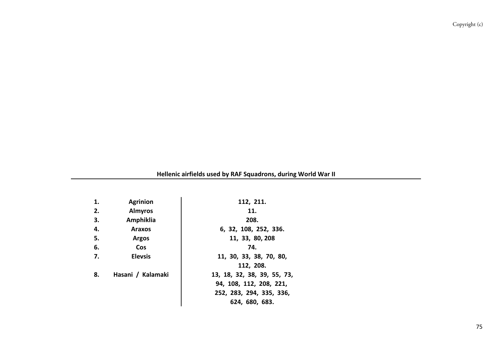**Hellenic airfields used by RAF Squadrons, during World War II**

| 1. | <b>Agrinion</b>   | 112, 211.                   |
|----|-------------------|-----------------------------|
| 2. | <b>Almyros</b>    | 11.                         |
| 3. | Amphiklia         | 208.                        |
|    |                   |                             |
| 4. | <b>Araxos</b>     | 6, 32, 108, 252, 336.       |
| 5. | <b>Argos</b>      | 11, 33, 80, 208             |
| 6. | <b>Cos</b>        | 74.                         |
| 7. | <b>Elevsis</b>    | 11, 30, 33, 38, 70, 80,     |
|    |                   | 112, 208.                   |
| 8. | Hasani / Kalamaki | 13, 18, 32, 38, 39, 55, 73, |
|    |                   | 94, 108, 112, 208, 221,     |
|    |                   | 252, 283, 294, 335, 336,    |
|    |                   | 624, 680, 683.              |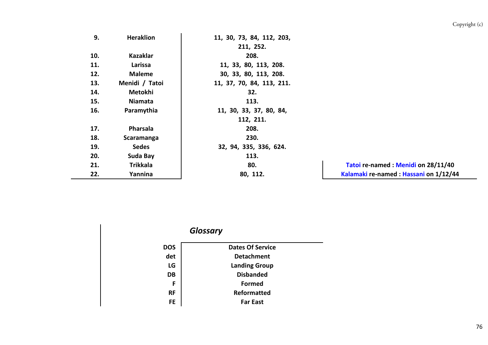| 9.  | <b>Heraklion</b> | 11, 30, 73, 84, 112, 203, |                                       |
|-----|------------------|---------------------------|---------------------------------------|
|     |                  | 211, 252.                 |                                       |
| 10. | <b>Kazaklar</b>  | 208.                      |                                       |
| 11. | Larissa          | 11, 33, 80, 113, 208.     |                                       |
| 12. | <b>Maleme</b>    | 30, 33, 80, 113, 208.     |                                       |
| 13. | Menidi / Tatoi   | 11, 37, 70, 84, 113, 211. |                                       |
| 14. | Metokhi          | 32.                       |                                       |
| 15. | Niamata          | 113.                      |                                       |
| 16. | Paramythia       | 11, 30, 33, 37, 80, 84,   |                                       |
|     |                  | 112, 211.                 |                                       |
| 17. | Pharsala         | 208.                      |                                       |
| 18. | Scaramanga       | 230.                      |                                       |
| 19. | <b>Sedes</b>     | 32, 94, 335, 336, 624.    |                                       |
| 20. | Suda Bay         | 113.                      |                                       |
| 21. | <b>Trikkala</b>  | 80.                       | Tatoi re-named: Menidi on 28/11/40    |
| 22. | Yannina          | 80, 112.                  | Kalamaki re-named: Hassani on 1/12/44 |
|     |                  |                           |                                       |

|            | <b>Glossary</b>         |
|------------|-------------------------|
| <b>DOS</b> | <b>Dates Of Service</b> |
| det        | <b>Detachment</b>       |
| LG         | <b>Landing Group</b>    |
| DB         | <b>Disbanded</b>        |
| F          | <b>Formed</b>           |
| <b>RF</b>  | Reformatted             |
| <b>FE</b>  | <b>Far East</b>         |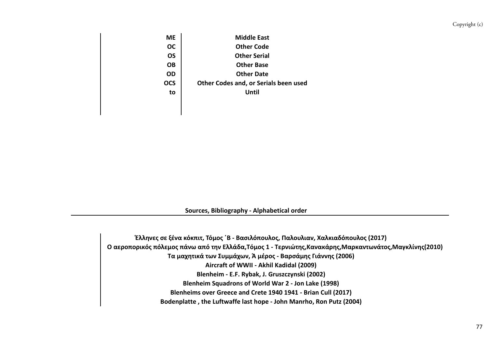| МE         | <b>Middle East</b>                    |
|------------|---------------------------------------|
| <b>OC</b>  | <b>Other Code</b>                     |
| OS         | <b>Other Serial</b>                   |
| OΒ         | <b>Other Base</b>                     |
| <b>OD</b>  | <b>Other Date</b>                     |
| <b>OCS</b> | Other Codes and, or Serials been used |
| to         | Until                                 |
|            |                                       |
|            |                                       |

**Sources, Bibliography ‐ Alphabetical order**

**Έλληνες σε ξένα κόκπιτ, Τόμος ΄Β ‐ Βασιλόπουλος, Παλουλιαν, Χαλκιαδόπουλος (2017) Ο αεροπορικός πόλεμος πάνω από την Ελλάδα,Τόμος 1 ‐ Τερνιώτης,Κανακάρης,Μαρκαντωνάτος,Μαγκλίνης(2010) Blenheims over Greece and Crete 1940 1941 ‐ Brian Cull (2017) Bodenplatte , the Luftwaffe last hope ‐ John Manrho, Ron Putz (2004) Aircraft of WWII ‐ Akhil Kadidal (2009) Blenheim ‐ E.F. Rybak, J. Gruszczynski (2002) Blenheim Squadrons of World War 2 ‐ Jon Lake (1998) Τα μαχητικά των Συμμάχων, Ά μέρος ‐ Βαρσάμης Γιάννης (2006)**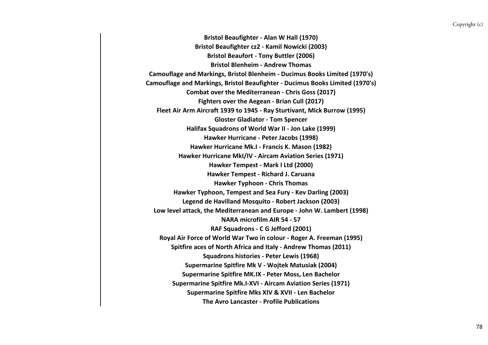**Combat over the Mediterranean ‐ Chris Goss (2017) Bristol Beaufighter ‐ Alan W Hall (1970) Bristol Beaufighter cz2 ‐ Kamil Nowicki (2003) Bristol Beaufort ‐ Tony Buttler (2006) Bristol Blenheim ‐ Andrew Thomas Camouflage and Markings, Bristol Blenheim ‐ Ducimus Books Limited (1970's) Camouflage and Markings, Bristol Beaufighter ‐ Ducimus Books Limited (1970's) Fighters over the Aegean ‐ Brian Cull (2017) Fleet Air Arm Aircraft 1939 to 1945 ‐ Ray Sturtivant, Mick Burrow (1995) Gloster Gladiator ‐ Tom Spencer Halifax Squadrons of World War II ‐ Jon Lake (1999) Hawker Hurricane ‐ Peter Jacobs (1998) Hawker Hurricane Mk.I ‐ Francis K. Mason (1982) Hawker Hurricane MkI/IV ‐ Aircam Aviation Series (1971) Hawker Tempest ‐ Mark I Ltd (2000) Hawker Tempest ‐ Richard J. Caruana Hawker Typhoon ‐ Chris Thomas Supermarine Spitfire Mk V ‐ Wojtek Matusiak (2004) Hawker Typhoon, Tempest and Sea Fury ‐ Kev Darling (2003) Low level attack, the Mediterranean and Europe ‐ John W. Lambert (1998) Legend de Havilland Mosquito ‐ Robert Jackson (2003) NARA microfilm AIR 54 ‐ 57 The Avro Lancaster ‐ Profile Publications RAF Squadrons ‐ C G Jefford (2001) Royal Air Force of World War Two in colour ‐ Roger A. Freeman (1995) Spitfire aces of North Africa and Italy ‐ Andrew Thomas (2011) Squadrons histories ‐ Peter Lewis (1968) Supermarine Spitfire MK.IX ‐ Peter Moss, Len Bachelor Supermarine Spitfire Mk.I‐XVI ‐ Aircam Aviation Series (1971) Supermarine Spitfire Mks XIV & XVII ‐ Len Bachelor**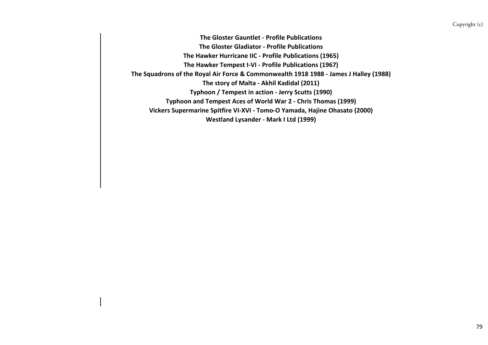**The story of Malta ‐ Akhil Kadidal (2011) The Gloster Gauntlet ‐ Profile Publications The Gloster Gladiator ‐ Profile Publications The Hawker Hurricane IIC ‐ Profile Publications (1965) The Hawker Tempest I‐VI ‐ Profile Publications (1967) The Squadrons of the Royal Air Force & Commonwealth 1918 1988 ‐ James J Halley (1988) Westland Lysander ‐ Mark I Ltd (1999) Typhoon and Tempest Aces of World War 2 ‐ Chris Thomas (1999) Vickers Supermarine Spitfire VI‐XVI ‐ Tomo‐O Yamada, Hajine Ohasato (2000) Typhoon / Tempest in action ‐ Jerry Scutts (1990)**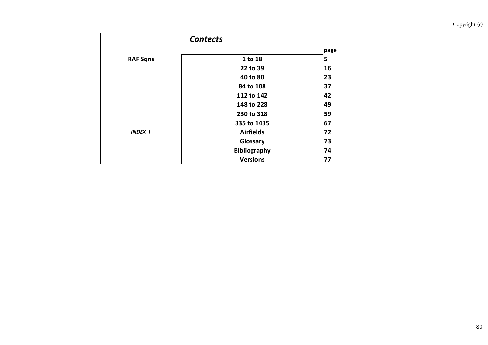## Copyright (c)

|                 | <b>Contects</b>     |      |
|-----------------|---------------------|------|
|                 |                     | page |
| <b>RAF Sqns</b> | 1 to 18             | 5    |
|                 | 22 to 39            | 16   |
|                 | 40 to 80            | 23   |
|                 | 84 to 108           | 37   |
|                 | 112 to 142          | 42   |
|                 | 148 to 228          | 49   |
|                 | 230 to 318          | 59   |
|                 | 335 to 1435         | 67   |
| <b>INDEX 1</b>  | <b>Airfields</b>    | 72   |
|                 | Glossary            | 73   |
|                 | <b>Bibliography</b> | 74   |
|                 | <b>Versions</b>     | 77   |